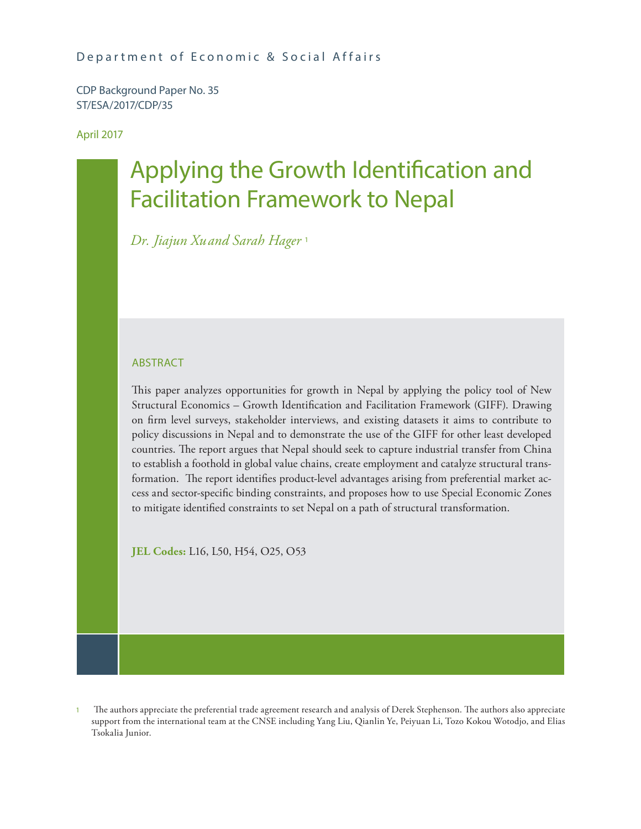CDP Background Paper No. 35 ST/ESA/2017/CDP/35

April 2017

# Applying the Growth Identification and Facilitation Framework to Nepal

*Dr. Jiajun Xuand Sarah Hager* <sup>1</sup>

## ABSTRACT

This paper analyzes opportunities for growth in Nepal by applying the policy tool of New Structural Economics – Growth Identification and Facilitation Framework (GIFF). Drawing on firm level surveys, stakeholder interviews, and existing datasets it aims to contribute to policy discussions in Nepal and to demonstrate the use of the GIFF for other least developed countries. The report argues that Nepal should seek to capture industrial transfer from China to establish a foothold in global value chains, create employment and catalyze structural transformation. The report identifies product-level advantages arising from preferential market access and sector-specific binding constraints, and proposes how to use Special Economic Zones to mitigate identified constraints to set Nepal on a path of structural transformation.

**JEL Codes:** L16, L50, H54, O25, O53

<sup>1</sup> The authors appreciate the preferential trade agreement research and analysis of Derek Stephenson. The authors also appreciate support from the international team at the CNSE including Yang Liu, Qianlin Ye, Peiyuan Li, Tozo Kokou Wotodjo, and Elias Tsokalia Junior.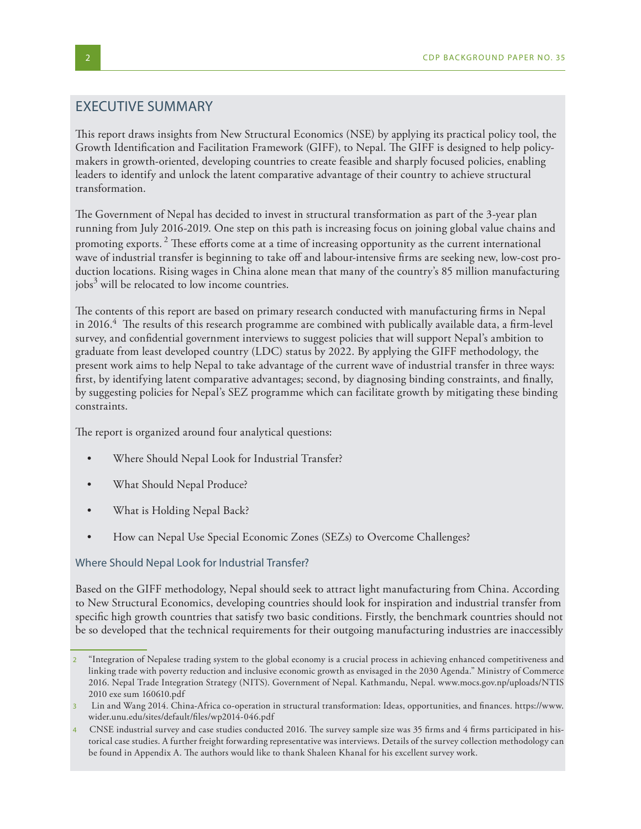## EXECUTIVE SUMMARY

This report draws insights from New Structural Economics (NSE) by applying its practical policy tool, the Growth Identification and Facilitation Framework (GIFF), to Nepal. The GIFF is designed to help policymakers in growth-oriented, developing countries to create feasible and sharply focused policies, enabling leaders to identify and unlock the latent comparative advantage of their country to achieve structural transformation.

The Government of Nepal has decided to invest in structural transformation as part of the 3-year plan running from July 2016-2019. One step on this path is increasing focus on joining global value chains and promoting exports.  $^2$  These efforts come at a time of increasing opportunity as the current international wave of industrial transfer is beginning to take off and labour-intensive firms are seeking new, low-cost production locations. Rising wages in China alone mean that many of the country's 85 million manufacturing jobs<sup>3</sup> will be relocated to low income countries.

The contents of this report are based on primary research conducted with manufacturing firms in Nepal in 2016.4 The results of this research programme are combined with publically available data, a firm-level survey, and confidential government interviews to suggest policies that will support Nepal's ambition to graduate from least developed country (LDC) status by 2022. By applying the GIFF methodology, the present work aims to help Nepal to take advantage of the current wave of industrial transfer in three ways: first, by identifying latent comparative advantages; second, by diagnosing binding constraints, and finally, by suggesting policies for Nepal's SEZ programme which can facilitate growth by mitigating these binding constraints.

The report is organized around four analytical questions:

- Where Should Nepal Look for Industrial Transfer?
- What Should Nepal Produce?
- What is Holding Nepal Back?
- How can Nepal Use Special Economic Zones (SEZs) to Overcome Challenges?

#### Where Should Nepal Look for Industrial Transfer?

Based on the GIFF methodology, Nepal should seek to attract light manufacturing from China. According to New Structural Economics, developing countries should look for inspiration and industrial transfer from specific high growth countries that satisfy two basic conditions. Firstly, the benchmark countries should not be so developed that the technical requirements for their outgoing manufacturing industries are inaccessibly

<sup>2</sup> "Integration of Nepalese trading system to the global economy is a crucial process in achieving enhanced competitiveness and linking trade with poverty reduction and inclusive economic growth as envisaged in the 2030 Agenda." Ministry of Commerce 2016. Nepal Trade Integration Strategy (NITS). Government of Nepal. Kathmandu, Nepal. www.mocs.gov.np/uploads/NTIS 2010 exe sum 160610.pdf

<sup>3</sup> Lin and Wang 2014. China-Africa co-operation in structural transformation: Ideas, opportunities, and finances. https://www. wider.unu.edu/sites/default/files/wp2014-046.pdf

<sup>4</sup> CNSE industrial survey and case studies conducted 2016. The survey sample size was 35 firms and 4 firms participated in historical case studies. A further freight forwarding representative was interviews. Details of the survey collection methodology can be found in Appendix A. The authors would like to thank Shaleen Khanal for his excellent survey work.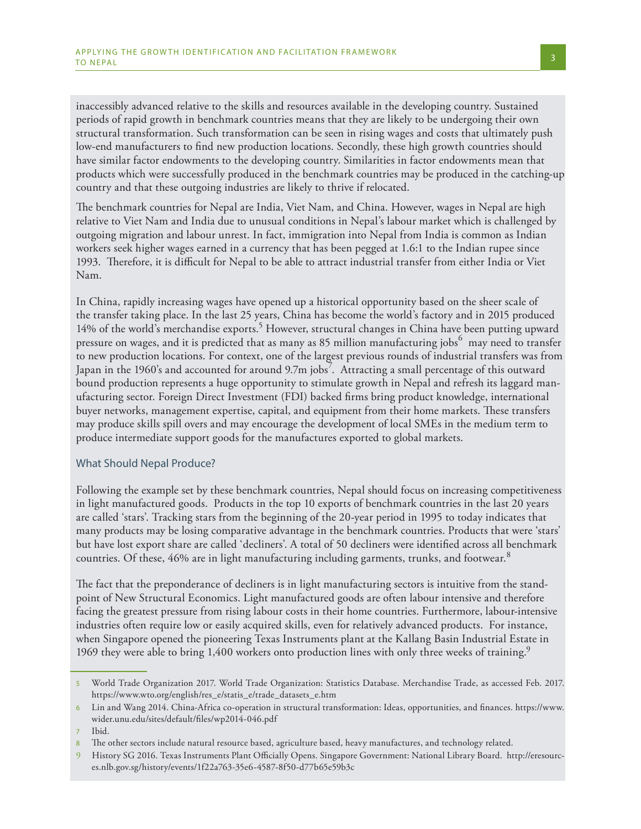inaccessibly advanced relative to the skills and resources available in the developing country. Sustained periods of rapid growth in benchmark countries means that they are likely to be undergoing their own structural transformation. Such transformation can be seen in rising wages and costs that ultimately push low-end manufacturers to find new production locations. Secondly, these high growth countries should have similar factor endowments to the developing country. Similarities in factor endowments mean that products which were successfully produced in the benchmark countries may be produced in the catching-up country and that these outgoing industries are likely to thrive if relocated.

The benchmark countries for Nepal are India, Viet Nam, and China. However, wages in Nepal are high relative to Viet Nam and India due to unusual conditions in Nepal's labour market which is challenged by outgoing migration and labour unrest. In fact, immigration into Nepal from India is common as Indian workers seek higher wages earned in a currency that has been pegged at 1.6:1 to the Indian rupee since 1993. Therefore, it is difficult for Nepal to be able to attract industrial transfer from either India or Viet Nam.

In China, rapidly increasing wages have opened up a historical opportunity based on the sheer scale of the transfer taking place. In the last 25 years, China has become the world's factory and in 2015 produced 14% of the world's merchandise exports.<sup>5</sup> However, structural changes in China have been putting upward pressure on wages, and it is predicted that as many as 85 million manufacturing jobs  $^6$  may need to transfer to new production locations. For context, one of the largest previous rounds of industrial transfers was from Japan in the 1960's and accounted for around 9.7m jobs<sup>7</sup>. Attracting a small percentage of this outward bound production represents a huge opportunity to stimulate growth in Nepal and refresh its laggard manufacturing sector. Foreign Direct Investment (FDI) backed firms bring product knowledge, international buyer networks, management expertise, capital, and equipment from their home markets. These transfers may produce skills spill overs and may encourage the development of local SMEs in the medium term to produce intermediate support goods for the manufactures exported to global markets.

### What Should Nepal Produce?

Following the example set by these benchmark countries, Nepal should focus on increasing competitiveness in light manufactured goods. Products in the top 10 exports of benchmark countries in the last 20 years are called 'stars'. Tracking stars from the beginning of the 20-year period in 1995 to today indicates that many products may be losing comparative advantage in the benchmark countries. Products that were 'stars' but have lost export share are called 'decliners'. A total of 50 decliners were identified across all benchmark countries. Of these, 46% are in light manufacturing including garments, trunks, and footwear.<sup>8</sup>

The fact that the preponderance of decliners is in light manufacturing sectors is intuitive from the standpoint of New Structural Economics. Light manufactured goods are often labour intensive and therefore facing the greatest pressure from rising labour costs in their home countries. Furthermore, labour-intensive industries often require low or easily acquired skills, even for relatively advanced products. For instance, when Singapore opened the pioneering Texas Instruments plant at the Kallang Basin Industrial Estate in 1969 they were able to bring 1,400 workers onto production lines with only three weeks of training.<sup>9</sup>

<sup>5</sup> World Trade Organization 2017. World Trade Organization: Statistics Database. Merchandise Trade, as accessed Feb. 2017. https://www.wto.org/english/res\_e/statis\_e/trade\_datasets\_e.htm

<sup>6</sup> Lin and Wang 2014. China-Africa co-operation in structural transformation: Ideas, opportunities, and finances. https://www. wider.unu.edu/sites/default/files/wp2014-046.pdf

<sup>7</sup> Ibid.

The other sectors include natural resource based, agriculture based, heavy manufactures, and technology related.

<sup>9</sup> History SG 2016. Texas Instruments Plant Officially Opens. Singapore Government: National Library Board. http://eresources.nlb.gov.sg/history/events/1f22a763-35e6-4587-8f50-d77b65e59b3c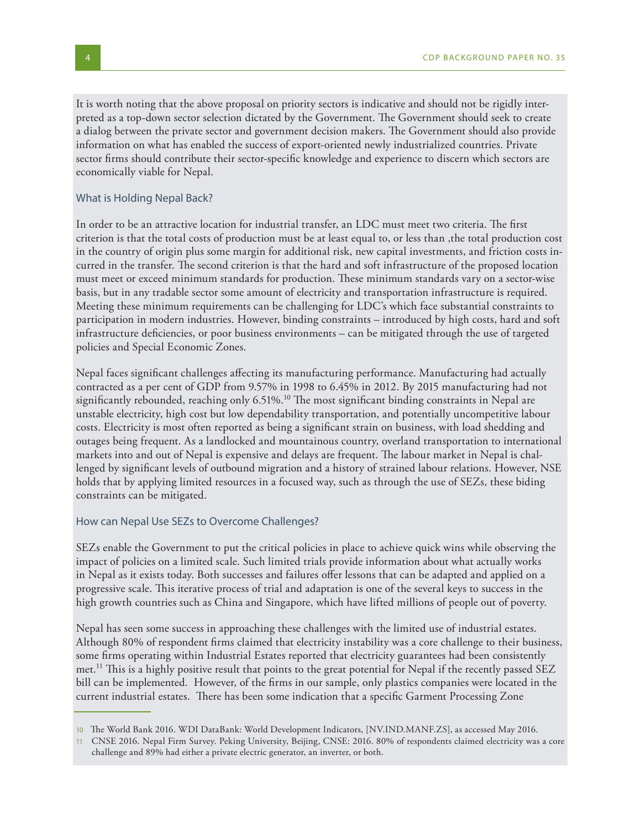It is worth noting that the above proposal on priority sectors is indicative and should not be rigidly interpreted as a top-down sector selection dictated by the Government. The Government should seek to create a dialog between the private sector and government decision makers. The Government should also provide information on what has enabled the success of export-oriented newly industrialized countries. Private sector firms should contribute their sector-specific knowledge and experience to discern which sectors are economically viable for Nepal.

#### What is Holding Nepal Back?

In order to be an attractive location for industrial transfer, an LDC must meet two criteria. The first criterion is that the total costs of production must be at least equal to, or less than ,the total production cost in the country of origin plus some margin for additional risk, new capital investments, and friction costs incurred in the transfer. The second criterion is that the hard and soft infrastructure of the proposed location must meet or exceed minimum standards for production. These minimum standards vary on a sector-wise basis, but in any tradable sector some amount of electricity and transportation infrastructure is required. Meeting these minimum requirements can be challenging for LDC's which face substantial constraints to participation in modern industries. However, binding constraints – introduced by high costs, hard and soft infrastructure deficiencies, or poor business environments – can be mitigated through the use of targeted policies and Special Economic Zones.

Nepal faces significant challenges affecting its manufacturing performance. Manufacturing had actually contracted as a per cent of GDP from 9.57% in 1998 to 6.45% in 2012. By 2015 manufacturing had not significantly rebounded, reaching only 6.51%.<sup>10</sup> The most significant binding constraints in Nepal are unstable electricity, high cost but low dependability transportation, and potentially uncompetitive labour costs. Electricity is most often reported as being a significant strain on business, with load shedding and outages being frequent. As a landlocked and mountainous country, overland transportation to international markets into and out of Nepal is expensive and delays are frequent. The labour market in Nepal is challenged by significant levels of outbound migration and a history of strained labour relations. However, NSE holds that by applying limited resources in a focused way, such as through the use of SEZs, these biding constraints can be mitigated.

#### How can Nepal Use SEZs to Overcome Challenges?

SEZs enable the Government to put the critical policies in place to achieve quick wins while observing the impact of policies on a limited scale. Such limited trials provide information about what actually works in Nepal as it exists today. Both successes and failures offer lessons that can be adapted and applied on a progressive scale. This iterative process of trial and adaptation is one of the several keys to success in the high growth countries such as China and Singapore, which have lifted millions of people out of poverty.

Nepal has seen some success in approaching these challenges with the limited use of industrial estates. Although 80% of respondent firms claimed that electricity instability was a core challenge to their business, some firms operating within Industrial Estates reported that electricity guarantees had been consistently met.<sup>11</sup> This is a highly positive result that points to the great potential for Nepal if the recently passed SEZ bill can be implemented. However, of the firms in our sample, only plastics companies were located in the current industrial estates. There has been some indication that a specific Garment Processing Zone

<sup>10</sup> The World Bank 2016. WDI DataBank: World Development Indicators, [NV.IND.MANF.ZS], as accessed May 2016.

<sup>11</sup> CNSE 2016. Nepal Firm Survey. Peking University, Beijing, CNSE: 2016. 80% of respondents claimed electricity was a core challenge and 89% had either a private electric generator, an inverter, or both.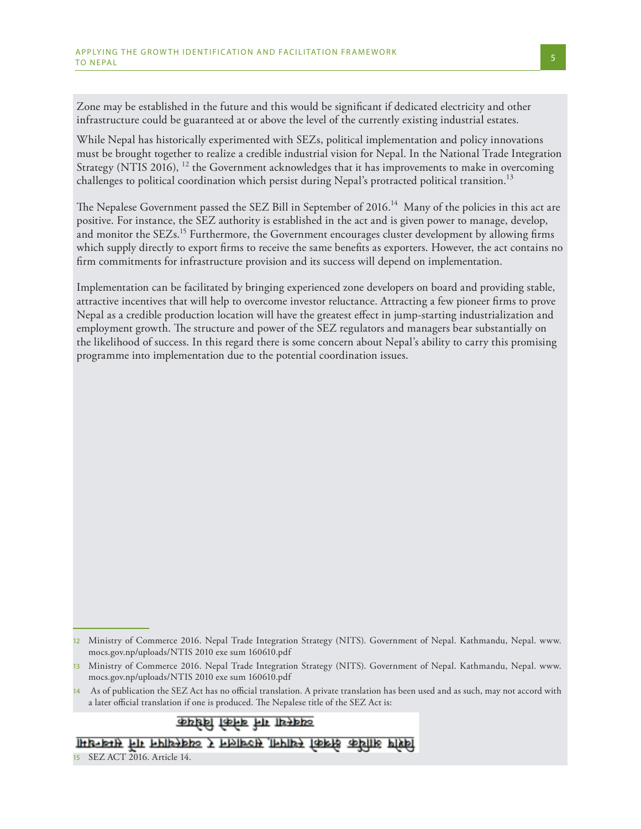Zone may be established in the future and this would be significant if dedicated electricity and other infrastructure could be guaranteed at or above the level of the currently existing industrial estates.

While Nepal has historically experimented with SEZs, political implementation and policy innovations must be brought together to realize a credible industrial vision for Nepal. In the National Trade Integration Strategy (NTIS 2016),  $^{12}$  the Government acknowledges that it has improvements to make in overcoming challenges to political coordination which persist during Nepal's protracted political transition. $^{13}$ 

The Nepalese Government passed the SEZ Bill in September of 2016. $^{14}$  Many of the policies in this act are positive. For instance, the SEZ authority is established in the act and is given power to manage, develop, and monitor the SEZs.<sup>15</sup> Furthermore, the Government encourages cluster development by allowing firms which supply directly to export firms to receive the same benefits as exporters. However, the act contains no firm commitments for infrastructure provision and its success will depend on implementation.

Implementation can be facilitated by bringing experienced zone developers on board and providing stable, attractive incentives that will help to overcome investor reluctance. Attracting a few pioneer firms to prove Nepal as a credible production location will have the greatest effect in jump-starting industrialization and employment growth. The structure and power of the SEZ regulators and managers bear substantially on the likelihood of success. In this regard there is some concern about Nepal's ability to carry this promising programme into implementation due to the potential coordination issues.

व्यवस्था गर्न बनेको विधेयक

विशेष आर्थिक क्षेत्रको स्थापना सञ्चालन र व्यवस्थापन गर्न सम्बन्धमा

<sup>12</sup> Ministry of Commerce 2016. Nepal Trade Integration Strategy (NITS). Government of Nepal. Kathmandu, Nepal. www. mocs.gov.np/uploads/NTIS 2010 exe sum 160610.pdf

<sup>13</sup> Ministry of Commerce 2016. Nepal Trade Integration Strategy (NITS). Government of Nepal. Kathmandu, Nepal. www. mocs.gov.np/uploads/NTIS 2010 exe sum 160610.pdf

<sup>14</sup> As of publication the SEZ Act has no official translation. A private translation has been used and as such, may not accord with a later official translation if one is produced. The Nepalese title of the SEZ Act is:

<sup>15</sup> SEZ ACT 2016. Article 14.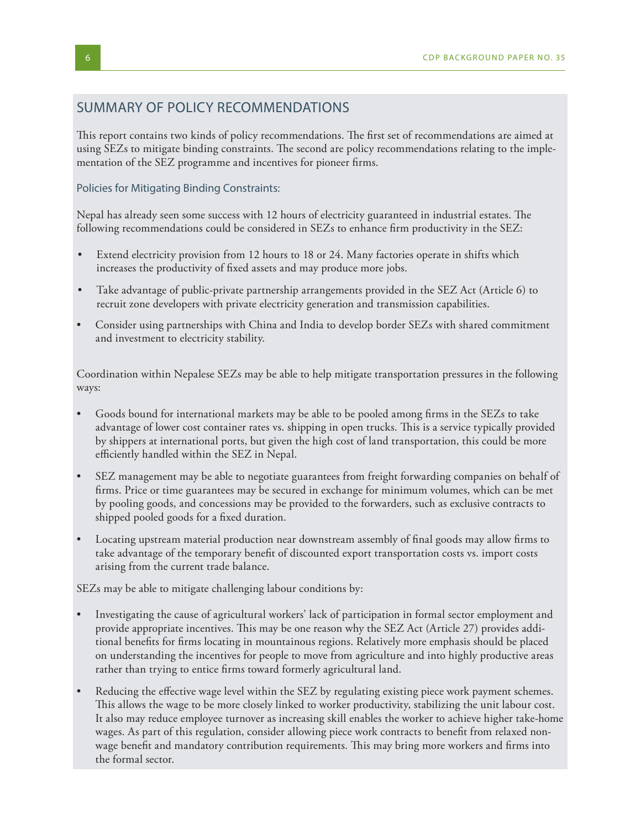## SUMMARY OF POLICY RECOMMENDATIONS

This report contains two kinds of policy recommendations. The first set of recommendations are aimed at using SEZs to mitigate binding constraints. The second are policy recommendations relating to the implementation of the SEZ programme and incentives for pioneer firms.

#### Policies for Mitigating Binding Constraints:

Nepal has already seen some success with 12 hours of electricity guaranteed in industrial estates. The following recommendations could be considered in SEZs to enhance firm productivity in the SEZ:

- Extend electricity provision from 12 hours to 18 or 24. Many factories operate in shifts which increases the productivity of fixed assets and may produce more jobs.
- Take advantage of public-private partnership arrangements provided in the SEZ Act (Article 6) to recruit zone developers with private electricity generation and transmission capabilities.
- Consider using partnerships with China and India to develop border SEZs with shared commitment and investment to electricity stability.

Coordination within Nepalese SEZs may be able to help mitigate transportation pressures in the following ways:

- Goods bound for international markets may be able to be pooled among firms in the SEZs to take advantage of lower cost container rates vs. shipping in open trucks. This is a service typically provided by shippers at international ports, but given the high cost of land transportation, this could be more efficiently handled within the SEZ in Nepal.
- SEZ management may be able to negotiate guarantees from freight forwarding companies on behalf of firms. Price or time guarantees may be secured in exchange for minimum volumes, which can be met by pooling goods, and concessions may be provided to the forwarders, such as exclusive contracts to shipped pooled goods for a fixed duration.
- Locating upstream material production near downstream assembly of final goods may allow firms to take advantage of the temporary benefit of discounted export transportation costs vs. import costs arising from the current trade balance.

SEZs may be able to mitigate challenging labour conditions by:

- Investigating the cause of agricultural workers' lack of participation in formal sector employment and provide appropriate incentives. This may be one reason why the SEZ Act (Article 27) provides additional benefits for firms locating in mountainous regions. Relatively more emphasis should be placed on understanding the incentives for people to move from agriculture and into highly productive areas rather than trying to entice firms toward formerly agricultural land.
- Reducing the effective wage level within the SEZ by regulating existing piece work payment schemes. This allows the wage to be more closely linked to worker productivity, stabilizing the unit labour cost. It also may reduce employee turnover as increasing skill enables the worker to achieve higher take-home wages. As part of this regulation, consider allowing piece work contracts to benefit from relaxed nonwage benefit and mandatory contribution requirements. This may bring more workers and firms into the formal sector.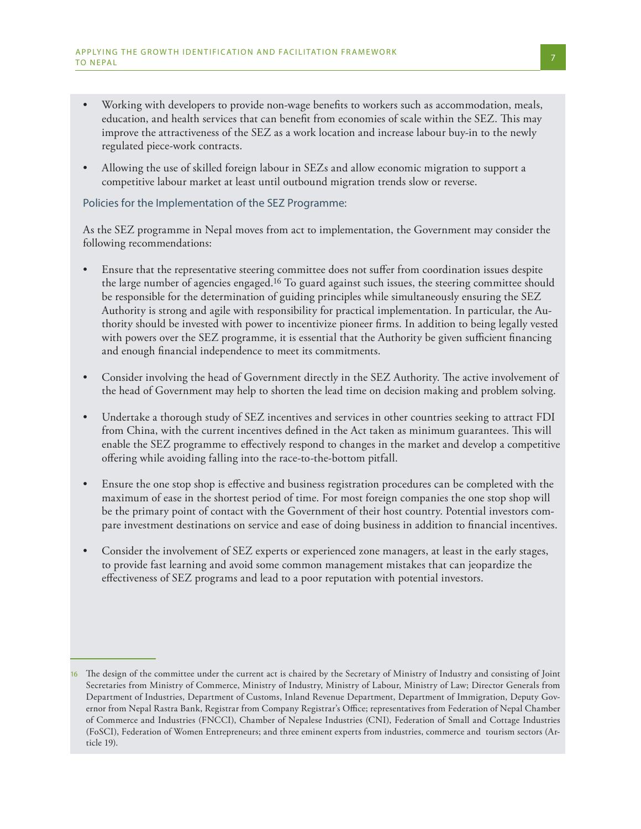- Working with developers to provide non-wage benefits to workers such as accommodation, meals, education, and health services that can benefit from economies of scale within the SEZ. This may improve the attractiveness of the SEZ as a work location and increase labour buy-in to the newly regulated piece-work contracts.
- Allowing the use of skilled foreign labour in SEZs and allow economic migration to support a competitive labour market at least until outbound migration trends slow or reverse.

### Policies for the Implementation of the SEZ Programme:

As the SEZ programme in Nepal moves from act to implementation, the Government may consider the following recommendations:

- Ensure that the representative steering committee does not suffer from coordination issues despite the large number of agencies engaged.16 To guard against such issues, the steering committee should be responsible for the determination of guiding principles while simultaneously ensuring the SEZ Authority is strong and agile with responsibility for practical implementation. In particular, the Authority should be invested with power to incentivize pioneer firms. In addition to being legally vested with powers over the SEZ programme, it is essential that the Authority be given sufficient financing and enough financial independence to meet its commitments.
- Consider involving the head of Government directly in the SEZ Authority. The active involvement of the head of Government may help to shorten the lead time on decision making and problem solving.
- Undertake a thorough study of SEZ incentives and services in other countries seeking to attract FDI from China, with the current incentives defined in the Act taken as minimum guarantees. This will enable the SEZ programme to effectively respond to changes in the market and develop a competitive offering while avoiding falling into the race-to-the-bottom pitfall.
- Ensure the one stop shop is effective and business registration procedures can be completed with the maximum of ease in the shortest period of time. For most foreign companies the one stop shop will be the primary point of contact with the Government of their host country. Potential investors compare investment destinations on service and ease of doing business in addition to financial incentives.
- Consider the involvement of SEZ experts or experienced zone managers, at least in the early stages, to provide fast learning and avoid some common management mistakes that can jeopardize the effectiveness of SEZ programs and lead to a poor reputation with potential investors.

<sup>16</sup> The design of the committee under the current act is chaired by the Secretary of Ministry of Industry and consisting of Joint Secretaries from Ministry of Commerce, Ministry of Industry, Ministry of Labour, Ministry of Law; Director Generals from Department of Industries, Department of Customs, Inland Revenue Department, Department of Immigration, Deputy Governor from Nepal Rastra Bank, Registrar from Company Registrar's Office; representatives from Federation of Nepal Chamber of Commerce and Industries (FNCCI), Chamber of Nepalese Industries (CNI), Federation of Small and Cottage Industries (FoSCI), Federation of Women Entrepreneurs; and three eminent experts from industries, commerce and tourism sectors (Article 19).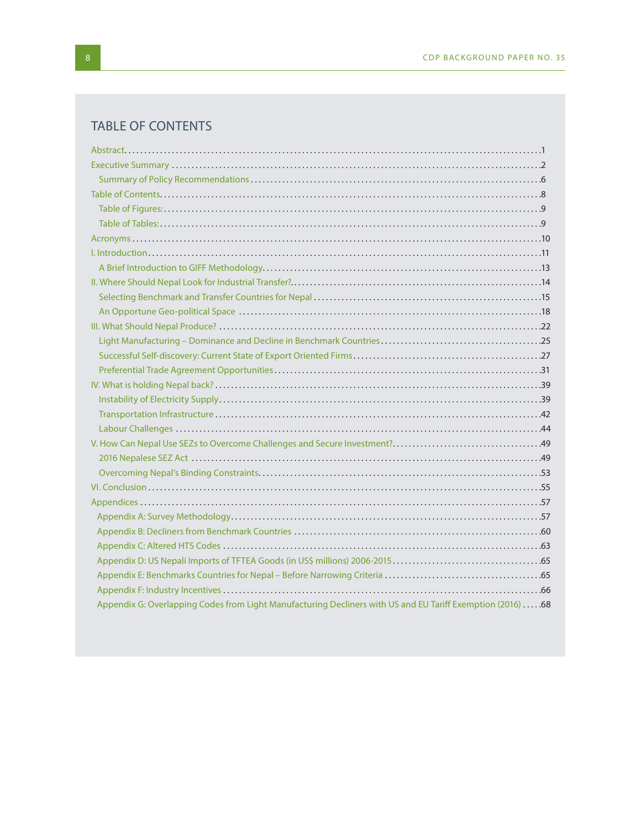# TABLE OF CONTENTS

| Appendix G: Overlapping Codes from Light Manufacturing Decliners with US and EU Tariff Exemption (2016) 68 |
|------------------------------------------------------------------------------------------------------------|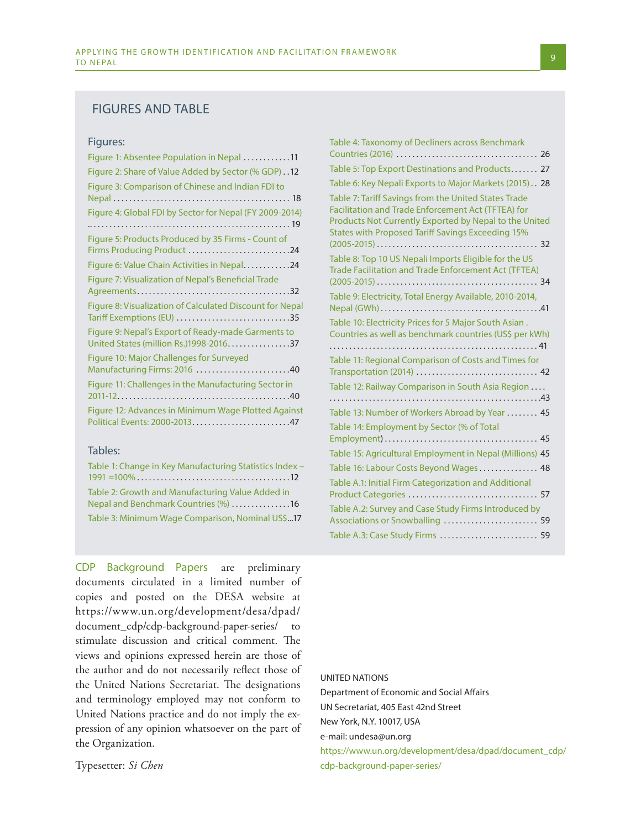#### FIGURES AND TABLE

#### Figures:

| Figure 1: Absentee Population in Nepal 11                                                    |
|----------------------------------------------------------------------------------------------|
| Figure 2: Share of Value Added by Sector (% GDP) 12                                          |
| Figure 3: Comparison of Chinese and Indian FDI to                                            |
| Figure 4: Global FDI by Sector for Nepal (FY 2009-2014)                                      |
| Figure 5: Products Produced by 35 Firms - Count of<br>Firms Producing Product 24             |
| Figure 6: Value Chain Activities in Nepal24                                                  |
| Figure 7: Visualization of Nepal's Beneficial Trade                                          |
| Figure 8: Visualization of Calculated Discount for Nepal<br>Tariff Exemptions (EU) 35        |
| Figure 9: Nepal's Export of Ready-made Garments to<br>United States (million Rs.)1998-201637 |
| Figure 10: Major Challenges for Surveyed<br>Manufacturing Firms: 2016 40                     |
| Figure 11: Challenges in the Manufacturing Sector in                                         |
| Figure 12: Advances in Minimum Wage Plotted Against<br>Political Events: 2000-201347         |

#### Tables:

| Table 1: Change in Key Manufacturing Statistics Index -                                  |
|------------------------------------------------------------------------------------------|
|                                                                                          |
| Table 2: Growth and Manufacturing Value Added in<br>Nepal and Benchmark Countries (%) 16 |
| Table 3: Minimum Wage Comparison, Nominal US\$17                                         |

CDP Background Papers are preliminary documents circulated in a limited number of copies and posted on the DESA website at https://www.un.org/development/desa/dpad/ document\_cdp/cdp-background-paper-series/ to stimulate discussion and critical comment. The views and opinions expressed herein are those of the author and do not necessarily reflect those of the United Nations Secretariat. The designations and terminology employed may not conform to United Nations practice and do not imply the expression of any opinion whatsoever on the part of the Organization.

Typesetter: *Si Chen*

| Table 4: Taxonomy of Decliners across Benchmark                                                                                                                                                                           |
|---------------------------------------------------------------------------------------------------------------------------------------------------------------------------------------------------------------------------|
| Table 5: Top Export Destinations and Products 27                                                                                                                                                                          |
| Table 6: Key Nepali Exports to Major Markets (2015). 28                                                                                                                                                                   |
| Table 7: Tariff Savings from the United States Trade<br>Facilitation and Trade Enforcement Act (TFTEA) for<br>Products Not Currently Exported by Nepal to the United<br>States with Proposed Tariff Savings Exceeding 15% |
| Table 8: Top 10 US Nepali Imports Eligible for the US<br>Trade Facilitation and Trade Enforcement Act (TFTEA)                                                                                                             |
| Table 9: Electricity, Total Energy Available, 2010-2014,                                                                                                                                                                  |
| Table 10: Electricity Prices for 5 Major South Asian.<br>Countries as well as benchmark countries (US\$ per kWh)                                                                                                          |
| Table 11: Regional Comparison of Costs and Times for<br>Transportation (2014)  42                                                                                                                                         |
| Table 12: Railway Comparison in South Asia Region                                                                                                                                                                         |
| Table 13: Number of Workers Abroad by Year  45                                                                                                                                                                            |
| Table 14: Employment by Sector (% of Total<br>45                                                                                                                                                                          |
| Table 15: Agricultural Employment in Nepal (Millions) 45                                                                                                                                                                  |
| Table 16: Labour Costs Beyond Wages 48                                                                                                                                                                                    |
| Table A.1: Initial Firm Categorization and Additional                                                                                                                                                                     |
| Table A.2: Survey and Case Study Firms Introduced by<br>Associations or Snowballing  59                                                                                                                                   |
| Table A.3: Case Study Firms  59                                                                                                                                                                                           |

#### UNITED NATIONS

Department of Economic and Social Affairs UN Secretariat, 405 East 42nd Street New York, N.Y. 10017, USA e-mail: undesa@un.org

https://www.un.org/development/desa/dpad/document\_cdp/ cdp-background-paper-series/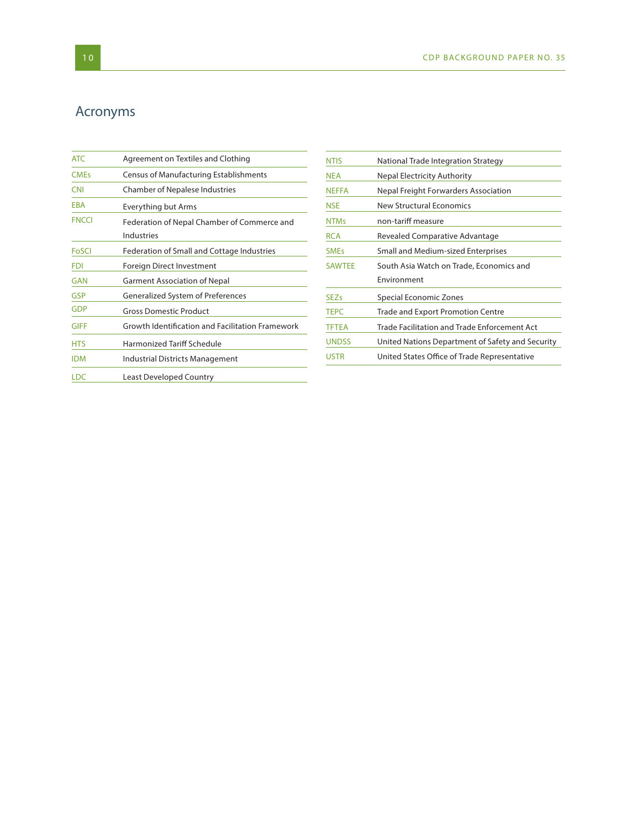# Acronyms

| <b>ATC</b>   | Agreement on Textiles and Clothing                               |
|--------------|------------------------------------------------------------------|
| <b>CMEs</b>  | <b>Census of Manufacturing Establishments</b>                    |
| <b>CNI</b>   | <b>Chamber of Nepalese Industries</b>                            |
| EBA          | Everything but Arms                                              |
| <b>FNCCI</b> | Federation of Nepal Chamber of Commerce and<br><b>Industries</b> |
| FoSCI        | Federation of Small and Cottage Industries                       |
| <b>FDI</b>   | Foreign Direct Investment                                        |
| <b>GAN</b>   | <b>Garment Association of Nepal</b>                              |
| <b>GSP</b>   | <b>Generalized System of Preferences</b>                         |
| <b>GDP</b>   | <b>Gross Domestic Product</b>                                    |
| <b>GIFF</b>  | Growth Identification and Facilitation Framework                 |
| <b>HTS</b>   | Harmonized Tariff Schedule                                       |
| <b>IDM</b>   | <b>Industrial Districts Management</b>                           |
| <b>LDC</b>   | <b>Least Developed Country</b>                                   |

| <b>NTIS</b>   | National Trade Integration Strategy              |
|---------------|--------------------------------------------------|
| <b>NEA</b>    | <b>Nepal Electricity Authority</b>               |
| <b>NEFFA</b>  | Nepal Freight Forwarders Association             |
| NSE           | New Structural Economics                         |
| <b>NTMs</b>   | non-tariff measure                               |
| RCA           | Revealed Comparative Advantage                   |
| <b>SMEs</b>   | Small and Medium-sized Enterprises               |
| <b>SAWTEE</b> | South Asia Watch on Trade, Economics and         |
|               |                                                  |
|               | Environment                                      |
| <b>SEZs</b>   | Special Economic Zones                           |
| <b>TEPC</b>   | Trade and Export Promotion Centre                |
| <b>TFTEA</b>  | Trade Facilitation and Trade Enforcement Act     |
| <b>UNDSS</b>  | United Nations Department of Safety and Security |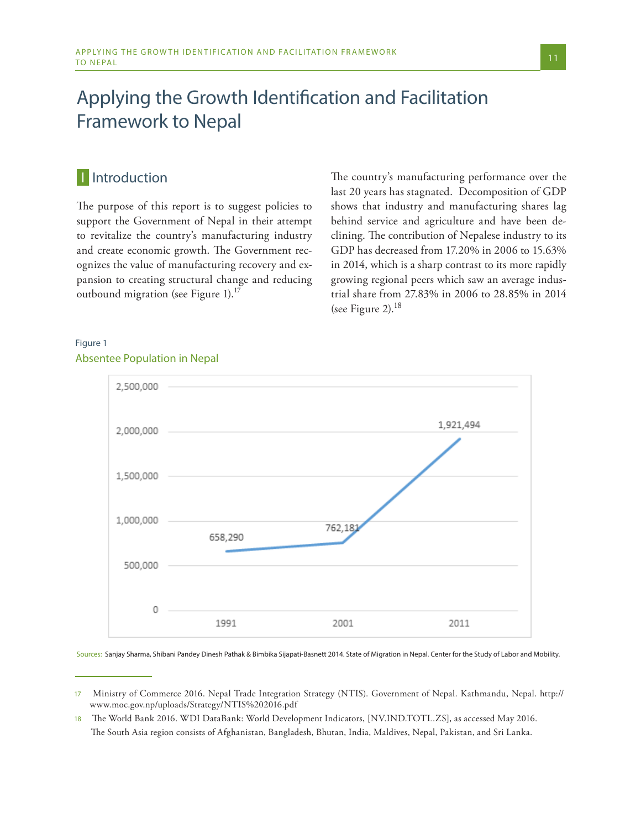# Applying the Growth Identification and Facilitation Framework to Nepal

# **I** Introduction

The purpose of this report is to suggest policies to support the Government of Nepal in their attempt to revitalize the country's manufacturing industry and create economic growth. The Government recognizes the value of manufacturing recovery and expansion to creating structural change and reducing outbound migration (see Figure 1).<sup>17</sup>

The country's manufacturing performance over the last 20 years has stagnated. Decomposition of GDP shows that industry and manufacturing shares lag behind service and agriculture and have been declining. The contribution of Nepalese industry to its GDP has decreased from 17.20% in 2006 to 15.63% in 2014, which is a sharp contrast to its more rapidly growing regional peers which saw an average industrial share from 27.83% in 2006 to 28.85% in 2014 (see Figure 2). $^{18}$ 

### Figure 1 Absentee Population in Nepal



Sources: Sanjay Sharma, Shibani Pandey Dinesh Pathak & Bimbika Sijapati-Basnett 2014. State of Migration in Nepal. Center for the Study of Labor and Mobility.

<sup>17</sup> Ministry of Commerce 2016. Nepal Trade Integration Strategy (NTIS). Government of Nepal. Kathmandu, Nepal. http:// www.moc.gov.np/uploads/Strategy/NTIS%202016.pdf

<sup>18</sup> The World Bank 2016. WDI DataBank: World Development Indicators, [NV.IND.TOTL.ZS], as accessed May 2016. The South Asia region consists of Afghanistan, Bangladesh, Bhutan, India, Maldives, Nepal, Pakistan, and Sri Lanka.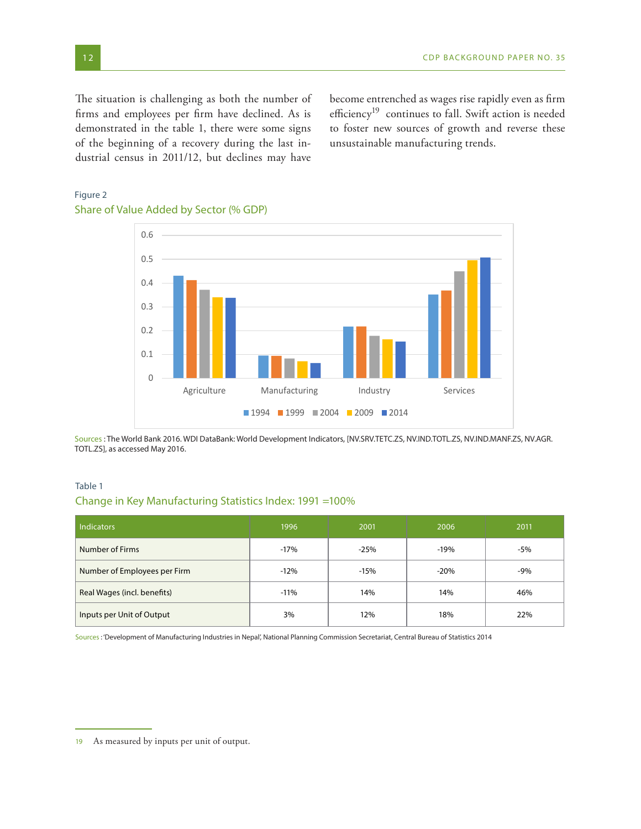The situation is challenging as both the number of firms and employees per firm have declined. As is demonstrated in the table 1, there were some signs of the beginning of a recovery during the last industrial census in 2011/12, but declines may have

become entrenched as wages rise rapidly even as firm efficiency<sup>19</sup> continues to fall. Swift action is needed to foster new sources of growth and reverse these unsustainable manufacturing trends.

# 0 0.1 0.2 0.3 0.4 0.5 0.6 Agriculture Manufacturing Industry Services 1994 1999 2004 2009 2014

### Figure 2 Share of Value Added by Sector (% GDP)

Sources : The World Bank 2016. WDI DataBank: World Development Indicators, [NV.SRV.TETC.ZS, NV.IND.TOTL.ZS, NV.IND.MANF.ZS, NV.AGR. TOTL.ZS], as accessed May 2016.

#### Table 1

### Change in Key Manufacturing Statistics Index: 1991 =100%

| <b>Indicators</b>            | 1996   | 2001   | 2006   | 2011  |
|------------------------------|--------|--------|--------|-------|
| Number of Firms              | $-17%$ | $-25%$ | $-19%$ | $-5%$ |
| Number of Employees per Firm | $-12%$ | $-15%$ | $-20%$ | $-9%$ |
| Real Wages (incl. benefits)  | $-11%$ | 14%    | 14%    | 46%   |
| Inputs per Unit of Output    | 3%     | 12%    | 18%    | 22%   |

Sources : 'Development of Manufacturing Industries in Nepal', National Planning Commission Secretariat, Central Bureau of Statistics 2014

<sup>19</sup> As measured by inputs per unit of output.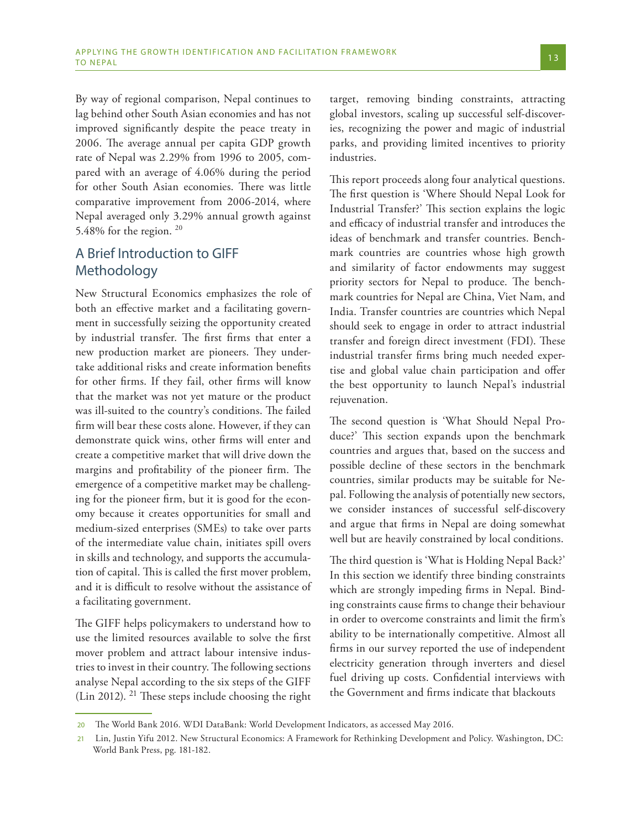By way of regional comparison, Nepal continues to lag behind other South Asian economies and has not improved significantly despite the peace treaty in 2006. The average annual per capita GDP growth rate of Nepal was 2.29% from 1996 to 2005, compared with an average of 4.06% during the period for other South Asian economies. There was little comparative improvement from 2006-2014, where Nepal averaged only 3.29% annual growth against 5.48% for the region.  $20$ 

# A Brief Introduction to GIFF Methodology

New Structural Economics emphasizes the role of both an effective market and a facilitating government in successfully seizing the opportunity created by industrial transfer. The first firms that enter a new production market are pioneers. They undertake additional risks and create information benefits for other firms. If they fail, other firms will know that the market was not yet mature or the product was ill-suited to the country's conditions. The failed firm will bear these costs alone. However, if they can demonstrate quick wins, other firms will enter and create a competitive market that will drive down the margins and profitability of the pioneer firm. The emergence of a competitive market may be challenging for the pioneer firm, but it is good for the economy because it creates opportunities for small and medium-sized enterprises (SMEs) to take over parts of the intermediate value chain, initiates spill overs in skills and technology, and supports the accumulation of capital. This is called the first mover problem, and it is difficult to resolve without the assistance of a facilitating government.

The GIFF helps policymakers to understand how to use the limited resources available to solve the first mover problem and attract labour intensive industries to invest in their country. The following sections analyse Nepal according to the six steps of the GIFF (Lin 2012). <sup>21</sup> These steps include choosing the right target, removing binding constraints, attracting global investors, scaling up successful self-discoveries, recognizing the power and magic of industrial parks, and providing limited incentives to priority industries.

This report proceeds along four analytical questions. The first question is 'Where Should Nepal Look for Industrial Transfer?' This section explains the logic and efficacy of industrial transfer and introduces the ideas of benchmark and transfer countries. Benchmark countries are countries whose high growth and similarity of factor endowments may suggest priority sectors for Nepal to produce. The benchmark countries for Nepal are China, Viet Nam, and India. Transfer countries are countries which Nepal should seek to engage in order to attract industrial transfer and foreign direct investment (FDI). These industrial transfer firms bring much needed expertise and global value chain participation and offer the best opportunity to launch Nepal's industrial rejuvenation.

The second question is 'What Should Nepal Produce?' This section expands upon the benchmark countries and argues that, based on the success and possible decline of these sectors in the benchmark countries, similar products may be suitable for Nepal. Following the analysis of potentially new sectors, we consider instances of successful self-discovery and argue that firms in Nepal are doing somewhat well but are heavily constrained by local conditions.

The third question is 'What is Holding Nepal Back?' In this section we identify three binding constraints which are strongly impeding firms in Nepal. Binding constraints cause firms to change their behaviour in order to overcome constraints and limit the firm's ability to be internationally competitive. Almost all firms in our survey reported the use of independent electricity generation through inverters and diesel fuel driving up costs. Confidential interviews with the Government and firms indicate that blackouts

<sup>20</sup> The World Bank 2016. WDI DataBank: World Development Indicators, as accessed May 2016.

<sup>21</sup> Lin, Justin Yifu 2012. New Structural Economics: A Framework for Rethinking Development and Policy. Washington, DC: World Bank Press, pg. 181-182.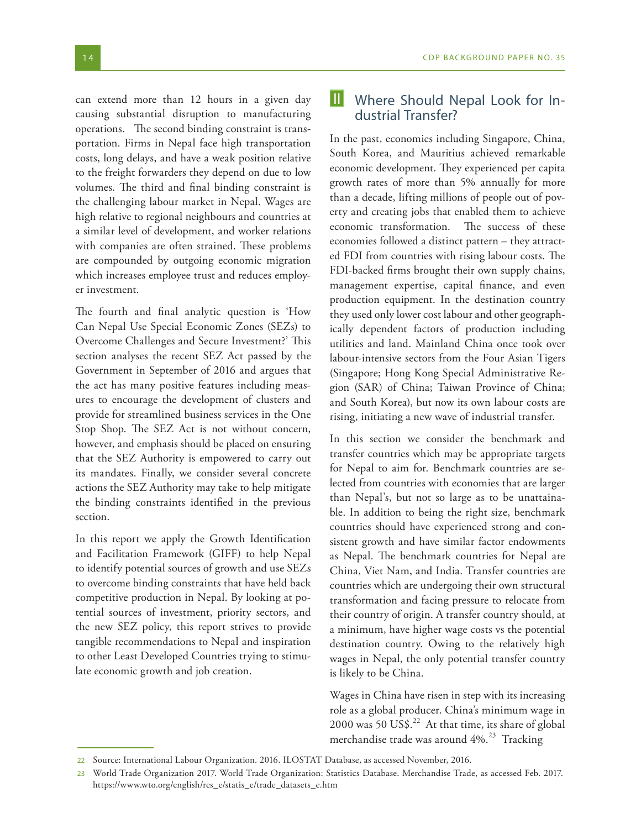can extend more than 12 hours in a given day causing substantial disruption to manufacturing operations. The second binding constraint is transportation. Firms in Nepal face high transportation costs, long delays, and have a weak position relative to the freight forwarders they depend on due to low volumes. The third and final binding constraint is the challenging labour market in Nepal. Wages are high relative to regional neighbours and countries at a similar level of development, and worker relations with companies are often strained. These problems are compounded by outgoing economic migration which increases employee trust and reduces employer investment.

The fourth and final analytic question is 'How Can Nepal Use Special Economic Zones (SEZs) to Overcome Challenges and Secure Investment?' This section analyses the recent SEZ Act passed by the Government in September of 2016 and argues that the act has many positive features including measures to encourage the development of clusters and provide for streamlined business services in the One Stop Shop. The SEZ Act is not without concern, however, and emphasis should be placed on ensuring that the SEZ Authority is empowered to carry out its mandates. Finally, we consider several concrete actions the SEZ Authority may take to help mitigate the binding constraints identified in the previous section.

In this report we apply the Growth Identification and Facilitation Framework (GIFF) to help Nepal to identify potential sources of growth and use SEZs to overcome binding constraints that have held back competitive production in Nepal. By looking at potential sources of investment, priority sectors, and the new SEZ policy, this report strives to provide tangible recommendations to Nepal and inspiration to other Least Developed Countries trying to stimulate economic growth and job creation.

## Where Should Nepal Look for In-<br>dustrial Transfer? II

In the past, economies including Singapore, China, South Korea, and Mauritius achieved remarkable economic development. They experienced per capita growth rates of more than 5% annually for more than a decade, lifting millions of people out of poverty and creating jobs that enabled them to achieve economic transformation. The success of these economies followed a distinct pattern – they attracted FDI from countries with rising labour costs. The FDI-backed firms brought their own supply chains, management expertise, capital finance, and even production equipment. In the destination country they used only lower cost labour and other geographically dependent factors of production including utilities and land. Mainland China once took over labour-intensive sectors from the Four Asian Tigers (Singapore; Hong Kong Special Administrative Region (SAR) of China; Taiwan Province of China; and South Korea), but now its own labour costs are rising, initiating a new wave of industrial transfer.

In this section we consider the benchmark and transfer countries which may be appropriate targets for Nepal to aim for. Benchmark countries are selected from countries with economies that are larger than Nepal's, but not so large as to be unattainable. In addition to being the right size, benchmark countries should have experienced strong and consistent growth and have similar factor endowments as Nepal. The benchmark countries for Nepal are China, Viet Nam, and India. Transfer countries are countries which are undergoing their own structural transformation and facing pressure to relocate from their country of origin. A transfer country should, at a minimum, have higher wage costs vs the potential destination country. Owing to the relatively high wages in Nepal, the only potential transfer country is likely to be China.

Wages in China have risen in step with its increasing role as a global producer. China's minimum wage in 2000 was 50 US\$.<sup>22</sup> At that time, its share of global merchandise trade was around  $4\%$ <sup>23</sup> Tracking

<sup>22</sup> Source: International Labour Organization. 2016. ILOSTAT Database, as accessed November, 2016.

<sup>23</sup> World Trade Organization 2017. World Trade Organization: Statistics Database. Merchandise Trade, as accessed Feb. 2017. https://www.wto.org/english/res\_e/statis\_e/trade\_datasets\_e.htm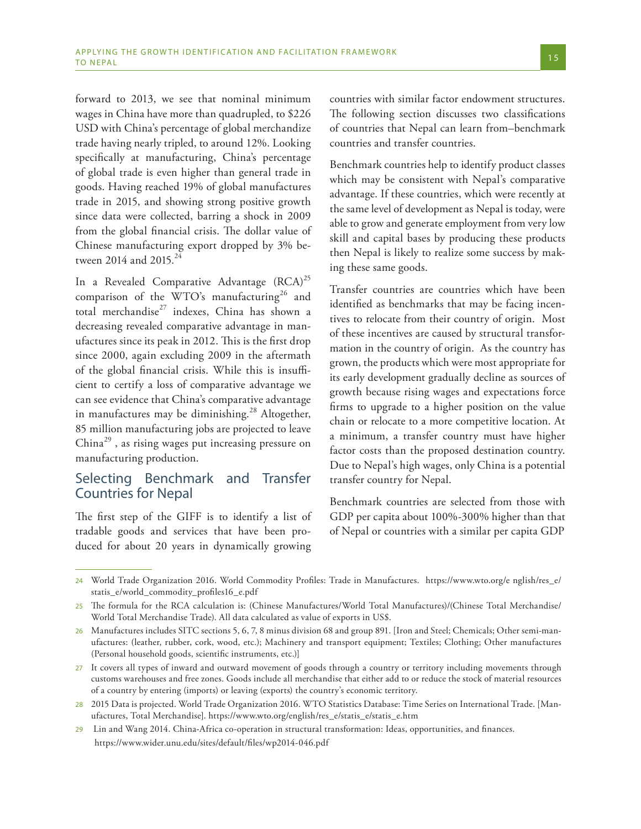forward to 2013, we see that nominal minimum wages in China have more than quadrupled, to \$226 USD with China's percentage of global merchandize trade having nearly tripled, to around 12%. Looking specifically at manufacturing, China's percentage of global trade is even higher than general trade in goods. Having reached 19% of global manufactures trade in 2015, and showing strong positive growth since data were collected, barring a shock in 2009 from the global financial crisis. The dollar value of Chinese manufacturing export dropped by 3% between 2014 and 2015.<sup>24</sup>

In a Revealed Comparative Advantage  $(RCA)^{25}$ comparison of the WTO's manufacturing<sup>26</sup> and total merchandise $^{27}$  indexes, China has shown a decreasing revealed comparative advantage in manufactures since its peak in 2012. This is the first drop since 2000, again excluding 2009 in the aftermath of the global financial crisis. While this is insufficient to certify a loss of comparative advantage we can see evidence that China's comparative advantage in manufactures may be diminishing.<sup>28</sup> Altogether, 85 million manufacturing jobs are projected to leave China $^{29}$ , as rising wages put increasing pressure on manufacturing production.

## Selecting Benchmark and Transfer Countries for Nepal

The first step of the GIFF is to identify a list of tradable goods and services that have been produced for about 20 years in dynamically growing

countries with similar factor endowment structures. The following section discusses two classifications of countries that Nepal can learn from–benchmark countries and transfer countries.

Benchmark countries help to identify product classes which may be consistent with Nepal's comparative advantage. If these countries, which were recently at the same level of development as Nepal is today, were able to grow and generate employment from very low skill and capital bases by producing these products then Nepal is likely to realize some success by making these same goods.

Transfer countries are countries which have been identified as benchmarks that may be facing incentives to relocate from their country of origin. Most of these incentives are caused by structural transformation in the country of origin. As the country has grown, the products which were most appropriate for its early development gradually decline as sources of growth because rising wages and expectations force firms to upgrade to a higher position on the value chain or relocate to a more competitive location. At a minimum, a transfer country must have higher factor costs than the proposed destination country. Due to Nepal's high wages, only China is a potential transfer country for Nepal.

Benchmark countries are selected from those with GDP per capita about 100%-300% higher than that of Nepal or countries with a similar per capita GDP

<sup>24</sup> World Trade Organization 2016. World Commodity Profiles: Trade in Manufactures. https://www.wto.org/e nglish/res\_e/ statis\_e/world\_commodity\_profiles16\_e.pdf

<sup>25</sup> The formula for the RCA calculation is: (Chinese Manufactures/World Total Manufactures)/(Chinese Total Merchandise/ World Total Merchandise Trade). All data calculated as value of exports in US\$.

<sup>26</sup> Manufactures includes SITC sections 5, 6, 7, 8 minus division 68 and group 891. [Iron and Steel; Chemicals; Other semi-manufactures: (leather, rubber, cork, wood, etc.); Machinery and transport equipment; Textiles; Clothing; Other manufactures (Personal household goods, scientific instruments, etc.)]

<sup>27</sup> It covers all types of inward and outward movement of goods through a country or territory including movements through customs warehouses and free zones. Goods include all merchandise that either add to or reduce the stock of material resources of a country by entering (imports) or leaving (exports) the country's economic territory.

<sup>28</sup> 2015 Data is projected. World Trade Organization 2016. WTO Statistics Database: Time Series on International Trade. [Manufactures, Total Merchandise]. https://www.wto.org/english/res\_e/statis\_e/statis\_e.htm

<sup>29</sup> Lin and Wang 2014. China-Africa co-operation in structural transformation: Ideas, opportunities, and finances. https://www.wider.unu.edu/sites/default/files/wp2014-046.pdf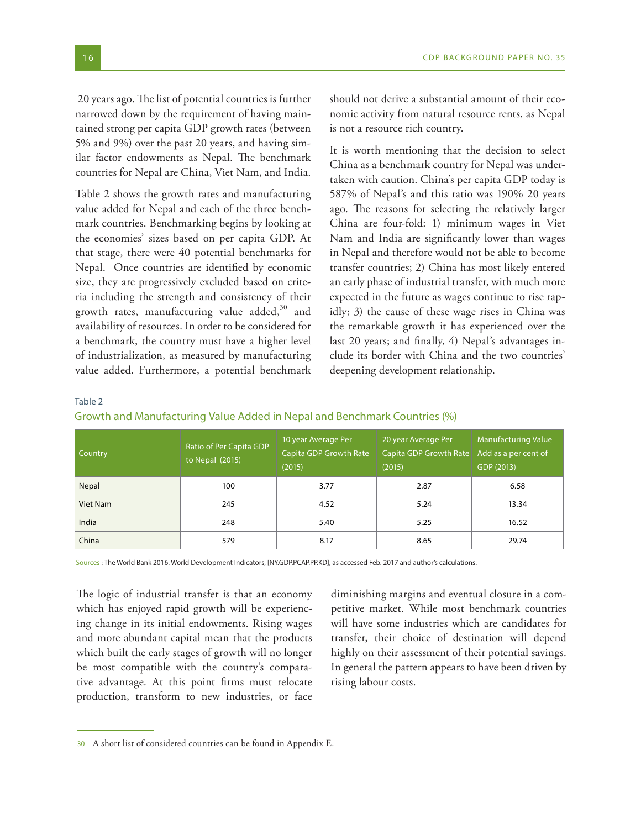20 years ago. The list of potential countries is further narrowed down by the requirement of having maintained strong per capita GDP growth rates (between 5% and 9%) over the past 20 years, and having similar factor endowments as Nepal. The benchmark countries for Nepal are China, Viet Nam, and India.

Table 2 shows the growth rates and manufacturing value added for Nepal and each of the three benchmark countries. Benchmarking begins by looking at the economies' sizes based on per capita GDP. At that stage, there were 40 potential benchmarks for Nepal. Once countries are identified by economic size, they are progressively excluded based on criteria including the strength and consistency of their growth rates, manufacturing value added, $30$  and availability of resources. In order to be considered for a benchmark, the country must have a higher level of industrialization, as measured by manufacturing value added. Furthermore, a potential benchmark should not derive a substantial amount of their economic activity from natural resource rents, as Nepal is not a resource rich country.

It is worth mentioning that the decision to select China as a benchmark country for Nepal was undertaken with caution. China's per capita GDP today is 587% of Nepal's and this ratio was 190% 20 years ago. The reasons for selecting the relatively larger China are four-fold: 1) minimum wages in Viet Nam and India are significantly lower than wages in Nepal and therefore would not be able to become transfer countries; 2) China has most likely entered an early phase of industrial transfer, with much more expected in the future as wages continue to rise rapidly; 3) the cause of these wage rises in China was the remarkable growth it has experienced over the last 20 years; and finally, 4) Nepal's advantages include its border with China and the two countries' deepening development relationship.

#### Table 2

| Growth and Manufacturing Value Added in Nepal and Benchmark Countries (%) |  |
|---------------------------------------------------------------------------|--|
|---------------------------------------------------------------------------|--|

| Country  | Ratio of Per Capita GDP<br>to Nepal $(2015)$ | 10 year Average Per<br>Capita GDP Growth Rate<br>(2015) | 20 year Average Per<br>Capita GDP Growth Rate<br>(2015) | <b>Manufacturing Value</b><br>Add as a per cent of<br>GDP (2013) |  |
|----------|----------------------------------------------|---------------------------------------------------------|---------------------------------------------------------|------------------------------------------------------------------|--|
| Nepal    | 100                                          | 3.77                                                    | 2.87                                                    | 6.58                                                             |  |
| Viet Nam | 245                                          | 4.52                                                    | 5.24                                                    | 13.34                                                            |  |
| India    | 248                                          | 5.40                                                    | 5.25                                                    | 16.52                                                            |  |
| China    | 579                                          | 8.17                                                    | 8.65                                                    | 29.74                                                            |  |

Sources : The World Bank 2016. World Development Indicators, [NY.GDP.PCAP.PP.KD], as accessed Feb. 2017 and author's calculations.

The logic of industrial transfer is that an economy which has enjoyed rapid growth will be experiencing change in its initial endowments. Rising wages and more abundant capital mean that the products which built the early stages of growth will no longer be most compatible with the country's comparative advantage. At this point firms must relocate production, transform to new industries, or face

diminishing margins and eventual closure in a competitive market. While most benchmark countries will have some industries which are candidates for transfer, their choice of destination will depend highly on their assessment of their potential savings. In general the pattern appears to have been driven by rising labour costs.

<sup>30</sup> A short list of considered countries can be found in Appendix E.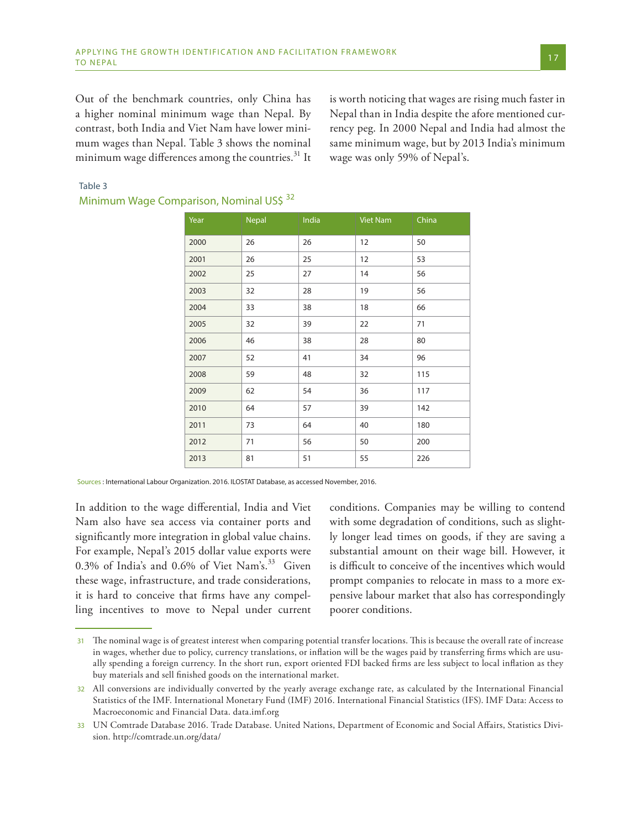Out of the benchmark countries, only China has a higher nominal minimum wage than Nepal. By contrast, both India and Viet Nam have lower minimum wages than Nepal. Table 3 shows the nominal minimum wage differences among the countries. $^{31}$  It

is worth noticing that wages are rising much faster in Nepal than in India despite the afore mentioned currency peg. In 2000 Nepal and India had almost the same minimum wage, but by 2013 India's minimum wage was only 59% of Nepal's.

#### Table 3

| Year | <b>Nepal</b> | India | Viet Nam | China |
|------|--------------|-------|----------|-------|
| 2000 | 26           | 26    | 12       | 50    |
| 2001 | 26           | 25    | 12       | 53    |
| 2002 | 25           | 27    | 14       | 56    |
| 2003 | 32           | 28    | 19       | 56    |
| 2004 | 33           | 38    | 18       | 66    |
| 2005 | 32           | 39    | 22       | 71    |
| 2006 | 46           | 38    | 28       | 80    |
| 2007 | 52           | 41    | 34       | 96    |
| 2008 | 59           | 48    | 32       | 115   |
| 2009 | 62           | 54    | 36       | 117   |
| 2010 | 64           | 57    | 39       | 142   |
| 2011 | 73           | 64    | 40       | 180   |
| 2012 | 71           | 56    | 50       | 200   |
| 2013 | 81           | 51    | 55       | 226   |

## Minimum Wage Comparison, Nominal US\$ 32

Sources : International Labour Organization. 2016. ILOSTAT Database, as accessed November, 2016.

In addition to the wage differential, India and Viet Nam also have sea access via container ports and significantly more integration in global value chains. For example, Nepal's 2015 dollar value exports were 0.3% of India's and 0.6% of Viet Nam's.<sup>33</sup> Given these wage, infrastructure, and trade considerations, it is hard to conceive that firms have any compelling incentives to move to Nepal under current

conditions. Companies may be willing to contend with some degradation of conditions, such as slightly longer lead times on goods, if they are saving a substantial amount on their wage bill. However, it is difficult to conceive of the incentives which would prompt companies to relocate in mass to a more expensive labour market that also has correspondingly poorer conditions.

<sup>31</sup> The nominal wage is of greatest interest when comparing potential transfer locations. This is because the overall rate of increase in wages, whether due to policy, currency translations, or inflation will be the wages paid by transferring firms which are usually spending a foreign currency. In the short run, export oriented FDI backed firms are less subject to local inflation as they buy materials and sell finished goods on the international market.

<sup>32</sup> All conversions are individually converted by the yearly average exchange rate, as calculated by the International Financial Statistics of the IMF. International Monetary Fund (IMF) 2016. International Financial Statistics (IFS). IMF Data: Access to Macroeconomic and Financial Data. data.imf.org

<sup>33</sup> UN Comtrade Database 2016. Trade Database. United Nations, Department of Economic and Social Affairs, Statistics Division. http://comtrade.un.org/data/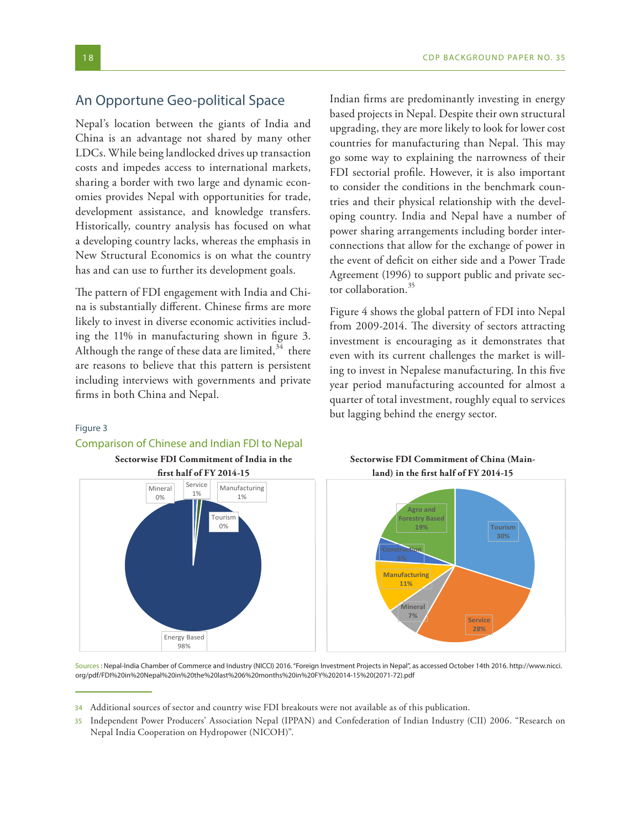## An Opportune Geo-political Space

Nepal's location between the giants of India and China is an advantage not shared by many other LDCs. While being landlocked drives up transaction costs and impedes access to international markets, sharing a border with two large and dynamic economies provides Nepal with opportunities for trade, development assistance, and knowledge transfers. Historically, country analysis has focused on what a developing country lacks, whereas the emphasis in New Structural Economics is on what the country has and can use to further its development goals.

The pattern of FDI engagement with India and China is substantially different. Chinese firms are more likely to invest in diverse economic activities including the 11% in manufacturing shown in figure 3. Although the range of these data are limited,  $34$  there are reasons to believe that this pattern is persistent including interviews with governments and private firms in both China and Nepal.

Indian firms are predominantly investing in energy based projects in Nepal. Despite their own structural upgrading, they are more likely to look for lower cost countries for manufacturing than Nepal. This may go some way to explaining the narrowness of their FDI sectorial profile. However, it is also important to consider the conditions in the benchmark countries and their physical relationship with the developing country. India and Nepal have a number of power sharing arrangements including border interconnections that allow for the exchange of power in the event of deficit on either side and a Power Trade Agreement (1996) to support public and private sector collaboration.<sup>35</sup>

Figure 4 shows the global pattern of FDI into Nepal from 2009-2014. The diversity of sectors attracting investment is encouraging as it demonstrates that even with its current challenges the market is willing to invest in Nepalese manufacturing. In this five year period manufacturing accounted for almost a quarter of total investment, roughly equal to services but lagging behind the energy sector.

#### Figure 3

## Comparison of Chinese and Indian FDI to Nepal



Sources : Nepal-India Chamber of Commerce and Industry (NICCI) 2016. "Foreign Investment Projects in Nepal", as accessed October 14th 2016. http://www.nicci. org/pdf/FDI%20in%20Nepal%20in%20the%20last%206%20months%20in%20FY%202014-15%20(2071-72).pdf

<sup>34</sup> Additional sources of sector and country wise FDI breakouts were not available as of this publication.

<sup>35</sup> Independent Power Producers' Association Nepal (IPPAN) and Confederation of Indian Industry (CII) 2006. "Research on Nepal India Cooperation on Hydropower (NICOH)".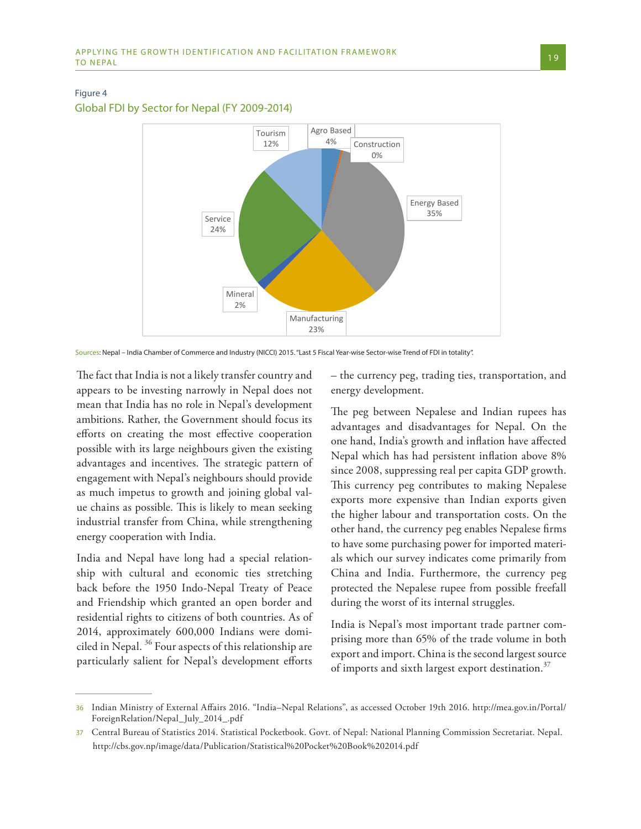#### Figure 4

Global FDI by Sector for Nepal (FY 2009-2014)



Sources: Nepal – India Chamber of Commerce and Industry (NICCI) 2015. "Last 5 Fiscal Year-wise Sector-wise Trend of FDI in totality".

The fact that India is not a likely transfer country and appears to be investing narrowly in Nepal does not mean that India has no role in Nepal's development ambitions. Rather, the Government should focus its efforts on creating the most effective cooperation possible with its large neighbours given the existing advantages and incentives. The strategic pattern of engagement with Nepal's neighbours should provide as much impetus to growth and joining global value chains as possible. This is likely to mean seeking industrial transfer from China, while strengthening energy cooperation with India.

India and Nepal have long had a special relationship with cultural and economic ties stretching back before the 1950 Indo-Nepal Treaty of Peace and Friendship which granted an open border and residential rights to citizens of both countries. As of 2014, approximately 600,000 Indians were domiciled in Nepal. 36 Four aspects of this relationship are particularly salient for Nepal's development efforts

– the currency peg, trading ties, transportation, and energy development.

The peg between Nepalese and Indian rupees has advantages and disadvantages for Nepal. On the one hand, India's growth and inflation have affected Nepal which has had persistent inflation above 8% since 2008, suppressing real per capita GDP growth. This currency peg contributes to making Nepalese exports more expensive than Indian exports given the higher labour and transportation costs. On the other hand, the currency peg enables Nepalese firms to have some purchasing power for imported materials which our survey indicates come primarily from China and India. Furthermore, the currency peg protected the Nepalese rupee from possible freefall during the worst of its internal struggles.

India is Nepal's most important trade partner comprising more than 65% of the trade volume in both export and import. China is the second largest source of imports and sixth largest export destination. $37$ 

<sup>36</sup> Indian Ministry of External Affairs 2016. "India–Nepal Relations", as accessed October 19th 2016. http://mea.gov.in/Portal/ ForeignRelation/Nepal\_July\_2014\_.pdf

<sup>37</sup> Central Bureau of Statistics 2014. Statistical Pocketbook. Govt. of Nepal: National Planning Commission Secretariat. Nepal. http://cbs.gov.np/image/data/Publication/Statistical%20Pocket%20Book%202014.pdf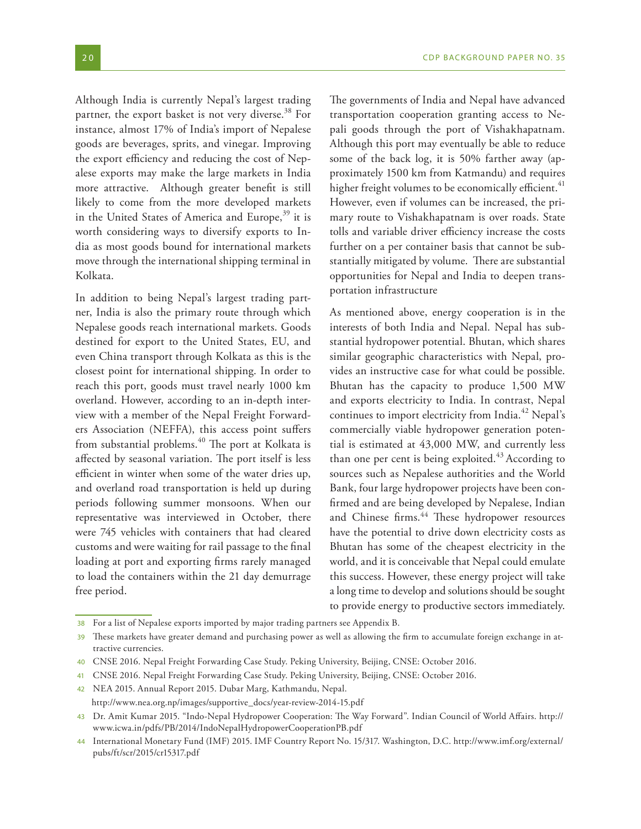The governments of India and Nepal have advanced

partner, the export basket is not very diverse.<sup>38</sup> For instance, almost 17% of India's import of Nepalese goods are beverages, sprits, and vinegar. Improving the export efficiency and reducing the cost of Nepalese exports may make the large markets in India more attractive. Although greater benefit is still likely to come from the more developed markets in the United States of America and Europe,<sup>39</sup> it is worth considering ways to diversify exports to India as most goods bound for international markets move through the international shipping terminal in Kolkata.

In addition to being Nepal's largest trading partner, India is also the primary route through which Nepalese goods reach international markets. Goods destined for export to the United States, EU, and even China transport through Kolkata as this is the closest point for international shipping. In order to reach this port, goods must travel nearly 1000 km overland. However, according to an in-depth interview with a member of the Nepal Freight Forwarders Association (NEFFA), this access point suffers from substantial problems.<sup>40</sup> The port at Kolkata is affected by seasonal variation. The port itself is less efficient in winter when some of the water dries up, and overland road transportation is held up during periods following summer monsoons. When our representative was interviewed in October, there were 745 vehicles with containers that had cleared customs and were waiting for rail passage to the final loading at port and exporting firms rarely managed to load the containers within the 21 day demurrage free period.

transportation cooperation granting access to Nepali goods through the port of Vishakhapatnam. Although this port may eventually be able to reduce some of the back log, it is 50% farther away (approximately 1500 km from Katmandu) and requires higher freight volumes to be economically efficient.<sup>41</sup> However, even if volumes can be increased, the primary route to Vishakhapatnam is over roads. State tolls and variable driver efficiency increase the costs further on a per container basis that cannot be substantially mitigated by volume. There are substantial opportunities for Nepal and India to deepen transportation infrastructure

As mentioned above, energy cooperation is in the interests of both India and Nepal. Nepal has substantial hydropower potential. Bhutan, which shares similar geographic characteristics with Nepal, provides an instructive case for what could be possible. Bhutan has the capacity to produce 1,500 MW and exports electricity to India. In contrast, Nepal continues to import electricity from India.<sup>42</sup> Nepal's commercially viable hydropower generation potential is estimated at 43,000 MW, and currently less than one per cent is being exploited.<sup>43</sup> According to sources such as Nepalese authorities and the World Bank, four large hydropower projects have been confirmed and are being developed by Nepalese, Indian and Chinese firms.<sup>44</sup> These hydropower resources have the potential to drive down electricity costs as Bhutan has some of the cheapest electricity in the world, and it is conceivable that Nepal could emulate this success. However, these energy project will take a long time to develop and solutions should be sought to provide energy to productive sectors immediately.

<sup>38</sup> For a list of Nepalese exports imported by major trading partners see Appendix B.

<sup>39</sup> These markets have greater demand and purchasing power as well as allowing the firm to accumulate foreign exchange in attractive currencies.

<sup>40</sup> CNSE 2016. Nepal Freight Forwarding Case Study. Peking University, Beijing, CNSE: October 2016.

<sup>41</sup> CNSE 2016. Nepal Freight Forwarding Case Study. Peking University, Beijing, CNSE: October 2016.

<sup>42</sup> NEA 2015. Annual Report 2015. Dubar Marg, Kathmandu, Nepal. http://www.nea.org.np/images/supportive\_docs/year-review-2014-15.pdf

<sup>43</sup> Dr. Amit Kumar 2015. "Indo-Nepal Hydropower Cooperation: The Way Forward". Indian Council of World Affairs. http:// www.icwa.in/pdfs/PB/2014/IndoNepalHydropowerCooperationPB.pdf

<sup>44</sup> International Monetary Fund (IMF) 2015. IMF Country Report No. 15/317. Washington, D.C. http://www.imf.org/external/ pubs/ft/scr/2015/cr15317.pdf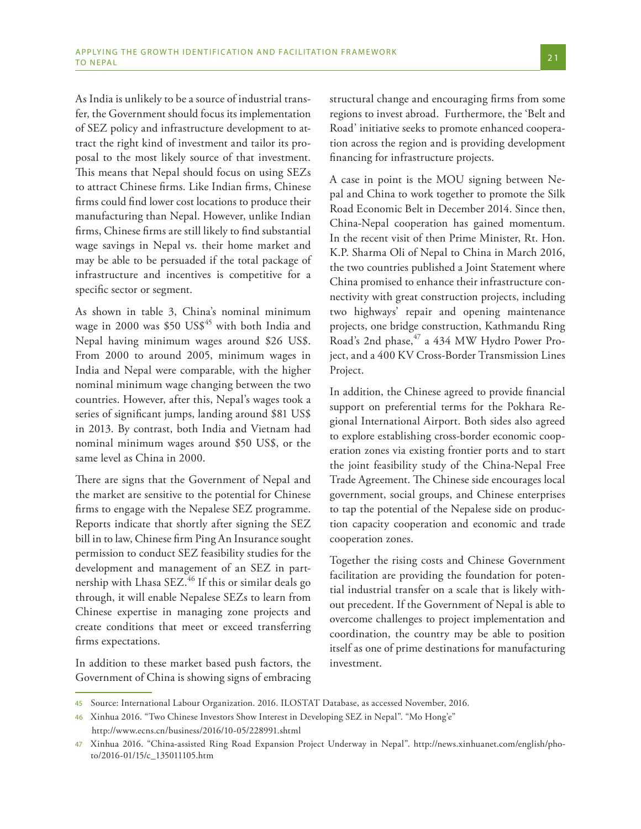As India is unlikely to be a source of industrial transfer, the Government should focus its implementation of SEZ policy and infrastructure development to attract the right kind of investment and tailor its proposal to the most likely source of that investment. This means that Nepal should focus on using SEZs to attract Chinese firms. Like Indian firms, Chinese firms could find lower cost locations to produce their manufacturing than Nepal. However, unlike Indian firms, Chinese firms are still likely to find substantial wage savings in Nepal vs. their home market and may be able to be persuaded if the total package of infrastructure and incentives is competitive for a specific sector or segment.

As shown in table 3, China's nominal minimum wage in 2000 was \$50 US\$<sup>45</sup> with both India and Nepal having minimum wages around \$26 US\$. From 2000 to around 2005, minimum wages in India and Nepal were comparable, with the higher nominal minimum wage changing between the two countries. However, after this, Nepal's wages took a series of significant jumps, landing around \$81 US\$ in 2013. By contrast, both India and Vietnam had nominal minimum wages around \$50 US\$, or the same level as China in 2000.

There are signs that the Government of Nepal and the market are sensitive to the potential for Chinese firms to engage with the Nepalese SEZ programme. Reports indicate that shortly after signing the SEZ bill in to law, Chinese firm Ping An Insurance sought permission to conduct SEZ feasibility studies for the development and management of an SEZ in partnership with Lhasa SEZ.<sup>46</sup> If this or similar deals go through, it will enable Nepalese SEZs to learn from Chinese expertise in managing zone projects and create conditions that meet or exceed transferring firms expectations.

In addition to these market based push factors, the Government of China is showing signs of embracing structural change and encouraging firms from some regions to invest abroad. Furthermore, the 'Belt and Road' initiative seeks to promote enhanced cooperation across the region and is providing development financing for infrastructure projects.

A case in point is the MOU signing between Nepal and China to work together to promote the Silk Road Economic Belt in December 2014. Since then, China-Nepal cooperation has gained momentum. In the recent visit of then Prime Minister, Rt. Hon. K.P. Sharma Oli of Nepal to China in March 2016, the two countries published a Joint Statement where China promised to enhance their infrastructure connectivity with great construction projects, including two highways' repair and opening maintenance projects, one bridge construction, Kathmandu Ring Road's 2nd phase,<sup>47</sup> a 434 MW Hydro Power Project, and a 400 KV Cross-Border Transmission Lines Project.

In addition, the Chinese agreed to provide financial support on preferential terms for the Pokhara Regional International Airport. Both sides also agreed to explore establishing cross-border economic cooperation zones via existing frontier ports and to start the joint feasibility study of the China-Nepal Free Trade Agreement. The Chinese side encourages local government, social groups, and Chinese enterprises to tap the potential of the Nepalese side on production capacity cooperation and economic and trade cooperation zones.

Together the rising costs and Chinese Government facilitation are providing the foundation for potential industrial transfer on a scale that is likely without precedent. If the Government of Nepal is able to overcome challenges to project implementation and coordination, the country may be able to position itself as one of prime destinations for manufacturing investment.

<sup>45</sup> Source: International Labour Organization. 2016. ILOSTAT Database, as accessed November, 2016.

<sup>46</sup> Xinhua 2016. "Two Chinese Investors Show Interest in Developing SEZ in Nepal". "Mo Hong'e" http://www.ecns.cn/business/2016/10-05/228991.shtml

<sup>47</sup> Xinhua 2016. "China-assisted Ring Road Expansion Project Underway in Nepal". http://news.xinhuanet.com/english/photo/2016-01/15/c\_135011105.htm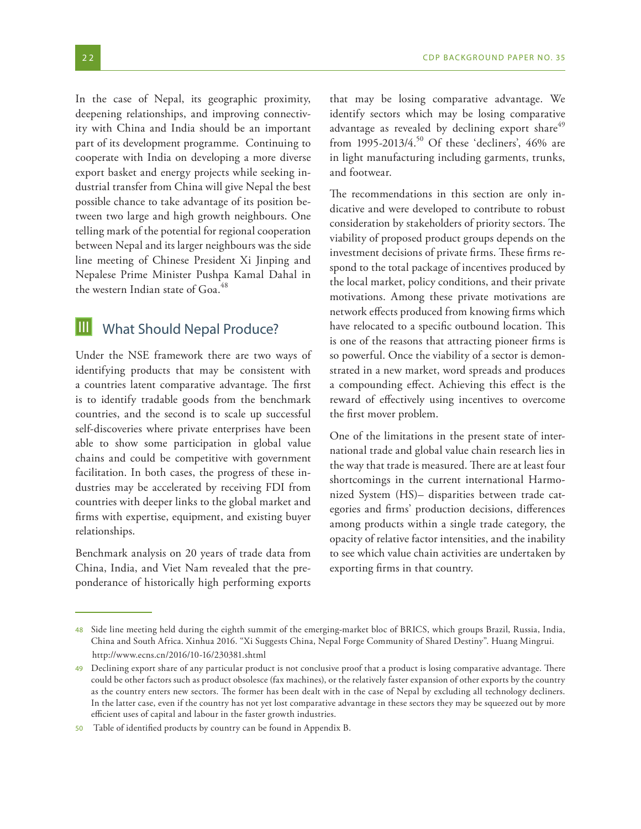In the case of Nepal, its geographic proximity, deepening relationships, and improving connectivity with China and India should be an important part of its development programme. Continuing to cooperate with India on developing a more diverse export basket and energy projects while seeking industrial transfer from China will give Nepal the best possible chance to take advantage of its position between two large and high growth neighbours. One telling mark of the potential for regional cooperation between Nepal and its larger neighbours was the side line meeting of Chinese President Xi Jinping and Nepalese Prime Minister Pushpa Kamal Dahal in the western Indian state of Goa.<sup>48</sup>

#### What Should Nepal Produce? III

Under the NSE framework there are two ways of identifying products that may be consistent with a countries latent comparative advantage. The first is to identify tradable goods from the benchmark countries, and the second is to scale up successful self-discoveries where private enterprises have been able to show some participation in global value chains and could be competitive with government facilitation. In both cases, the progress of these industries may be accelerated by receiving FDI from countries with deeper links to the global market and firms with expertise, equipment, and existing buyer relationships.

Benchmark analysis on 20 years of trade data from China, India, and Viet Nam revealed that the preponderance of historically high performing exports that may be losing comparative advantage. We identify sectors which may be losing comparative advantage as revealed by declining export share<sup>49</sup> from 1995-2013/4.<sup>50</sup> Of these 'decliners', 46% are in light manufacturing including garments, trunks, and footwear.

The recommendations in this section are only indicative and were developed to contribute to robust consideration by stakeholders of priority sectors. The viability of proposed product groups depends on the investment decisions of private firms. These firms respond to the total package of incentives produced by the local market, policy conditions, and their private motivations. Among these private motivations are network effects produced from knowing firms which have relocated to a specific outbound location. This is one of the reasons that attracting pioneer firms is so powerful. Once the viability of a sector is demonstrated in a new market, word spreads and produces a compounding effect. Achieving this effect is the reward of effectively using incentives to overcome the first mover problem.

One of the limitations in the present state of international trade and global value chain research lies in the way that trade is measured. There are at least four shortcomings in the current international Harmonized System (HS)– disparities between trade categories and firms' production decisions, differences among products within a single trade category, the opacity of relative factor intensities, and the inability to see which value chain activities are undertaken by exporting firms in that country.

<sup>48</sup> Side line meeting held during the eighth summit of the emerging-market bloc of BRICS, which groups Brazil, Russia, India, China and South Africa. Xinhua 2016. "Xi Suggests China, Nepal Forge Community of Shared Destiny". Huang Mingrui. http://www.ecns.cn/2016/10-16/230381.shtml

<sup>49</sup> Declining export share of any particular product is not conclusive proof that a product is losing comparative advantage. There could be other factors such as product obsolesce (fax machines), or the relatively faster expansion of other exports by the country as the country enters new sectors. The former has been dealt with in the case of Nepal by excluding all technology decliners. In the latter case, even if the country has not yet lost comparative advantage in these sectors they may be squeezed out by more efficient uses of capital and labour in the faster growth industries.

<sup>50</sup> Table of identified products by country can be found in Appendix B.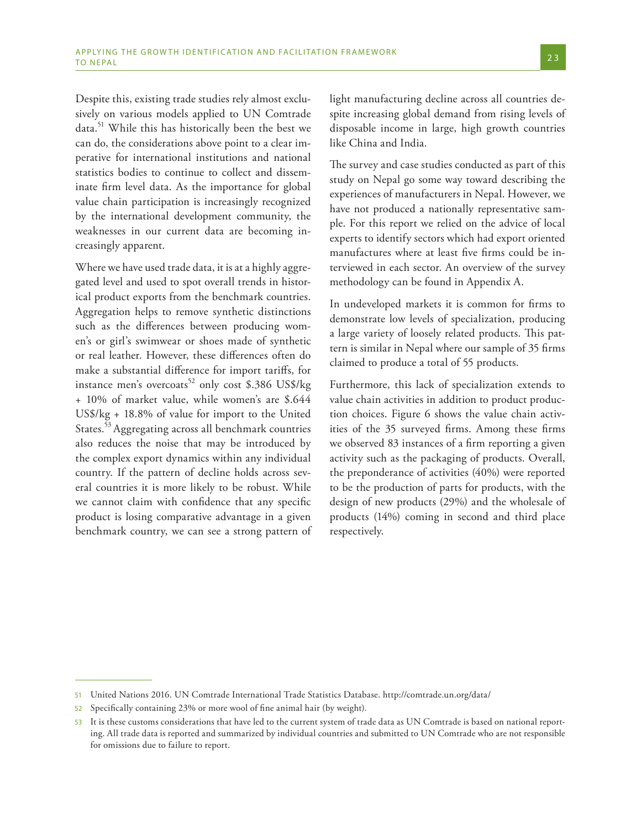Despite this, existing trade studies rely almost exclusively on various models applied to UN Comtrade data.51 While this has historically been the best we can do, the considerations above point to a clear imperative for international institutions and national statistics bodies to continue to collect and disseminate firm level data. As the importance for global value chain participation is increasingly recognized by the international development community, the weaknesses in our current data are becoming increasingly apparent.

Where we have used trade data, it is at a highly aggregated level and used to spot overall trends in historical product exports from the benchmark countries. Aggregation helps to remove synthetic distinctions such as the differences between producing women's or girl's swimwear or shoes made of synthetic or real leather. However, these differences often do make a substantial difference for import tariffs, for instance men's overcoats<sup>52</sup> only cost \$.386 US\$/kg + 10% of market value, while women's are \$.644 US\$/kg + 18.8% of value for import to the United States.<sup>53</sup> Aggregating across all benchmark countries also reduces the noise that may be introduced by the complex export dynamics within any individual country. If the pattern of decline holds across several countries it is more likely to be robust. While we cannot claim with confidence that any specific product is losing comparative advantage in a given benchmark country, we can see a strong pattern of light manufacturing decline across all countries despite increasing global demand from rising levels of disposable income in large, high growth countries like China and India.

The survey and case studies conducted as part of this study on Nepal go some way toward describing the experiences of manufacturers in Nepal. However, we have not produced a nationally representative sample. For this report we relied on the advice of local experts to identify sectors which had export oriented manufactures where at least five firms could be interviewed in each sector. An overview of the survey methodology can be found in Appendix A.

In undeveloped markets it is common for firms to demonstrate low levels of specialization, producing a large variety of loosely related products. This pattern is similar in Nepal where our sample of 35 firms claimed to produce a total of 55 products.

Furthermore, this lack of specialization extends to value chain activities in addition to product production choices. Figure 6 shows the value chain activities of the 35 surveyed firms. Among these firms we observed 83 instances of a firm reporting a given activity such as the packaging of products. Overall, the preponderance of activities (40%) were reported to be the production of parts for products, with the design of new products (29%) and the wholesale of products (14%) coming in second and third place respectively.

<sup>51</sup> United Nations 2016. UN Comtrade International Trade Statistics Database. http://comtrade.un.org/data/

<sup>52</sup> Specifically containing 23% or more wool of fine animal hair (by weight).

<sup>53</sup> It is these customs considerations that have led to the current system of trade data as UN Comtrade is based on national reporting. All trade data is reported and summarized by individual countries and submitted to UN Comtrade who are not responsible for omissions due to failure to report.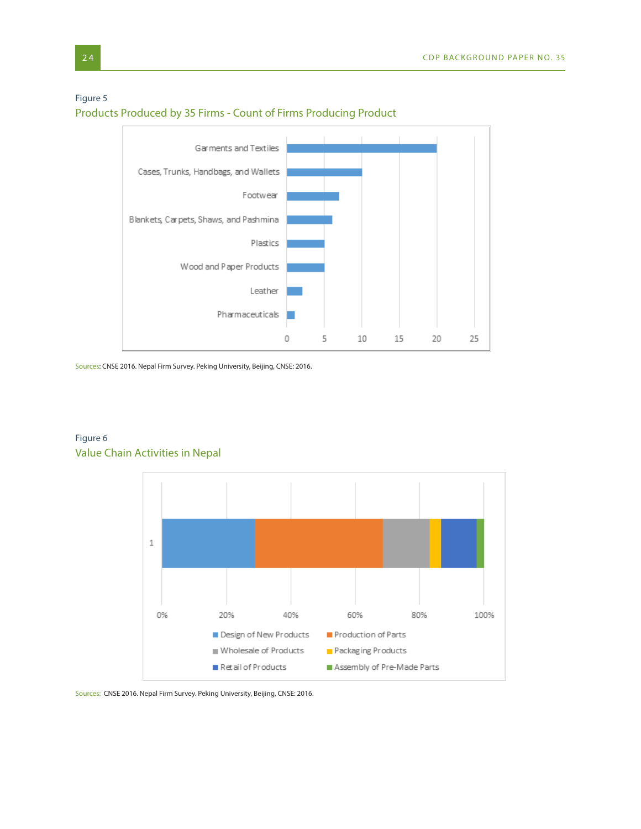## Figure 5 Products Produced by 35 Firms - Count of Firms Producing Product



Sources: CNSE 2016. Nepal Firm Survey. Peking University, Beijing, CNSE: 2016.



## Figure 6 Value Chain Activities in Nepal

Sources: CNSE 2016. Nepal Firm Survey. Peking University, Beijing, CNSE: 2016.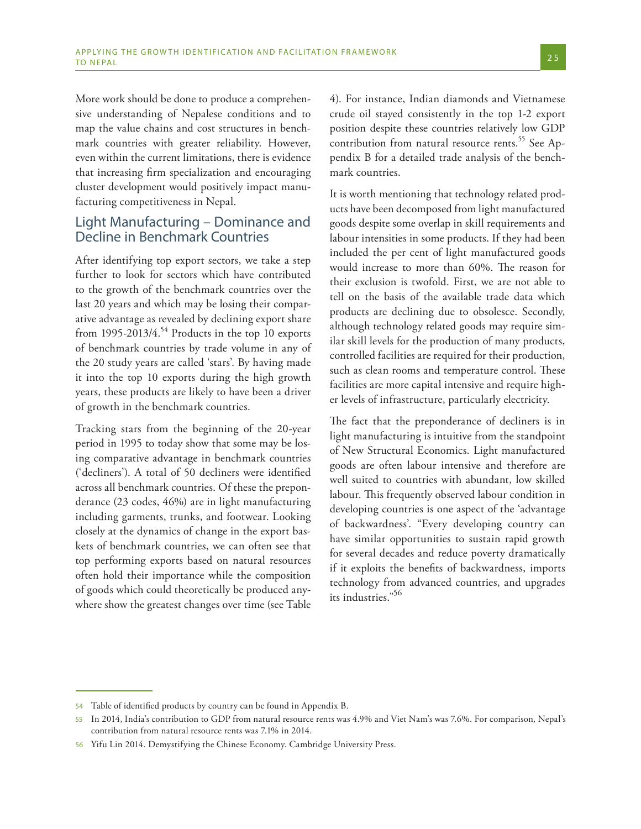More work should be done to produce a comprehensive understanding of Nepalese conditions and to map the value chains and cost structures in benchmark countries with greater reliability. However, even within the current limitations, there is evidence that increasing firm specialization and encouraging cluster development would positively impact manufacturing competitiveness in Nepal.

## Light Manufacturing – Dominance and Decline in Benchmark Countries

After identifying top export sectors, we take a step further to look for sectors which have contributed to the growth of the benchmark countries over the last 20 years and which may be losing their comparative advantage as revealed by declining export share from 1995-2013/4.<sup>54</sup> Products in the top 10 exports of benchmark countries by trade volume in any of the 20 study years are called 'stars'. By having made it into the top 10 exports during the high growth years, these products are likely to have been a driver of growth in the benchmark countries.

Tracking stars from the beginning of the 20-year period in 1995 to today show that some may be losing comparative advantage in benchmark countries ('decliners'). A total of 50 decliners were identified across all benchmark countries. Of these the preponderance (23 codes, 46%) are in light manufacturing including garments, trunks, and footwear. Looking closely at the dynamics of change in the export baskets of benchmark countries, we can often see that top performing exports based on natural resources often hold their importance while the composition of goods which could theoretically be produced anywhere show the greatest changes over time (see Table

4). For instance, Indian diamonds and Vietnamese crude oil stayed consistently in the top 1-2 export position despite these countries relatively low GDP contribution from natural resource rents.<sup>55</sup> See Appendix B for a detailed trade analysis of the benchmark countries.

It is worth mentioning that technology related products have been decomposed from light manufactured goods despite some overlap in skill requirements and labour intensities in some products. If they had been included the per cent of light manufactured goods would increase to more than 60%. The reason for their exclusion is twofold. First, we are not able to tell on the basis of the available trade data which products are declining due to obsolesce. Secondly, although technology related goods may require similar skill levels for the production of many products, controlled facilities are required for their production, such as clean rooms and temperature control. These facilities are more capital intensive and require higher levels of infrastructure, particularly electricity.

The fact that the preponderance of decliners is in light manufacturing is intuitive from the standpoint of New Structural Economics. Light manufactured goods are often labour intensive and therefore are well suited to countries with abundant, low skilled labour. This frequently observed labour condition in developing countries is one aspect of the 'advantage of backwardness'. "Every developing country can have similar opportunities to sustain rapid growth for several decades and reduce poverty dramatically if it exploits the benefits of backwardness, imports technology from advanced countries, and upgrades its industries."56

<sup>54</sup> Table of identified products by country can be found in Appendix B.

<sup>55</sup> In 2014, India's contribution to GDP from natural resource rents was 4.9% and Viet Nam's was 7.6%. For comparison, Nepal's contribution from natural resource rents was 7.1% in 2014.

<sup>56</sup> Yifu Lin 2014. Demystifying the Chinese Economy. Cambridge University Press.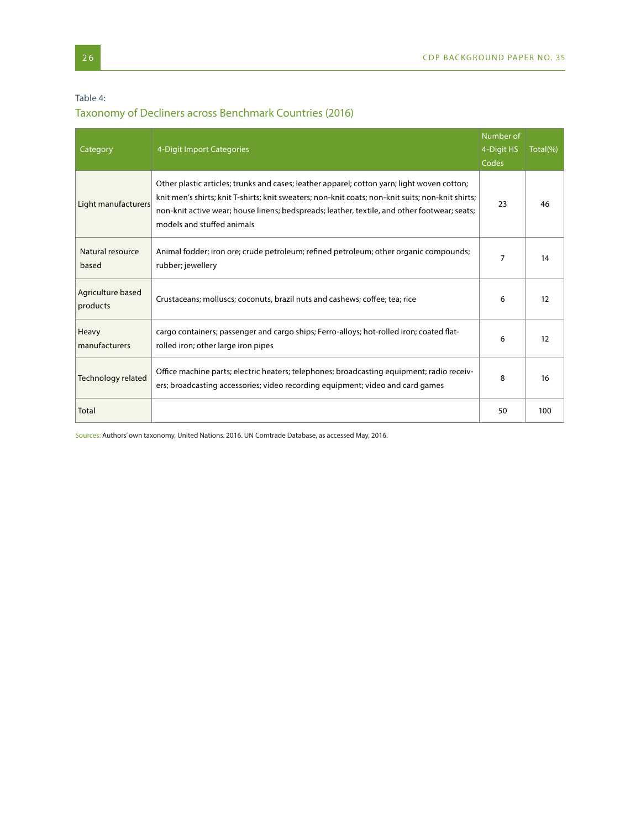### Table 4:

# Taxonomy of Decliners across Benchmark Countries (2016)

| Category                      | 4-Digit Import Categories                                                                                                                                                                                                                                                                                                      | Number of<br>4-Digit HS<br>Codes | Total(%) |
|-------------------------------|--------------------------------------------------------------------------------------------------------------------------------------------------------------------------------------------------------------------------------------------------------------------------------------------------------------------------------|----------------------------------|----------|
| Light manufacturers           | Other plastic articles; trunks and cases; leather apparel; cotton yarn; light woven cotton;<br>knit men's shirts; knit T-shirts; knit sweaters; non-knit coats; non-knit suits; non-knit shirts;<br>non-knit active wear; house linens; bedspreads; leather, textile, and other footwear; seats;<br>models and stuffed animals | 23                               | 46       |
| Natural resource<br>based     | Animal fodder; iron ore; crude petroleum; refined petroleum; other organic compounds;<br>rubber; jewellery                                                                                                                                                                                                                     | $\overline{7}$                   | 14       |
| Agriculture based<br>products | Crustaceans; molluscs; coconuts, brazil nuts and cashews; coffee; tea; rice                                                                                                                                                                                                                                                    | 6                                | 12       |
| Heavy<br>manufacturers        | cargo containers; passenger and cargo ships; Ferro-alloys; hot-rolled iron; coated flat-<br>rolled iron; other large iron pipes                                                                                                                                                                                                | 6                                | 12       |
| Technology related            | Office machine parts; electric heaters; telephones; broadcasting equipment; radio receiv-<br>ers; broadcasting accessories; video recording equipment; video and card games                                                                                                                                                    | 8                                | 16       |
| Total                         |                                                                                                                                                                                                                                                                                                                                | 50                               | 100      |

Sources: Authors' own taxonomy, United Nations. 2016. UN Comtrade Database, as accessed May, 2016.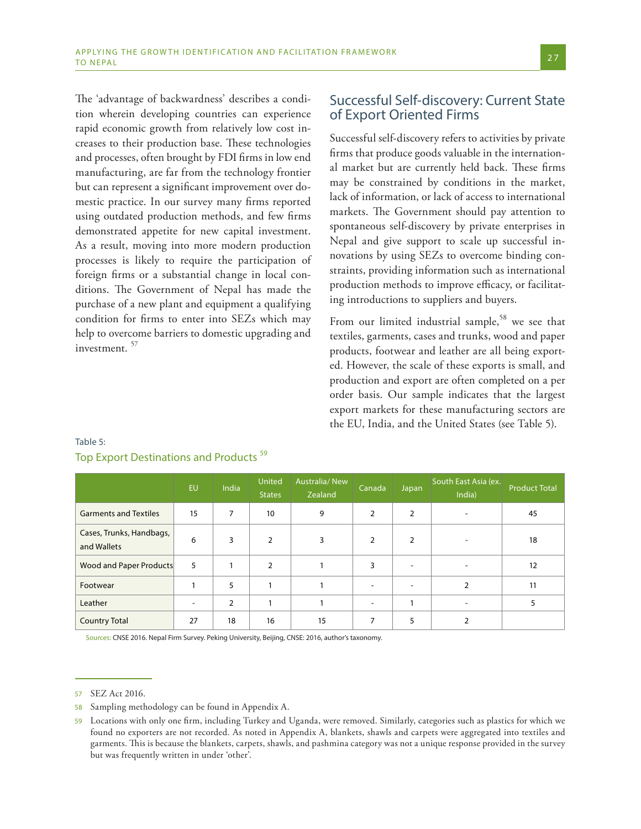The 'advantage of backwardness' describes a condition wherein developing countries can experience rapid economic growth from relatively low cost increases to their production base. These technologies and processes, often brought by FDI firms in low end manufacturing, are far from the technology frontier but can represent a significant improvement over domestic practice. In our survey many firms reported using outdated production methods, and few firms demonstrated appetite for new capital investment. As a result, moving into more modern production processes is likely to require the participation of foreign firms or a substantial change in local conditions. The Government of Nepal has made the purchase of a new plant and equipment a qualifying condition for firms to enter into SEZs which may help to overcome barriers to domestic upgrading and investment. <sup>57</sup>

## Successful Self-discovery: Current State of Export Oriented Firms

Successful self-discovery refers to activities by private firms that produce goods valuable in the international market but are currently held back. These firms may be constrained by conditions in the market, lack of information, or lack of access to international markets. The Government should pay attention to spontaneous self-discovery by private enterprises in Nepal and give support to scale up successful innovations by using SEZs to overcome binding constraints, providing information such as international production methods to improve efficacy, or facilitating introductions to suppliers and buyers.

From our limited industrial sample,<sup>58</sup> we see that textiles, garments, cases and trunks, wood and paper products, footwear and leather are all being exported. However, the scale of these exports is small, and production and export are often completed on a per order basis. Our sample indicates that the largest export markets for these manufacturing sectors are the EU, India, and the United States (see Table 5).

|                                         | <b>EU</b> | India | United<br><b>States</b> | Australia/New<br>Zealand | Canada                   | Japan                    | South East Asia (ex.<br>India) | <b>Product Total</b> |
|-----------------------------------------|-----------|-------|-------------------------|--------------------------|--------------------------|--------------------------|--------------------------------|----------------------|
| <b>Garments and Textiles</b>            | 15        | 7     | 10                      | 9                        | 2                        | $\overline{2}$           |                                | 45                   |
| Cases, Trunks, Handbags,<br>and Wallets | 6         | 3     | $\overline{2}$          | 3                        | 2                        | $\overline{2}$           |                                | 18                   |
| Wood and Paper Products                 | 5         |       | $\mathcal{P}$           |                          | 3                        | $\overline{\phantom{a}}$ |                                | 12                   |
| Footwear                                |           | 5     | 1                       |                          | ۰                        | $\blacksquare$           |                                | 11                   |
| Leather                                 |           | 2     |                         |                          | $\overline{\phantom{0}}$ |                          |                                |                      |
| <b>Country Total</b>                    | 27        | 18    | 16                      | 15                       | 7                        | 5                        |                                |                      |

## Table 5: Top Export Destinations and Products<sup>59</sup>

Sources: CNSE 2016. Nepal Firm Survey. Peking University, Beijing, CNSE: 2016, author's taxonomy.

<sup>57</sup> SEZ Act 2016.

<sup>58</sup> Sampling methodology can be found in Appendix A.

Locations with only one firm, including Turkey and Uganda, were removed. Similarly, categories such as plastics for which we found no exporters are not recorded. As noted in Appendix A, blankets, shawls and carpets were aggregated into textiles and garments. This is because the blankets, carpets, shawls, and pashmina category was not a unique response provided in the survey but was frequently written in under 'other'.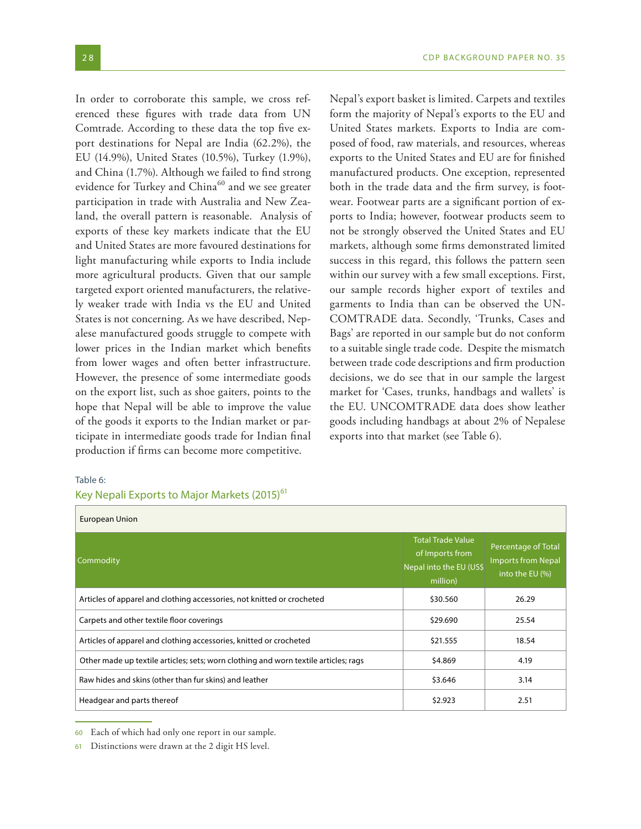In order to corroborate this sample, we cross referenced these figures with trade data from UN Comtrade. According to these data the top five export destinations for Nepal are India (62.2%), the EU (14.9%), United States (10.5%), Turkey (1.9%), and China (1.7%). Although we failed to find strong evidence for Turkey and China<sup>60</sup> and we see greater participation in trade with Australia and New Zealand, the overall pattern is reasonable. Analysis of exports of these key markets indicate that the EU and United States are more favoured destinations for light manufacturing while exports to India include more agricultural products. Given that our sample targeted export oriented manufacturers, the relatively weaker trade with India vs the EU and United States is not concerning. As we have described, Nepalese manufactured goods struggle to compete with lower prices in the Indian market which benefits from lower wages and often better infrastructure. However, the presence of some intermediate goods on the export list, such as shoe gaiters, points to the hope that Nepal will be able to improve the value of the goods it exports to the Indian market or participate in intermediate goods trade for Indian final production if firms can become more competitive.

Nepal's export basket is limited. Carpets and textiles form the majority of Nepal's exports to the EU and United States markets. Exports to India are composed of food, raw materials, and resources, whereas exports to the United States and EU are for finished manufactured products. One exception, represented both in the trade data and the firm survey, is footwear. Footwear parts are a significant portion of exports to India; however, footwear products seem to not be strongly observed the United States and EU markets, although some firms demonstrated limited success in this regard, this follows the pattern seen within our survey with a few small exceptions. First, our sample records higher export of textiles and garments to India than can be observed the UN-COMTRADE data. Secondly, 'Trunks, Cases and Bags' are reported in our sample but do not conform to a suitable single trade code. Despite the mismatch between trade code descriptions and firm production decisions, we do see that in our sample the largest market for 'Cases, trunks, handbags and wallets' is the EU. UNCOMTRADE data does show leather goods including handbags at about 2% of Nepalese exports into that market (see Table 6).

#### Table 6:

### Key Nepali Exports to Major Markets (2015)<sup>61</sup>

| European Union                                                                      |                                                                                    |                                                                     |  |  |  |
|-------------------------------------------------------------------------------------|------------------------------------------------------------------------------------|---------------------------------------------------------------------|--|--|--|
| Commodity                                                                           | <b>Total Trade Value</b><br>of Imports from<br>Nepal into the EU (US\$<br>million) | Percentage of Total<br><b>Imports from Nepal</b><br>into the EU (%) |  |  |  |
| Articles of apparel and clothing accessories, not knitted or crocheted              | \$30.560                                                                           | 26.29                                                               |  |  |  |
| Carpets and other textile floor coverings                                           | \$29.690                                                                           | 25.54                                                               |  |  |  |
| Articles of apparel and clothing accessories, knitted or crocheted                  | \$21.555                                                                           | 18.54                                                               |  |  |  |
| Other made up textile articles; sets; worn clothing and worn textile articles; rags | \$4.869                                                                            | 4.19                                                                |  |  |  |
| Raw hides and skins (other than fur skins) and leather                              | \$3.646                                                                            | 3.14                                                                |  |  |  |
| Headgear and parts thereof                                                          | \$2.923                                                                            | 2.51                                                                |  |  |  |

<sup>60</sup> Each of which had only one report in our sample.

<sup>61</sup> Distinctions were drawn at the 2 digit HS level.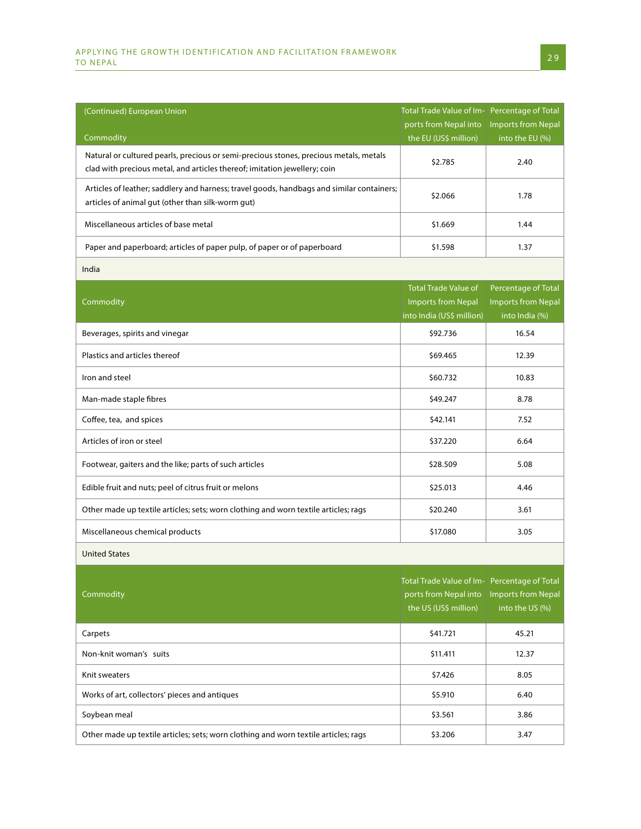| (Continued) European Union                                                                                                                                         | Total Trade Value of Im- Percentage of Total                                                   | <b>Imports from Nepal</b>                                          |  |
|--------------------------------------------------------------------------------------------------------------------------------------------------------------------|------------------------------------------------------------------------------------------------|--------------------------------------------------------------------|--|
| Commodity                                                                                                                                                          | ports from Nepal into<br>the EU (US\$ million)                                                 | into the EU (%)                                                    |  |
| Natural or cultured pearls, precious or semi-precious stones, precious metals, metals<br>clad with precious metal, and articles thereof; imitation jewellery; coin | \$2.785                                                                                        | 2.40                                                               |  |
| Articles of leather; saddlery and harness; travel goods, handbags and similar containers;<br>articles of animal gut (other than silk-worm gut)                     | \$2.066                                                                                        | 1.78                                                               |  |
| Miscellaneous articles of base metal                                                                                                                               | \$1.669                                                                                        | 1.44                                                               |  |
| Paper and paperboard; articles of paper pulp, of paper or of paperboard                                                                                            | \$1.598                                                                                        | 1.37                                                               |  |
| India                                                                                                                                                              |                                                                                                |                                                                    |  |
| Commodity                                                                                                                                                          | <b>Total Trade Value of</b><br><b>Imports from Nepal</b><br>into India (US\$ million)          | Percentage of Total<br><b>Imports from Nepal</b><br>into India (%) |  |
| Beverages, spirits and vinegar                                                                                                                                     | \$92.736                                                                                       | 16.54                                                              |  |
| Plastics and articles thereof                                                                                                                                      | \$69.465                                                                                       | 12.39                                                              |  |
| Iron and steel                                                                                                                                                     | \$60.732                                                                                       | 10.83                                                              |  |
| Man-made staple fibres                                                                                                                                             | \$49.247                                                                                       | 8.78<br>7.52<br>6.64<br>5.08                                       |  |
| Coffee, tea, and spices                                                                                                                                            | \$42.141                                                                                       |                                                                    |  |
| Articles of iron or steel                                                                                                                                          | \$37.220                                                                                       |                                                                    |  |
| Footwear, gaiters and the like; parts of such articles                                                                                                             | \$28.509                                                                                       |                                                                    |  |
| Edible fruit and nuts; peel of citrus fruit or melons                                                                                                              | \$25.013                                                                                       | 4.46                                                               |  |
| Other made up textile articles; sets; worn clothing and worn textile articles; rags                                                                                | \$20.240                                                                                       | 3.61                                                               |  |
| Miscellaneous chemical products                                                                                                                                    | \$17.080                                                                                       | 3.05                                                               |  |
| <b>United States</b>                                                                                                                                               |                                                                                                |                                                                    |  |
| Commodity                                                                                                                                                          | Total Trade Value of Im- Percentage of Total<br>ports from Nepal into<br>the US (US\$ million) | <b>Imports from Nepal</b><br>into the US (%)                       |  |
| Carpets                                                                                                                                                            | \$41.721                                                                                       | 45.21                                                              |  |
| Non-knit woman's suits                                                                                                                                             | \$11.411                                                                                       | 12.37                                                              |  |
| Knit sweaters                                                                                                                                                      | \$7.426                                                                                        | 8.05                                                               |  |
| Works of art, collectors' pieces and antiques                                                                                                                      | \$5.910                                                                                        | 6.40                                                               |  |
| Soybean meal                                                                                                                                                       | \$3.561                                                                                        | 3.86                                                               |  |
| Other made up textile articles; sets; worn clothing and worn textile articles; rags                                                                                | \$3.206                                                                                        | 3.47                                                               |  |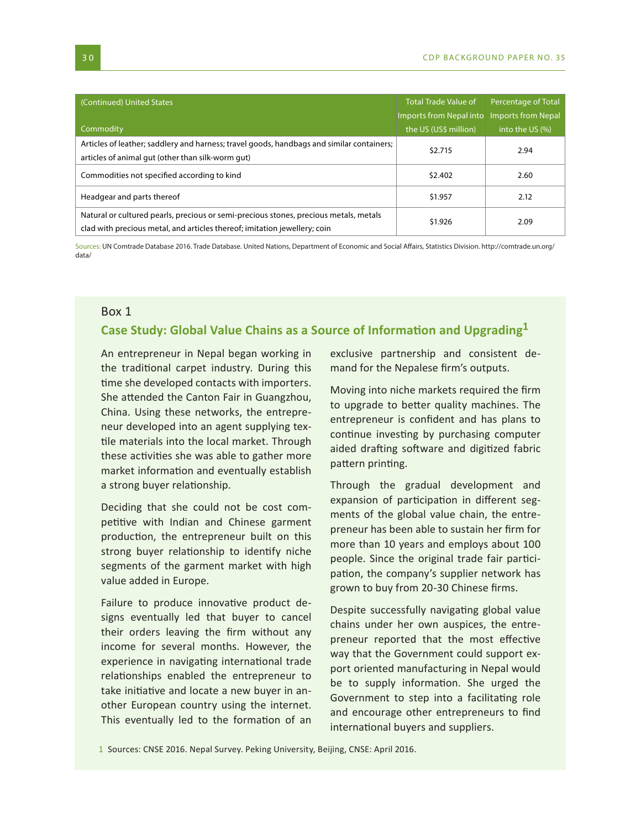| (Continued) United States                                                                 | <b>Total Trade Value of</b>                | <b>Percentage of Total</b> |  |
|-------------------------------------------------------------------------------------------|--------------------------------------------|----------------------------|--|
|                                                                                           | Imports from Nepal into Imports from Nepal |                            |  |
| Commodity                                                                                 | the US (US\$ million)                      | into the US (%)            |  |
| Articles of leather; saddlery and harness; travel goods, handbags and similar containers; | \$2.715                                    | 2.94                       |  |
| articles of animal gut (other than silk-worm gut)                                         |                                            |                            |  |
| Commodities not specified according to kind                                               | \$2.402                                    | 2.60                       |  |
| Headgear and parts thereof                                                                | \$1.957                                    | 2.12                       |  |
| Natural or cultured pearls, precious or semi-precious stones, precious metals, metals     | \$1.926                                    | 2.09                       |  |
| clad with precious metal, and articles thereof; imitation jewellery; coin                 |                                            |                            |  |

Sources: UN Comtrade Database 2016. Trade Database. United Nations, Department of Economic and Social Affairs, Statistics Division. http://comtrade.un.org/ data/

#### Box 1

## **Case Study: Global Value Chains as a Source of Information and Upgrading1**

An entrepreneur in Nepal began working in the traditional carpet industry. During this time she developed contacts with importers. She attended the Canton Fair in Guangzhou, China. Using these networks, the entrepreneur developed into an agent supplying textile materials into the local market. Through these activities she was able to gather more market information and eventually establish a strong buyer relationship.

Deciding that she could not be cost competitive with Indian and Chinese garment production, the entrepreneur built on this strong buyer relationship to identify niche segments of the garment market with high value added in Europe.

Failure to produce innovative product designs eventually led that buyer to cancel their orders leaving the firm without any income for several months. However, the experience in navigating international trade relationships enabled the entrepreneur to take initiative and locate a new buyer in another European country using the internet. This eventually led to the formation of an

exclusive partnership and consistent demand for the Nepalese firm's outputs.

Moving into niche markets required the firm to upgrade to better quality machines. The entrepreneur is confident and has plans to continue investing by purchasing computer aided drafting software and digitized fabric pattern printing.

Through the gradual development and expansion of participation in different segments of the global value chain, the entrepreneur has been able to sustain her firm for more than 10 years and employs about 100 people. Since the original trade fair participation, the company's supplier network has grown to buy from 20-30 Chinese firms.

Despite successfully navigating global value chains under her own auspices, the entrepreneur reported that the most effective way that the Government could support export oriented manufacturing in Nepal would be to supply information. She urged the Government to step into a facilitating role and encourage other entrepreneurs to find international buyers and suppliers.

1 Sources: CNSE 2016. Nepal Survey. Peking University, Beijing, CNSE: April 2016.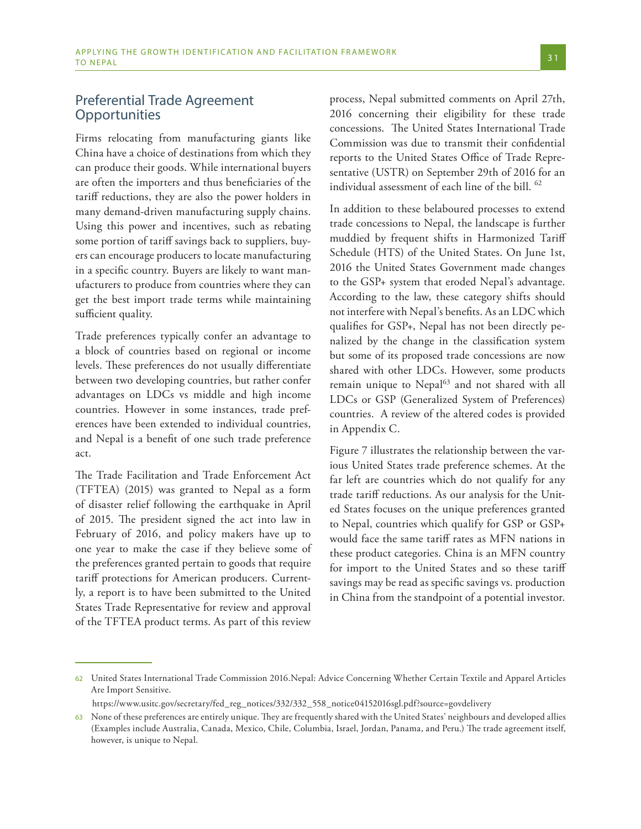## Preferential Trade Agreement **Opportunities**

Firms relocating from manufacturing giants like China have a choice of destinations from which they can produce their goods. While international buyers are often the importers and thus beneficiaries of the tariff reductions, they are also the power holders in many demand-driven manufacturing supply chains. Using this power and incentives, such as rebating some portion of tariff savings back to suppliers, buyers can encourage producers to locate manufacturing in a specific country. Buyers are likely to want manufacturers to produce from countries where they can get the best import trade terms while maintaining sufficient quality.

Trade preferences typically confer an advantage to a block of countries based on regional or income levels. These preferences do not usually differentiate between two developing countries, but rather confer advantages on LDCs vs middle and high income countries. However in some instances, trade preferences have been extended to individual countries, and Nepal is a benefit of one such trade preference act.

The Trade Facilitation and Trade Enforcement Act (TFTEA) (2015) was granted to Nepal as a form of disaster relief following the earthquake in April of 2015. The president signed the act into law in February of 2016, and policy makers have up to one year to make the case if they believe some of the preferences granted pertain to goods that require tariff protections for American producers. Currently, a report is to have been submitted to the United States Trade Representative for review and approval of the TFTEA product terms. As part of this review

process, Nepal submitted comments on April 27th, 2016 concerning their eligibility for these trade concessions. The United States International Trade Commission was due to transmit their confidential reports to the United States Office of Trade Representative (USTR) on September 29th of 2016 for an individual assessment of each line of the bill. <sup>62</sup>

In addition to these belaboured processes to extend trade concessions to Nepal, the landscape is further muddied by frequent shifts in Harmonized Tariff Schedule (HTS) of the United States. On June 1st, 2016 the United States Government made changes to the GSP+ system that eroded Nepal's advantage. According to the law, these category shifts should not interfere with Nepal's benefits. As an LDC which qualifies for GSP+, Nepal has not been directly penalized by the change in the classification system but some of its proposed trade concessions are now shared with other LDCs. However, some products remain unique to Nepal<sup>63</sup> and not shared with all LDCs or GSP (Generalized System of Preferences) countries. A review of the altered codes is provided in Appendix C.

Figure 7 illustrates the relationship between the various United States trade preference schemes. At the far left are countries which do not qualify for any trade tariff reductions. As our analysis for the United States focuses on the unique preferences granted to Nepal, countries which qualify for GSP or GSP+ would face the same tariff rates as MFN nations in these product categories. China is an MFN country for import to the United States and so these tariff savings may be read as specific savings vs. production in China from the standpoint of a potential investor.

https://www.usitc.gov/secretary/fed\_reg\_notices/332/332\_558\_notice04152016sgl.pdf?source=govdelivery

<sup>62</sup> United States International Trade Commission 2016.Nepal: Advice Concerning Whether Certain Textile and Apparel Articles Are Import Sensitive.

<sup>63</sup> None of these preferences are entirely unique. They are frequently shared with the United States' neighbours and developed allies (Examples include Australia, Canada, Mexico, Chile, Columbia, Israel, Jordan, Panama, and Peru.) The trade agreement itself, however, is unique to Nepal.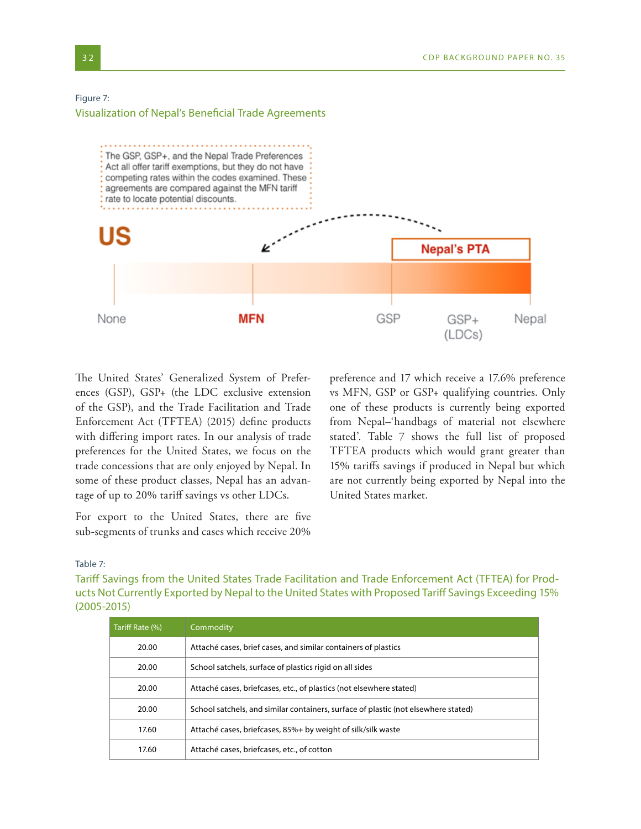#### Figure 7:

Visualization of Nepal's Beneficial Trade Agreements



The United States' Generalized System of Preferences (GSP), GSP+ (the LDC exclusive extension of the GSP), and the Trade Facilitation and Trade Enforcement Act (TFTEA) (2015) define products with differing import rates. In our analysis of trade preferences for the United States, we focus on the trade concessions that are only enjoyed by Nepal. In some of these product classes, Nepal has an advantage of up to 20% tariff savings vs other LDCs.

For export to the United States, there are five sub-segments of trunks and cases which receive 20% preference and 17 which receive a 17.6% preference vs MFN, GSP or GSP+ qualifying countries. Only one of these products is currently being exported from Nepal–'handbags of material not elsewhere stated'. Table 7 shows the full list of proposed TFTEA products which would grant greater than 15% tariffs savings if produced in Nepal but which are not currently being exported by Nepal into the United States market.

#### Table 7:

Tariff Savings from the United States Trade Facilitation and Trade Enforcement Act (TFTEA) for Products Not Currently Exported by Nepal to the United States with Proposed Tariff Savings Exceeding 15% (2005-2015)

| Tariff Rate (%) | <b>Commodity</b>                                                                   |  |
|-----------------|------------------------------------------------------------------------------------|--|
| 20.00           | Attaché cases, brief cases, and similar containers of plastics                     |  |
| 20.00           | School satchels, surface of plastics rigid on all sides                            |  |
| 20.00           | Attaché cases, briefcases, etc., of plastics (not elsewhere stated)                |  |
| 20.00           | School satchels, and similar containers, surface of plastic (not elsewhere stated) |  |
| 17.60           | Attaché cases, briefcases, 85%+ by weight of silk/silk waste                       |  |
| 17.60           | Attaché cases, briefcases, etc., of cotton                                         |  |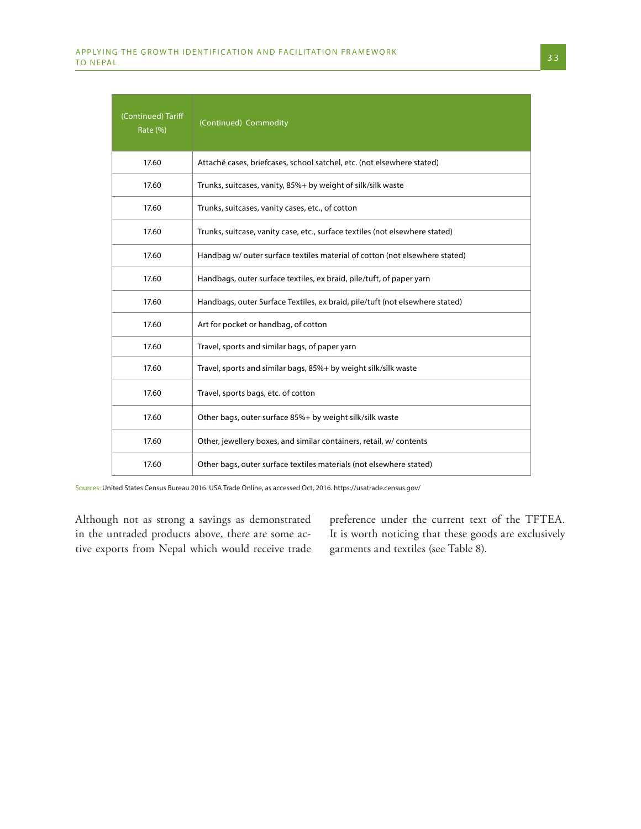| (Continued) Tariff<br>Rate (%) | (Continued) Commodity                                                        |
|--------------------------------|------------------------------------------------------------------------------|
| 17.60                          | Attaché cases, briefcases, school satchel, etc. (not elsewhere stated)       |
| 17.60                          | Trunks, suitcases, vanity, 85%+ by weight of silk/silk waste                 |
| 17.60                          | Trunks, suitcases, vanity cases, etc., of cotton                             |
| 17.60                          | Trunks, suitcase, vanity case, etc., surface textiles (not elsewhere stated) |
| 17.60                          | Handbag w/ outer surface textiles material of cotton (not elsewhere stated)  |
| 17.60                          | Handbags, outer surface textiles, ex braid, pile/tuft, of paper yarn         |
| 17.60                          | Handbags, outer Surface Textiles, ex braid, pile/tuft (not elsewhere stated) |
| 17.60                          | Art for pocket or handbag, of cotton                                         |
| 17.60                          | Travel, sports and similar bags, of paper yarn                               |
| 17.60                          | Travel, sports and similar bags, 85%+ by weight silk/silk waste              |
| 17.60                          | Travel, sports bags, etc. of cotton                                          |
| 17.60                          | Other bags, outer surface 85%+ by weight silk/silk waste                     |
| 17.60                          | Other, jewellery boxes, and similar containers, retail, w/ contents          |
| 17.60                          | Other bags, outer surface textiles materials (not elsewhere stated)          |

Sources: United States Census Bureau 2016. USA Trade Online, as accessed Oct, 2016. https://usatrade.census.gov/

Although not as strong a savings as demonstrated in the untraded products above, there are some active exports from Nepal which would receive trade

preference under the current text of the TFTEA. It is worth noticing that these goods are exclusively garments and textiles (see Table 8).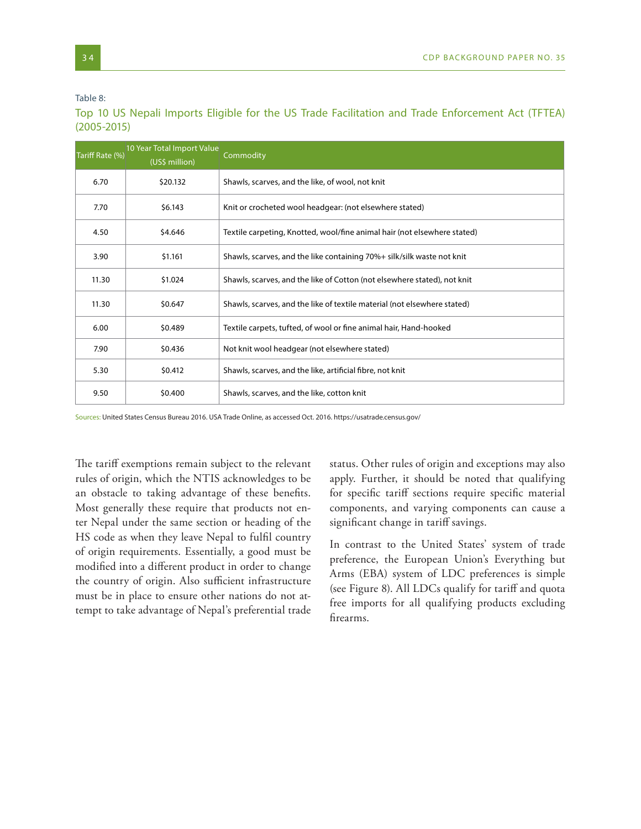Table 8:

| Tariff Rate (%)  | 10 Year Total Import Value<br>(US\$ million) | Commodity                                                                |
|------------------|----------------------------------------------|--------------------------------------------------------------------------|
| 6.70             | \$20.132                                     | Shawls, scarves, and the like, of wool, not knit                         |
| 7.70             | \$6.143                                      | Knit or crocheted wool headgear: (not elsewhere stated)                  |
| 4.50             | \$4.646                                      | Textile carpeting, Knotted, wool/fine animal hair (not elsewhere stated) |
| 3.90             | \$1.161                                      | Shawls, scarves, and the like containing 70%+ silk/silk waste not knit   |
| 11.30            | \$1.024                                      | Shawls, scarves, and the like of Cotton (not elsewhere stated), not knit |
| 11.30<br>\$0.647 |                                              | Shawls, scarves, and the like of textile material (not elsewhere stated) |
| 6.00             | \$0.489                                      | Textile carpets, tufted, of wool or fine animal hair, Hand-hooked        |
| 7.90             | \$0.436                                      | Not knit wool headgear (not elsewhere stated)                            |
| 5.30             | \$0.412                                      | Shawls, scarves, and the like, artificial fibre, not knit                |
| 9.50             | \$0.400                                      | Shawls, scarves, and the like, cotton knit                               |

Top 10 US Nepali Imports Eligible for the US Trade Facilitation and Trade Enforcement Act (TFTEA) (2005-2015)

Sources: United States Census Bureau 2016. USA Trade Online, as accessed Oct. 2016. https://usatrade.census.gov/

The tariff exemptions remain subject to the relevant rules of origin, which the NTIS acknowledges to be an obstacle to taking advantage of these benefits. Most generally these require that products not enter Nepal under the same section or heading of the HS code as when they leave Nepal to fulfil country of origin requirements. Essentially, a good must be modified into a different product in order to change the country of origin. Also sufficient infrastructure must be in place to ensure other nations do not attempt to take advantage of Nepal's preferential trade

status. Other rules of origin and exceptions may also apply. Further, it should be noted that qualifying for specific tariff sections require specific material components, and varying components can cause a significant change in tariff savings.

In contrast to the United States' system of trade preference, the European Union's Everything but Arms (EBA) system of LDC preferences is simple (see Figure 8). All LDCs qualify for tariff and quota free imports for all qualifying products excluding firearms.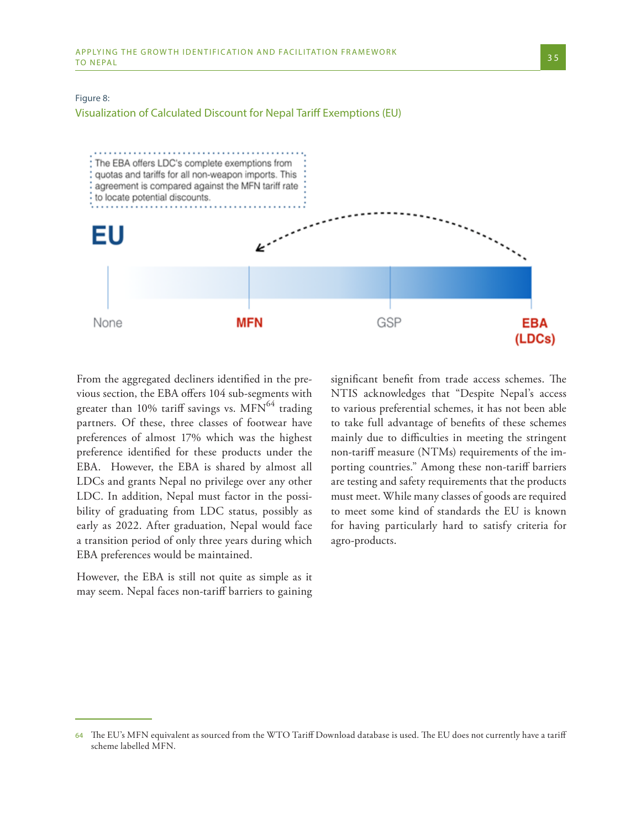#### Figure 8:

Visualization of Calculated Discount for Nepal Tariff Exemptions (EU)



From the aggregated decliners identified in the previous section, the EBA offers 104 sub-segments with greater than 10% tariff savings vs.  $\text{MFN}^{64}$  trading partners. Of these, three classes of footwear have preferences of almost 17% which was the highest preference identified for these products under the EBA. However, the EBA is shared by almost all LDCs and grants Nepal no privilege over any other LDC. In addition, Nepal must factor in the possibility of graduating from LDC status, possibly as early as 2022. After graduation, Nepal would face a transition period of only three years during which EBA preferences would be maintained.

However, the EBA is still not quite as simple as it may seem. Nepal faces non-tariff barriers to gaining significant benefit from trade access schemes. The NTIS acknowledges that "Despite Nepal's access to various preferential schemes, it has not been able to take full advantage of benefits of these schemes mainly due to difficulties in meeting the stringent non-tariff measure (NTMs) requirements of the importing countries." Among these non-tariff barriers are testing and safety requirements that the products must meet. While many classes of goods are required to meet some kind of standards the EU is known for having particularly hard to satisfy criteria for agro-products.

<sup>64</sup> The EU's MFN equivalent as sourced from the WTO Tariff Download database is used. The EU does not currently have a tariff scheme labelled MFN.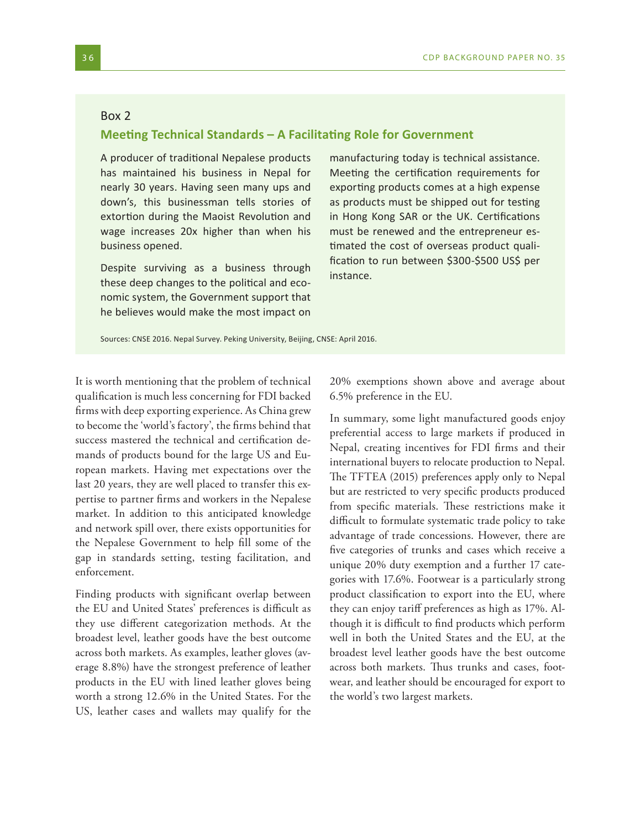#### Box 2

#### **Meeting Technical Standards – A Facilitating Role for Government**

A producer of traditional Nepalese products has maintained his business in Nepal for nearly 30 years. Having seen many ups and down's, this businessman tells stories of extortion during the Maoist Revolution and wage increases 20x higher than when his business opened.

Despite surviving as a business through these deep changes to the political and economic system, the Government support that he believes would make the most impact on manufacturing today is technical assistance. Meeting the certification requirements for exporting products comes at a high expense as products must be shipped out for testing in Hong Kong SAR or the UK. Certifications must be renewed and the entrepreneur estimated the cost of overseas product qualification to run between \$300-\$500 US\$ per instance.

Sources: CNSE 2016. Nepal Survey. Peking University, Beijing, CNSE: April 2016.

It is worth mentioning that the problem of technical qualification is much less concerning for FDI backed firms with deep exporting experience. As China grew to become the 'world's factory', the firms behind that success mastered the technical and certification demands of products bound for the large US and European markets. Having met expectations over the last 20 years, they are well placed to transfer this expertise to partner firms and workers in the Nepalese market. In addition to this anticipated knowledge and network spill over, there exists opportunities for the Nepalese Government to help fill some of the gap in standards setting, testing facilitation, and enforcement.

Finding products with significant overlap between the EU and United States' preferences is difficult as they use different categorization methods. At the broadest level, leather goods have the best outcome across both markets. As examples, leather gloves (average 8.8%) have the strongest preference of leather products in the EU with lined leather gloves being worth a strong 12.6% in the United States. For the US, leather cases and wallets may qualify for the

20% exemptions shown above and average about 6.5% preference in the EU.

In summary, some light manufactured goods enjoy preferential access to large markets if produced in Nepal, creating incentives for FDI firms and their international buyers to relocate production to Nepal. The TFTEA (2015) preferences apply only to Nepal but are restricted to very specific products produced from specific materials. These restrictions make it difficult to formulate systematic trade policy to take advantage of trade concessions. However, there are five categories of trunks and cases which receive a unique 20% duty exemption and a further 17 categories with 17.6%. Footwear is a particularly strong product classification to export into the EU, where they can enjoy tariff preferences as high as 17%. Although it is difficult to find products which perform well in both the United States and the EU, at the broadest level leather goods have the best outcome across both markets. Thus trunks and cases, footwear, and leather should be encouraged for export to the world's two largest markets.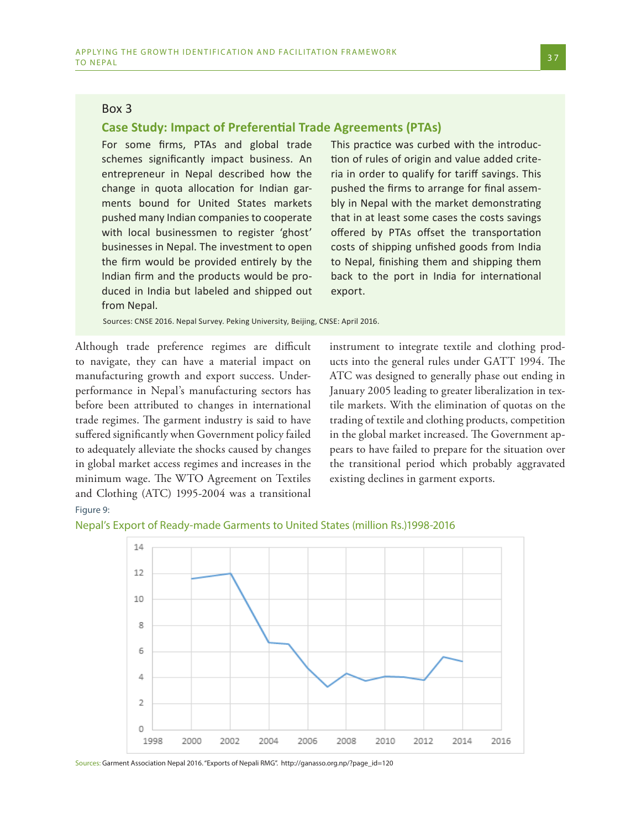### Box 3

#### **Case Study: Impact of Preferential Trade Agreements (PTAs)**

For some firms, PTAs and global trade schemes significantly impact business. An entrepreneur in Nepal described how the change in quota allocation for Indian garments bound for United States markets pushed many Indian companies to cooperate with local businessmen to register 'ghost' businesses in Nepal. The investment to open the firm would be provided entirely by the Indian firm and the products would be produced in India but labeled and shipped out from Nepal.

This practice was curbed with the introduction of rules of origin and value added criteria in order to qualify for tariff savings. This pushed the firms to arrange for final assembly in Nepal with the market demonstrating that in at least some cases the costs savings offered by PTAs offset the transportation costs of shipping unfished goods from India to Nepal, finishing them and shipping them back to the port in India for international export.

Sources: CNSE 2016. Nepal Survey. Peking University, Beijing, CNSE: April 2016.

Although trade preference regimes are difficult to navigate, they can have a material impact on manufacturing growth and export success. Underperformance in Nepal's manufacturing sectors has before been attributed to changes in international trade regimes. The garment industry is said to have suffered significantly when Government policy failed to adequately alleviate the shocks caused by changes in global market access regimes and increases in the minimum wage. The WTO Agreement on Textiles and Clothing (ATC) 1995-2004 was a transitional

instrument to integrate textile and clothing products into the general rules under GATT 1994. The ATC was designed to generally phase out ending in January 2005 leading to greater liberalization in textile markets. With the elimination of quotas on the trading of textile and clothing products, competition in the global market increased. The Government appears to have failed to prepare for the situation over the transitional period which probably aggravated existing declines in garment exports.

Figure 9:



Nepal's Export of Ready-made Garments to United States (million Rs.)1998-2016

Sources: Garment Association Nepal 2016. "Exports of Nepali RMG". http://ganasso.org.np/?page\_id=120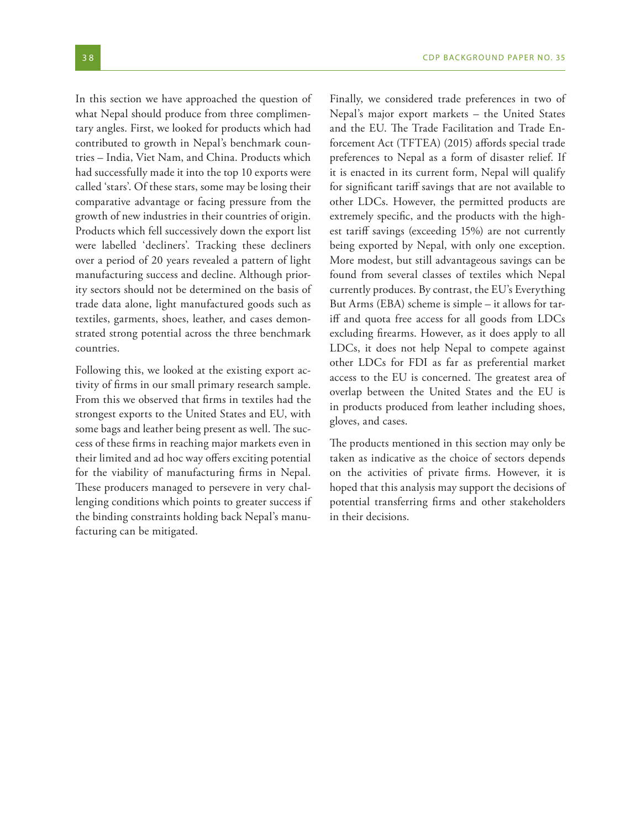In this section we have approached the question of what Nepal should produce from three complimentary angles. First, we looked for products which had contributed to growth in Nepal's benchmark countries – India, Viet Nam, and China. Products which had successfully made it into the top 10 exports were called 'stars'. Of these stars, some may be losing their comparative advantage or facing pressure from the growth of new industries in their countries of origin. Products which fell successively down the export list were labelled 'decliners'. Tracking these decliners over a period of 20 years revealed a pattern of light manufacturing success and decline. Although priority sectors should not be determined on the basis of trade data alone, light manufactured goods such as textiles, garments, shoes, leather, and cases demonstrated strong potential across the three benchmark countries.

Following this, we looked at the existing export activity of firms in our small primary research sample. From this we observed that firms in textiles had the strongest exports to the United States and EU, with some bags and leather being present as well. The success of these firms in reaching major markets even in their limited and ad hoc way offers exciting potential for the viability of manufacturing firms in Nepal. These producers managed to persevere in very challenging conditions which points to greater success if the binding constraints holding back Nepal's manufacturing can be mitigated.

Finally, we considered trade preferences in two of Nepal's major export markets – the United States and the EU. The Trade Facilitation and Trade Enforcement Act (TFTEA) (2015) affords special trade preferences to Nepal as a form of disaster relief. If it is enacted in its current form, Nepal will qualify for significant tariff savings that are not available to other LDCs. However, the permitted products are extremely specific, and the products with the highest tariff savings (exceeding 15%) are not currently being exported by Nepal, with only one exception. More modest, but still advantageous savings can be found from several classes of textiles which Nepal currently produces. By contrast, the EU's Everything But Arms (EBA) scheme is simple – it allows for tariff and quota free access for all goods from LDCs excluding firearms. However, as it does apply to all LDCs, it does not help Nepal to compete against other LDCs for FDI as far as preferential market access to the EU is concerned. The greatest area of overlap between the United States and the EU is in products produced from leather including shoes, gloves, and cases.

The products mentioned in this section may only be taken as indicative as the choice of sectors depends on the activities of private firms. However, it is hoped that this analysis may support the decisions of potential transferring firms and other stakeholders in their decisions.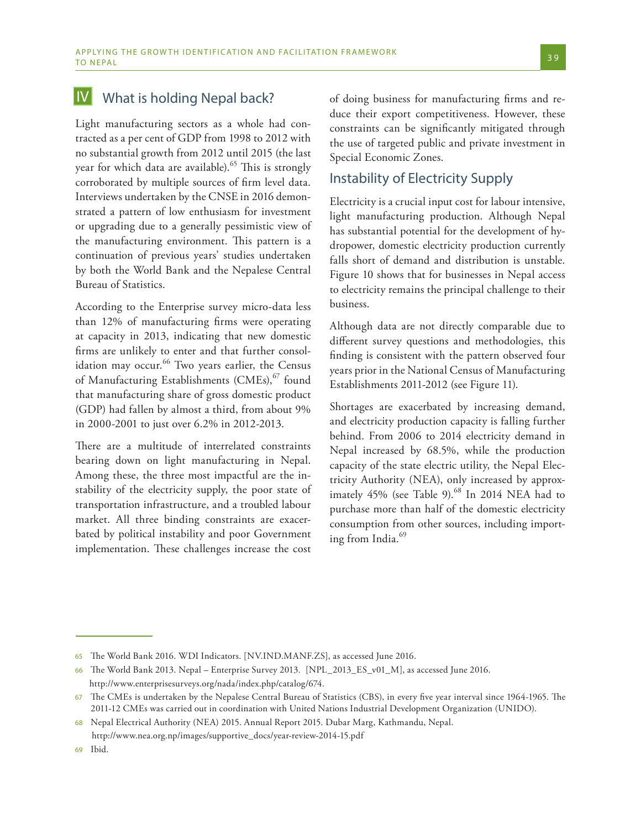#### What is holding Nepal back? IV

Light manufacturing sectors as a whole had contracted as a per cent of GDP from 1998 to 2012 with no substantial growth from 2012 until 2015 (the last year for which data are available).<sup>65</sup> This is strongly corroborated by multiple sources of firm level data. Interviews undertaken by the CNSE in 2016 demonstrated a pattern of low enthusiasm for investment or upgrading due to a generally pessimistic view of the manufacturing environment. This pattern is a continuation of previous years' studies undertaken by both the World Bank and the Nepalese Central Bureau of Statistics.

According to the Enterprise survey micro-data less than 12% of manufacturing firms were operating at capacity in 2013, indicating that new domestic firms are unlikely to enter and that further consolidation may occur.<sup>66</sup> Two years earlier, the Census of Manufacturing Establishments (CMEs),<sup>67</sup> found that manufacturing share of gross domestic product (GDP) had fallen by almost a third, from about 9% in 2000-2001 to just over 6.2% in 2012-2013.

There are a multitude of interrelated constraints bearing down on light manufacturing in Nepal. Among these, the three most impactful are the instability of the electricity supply, the poor state of transportation infrastructure, and a troubled labour market. All three binding constraints are exacerbated by political instability and poor Government implementation. These challenges increase the cost

of doing business for manufacturing firms and reduce their export competitiveness. However, these constraints can be significantly mitigated through the use of targeted public and private investment in Special Economic Zones.

## Instability of Electricity Supply

Electricity is a crucial input cost for labour intensive, light manufacturing production. Although Nepal has substantial potential for the development of hydropower, domestic electricity production currently falls short of demand and distribution is unstable. Figure 10 shows that for businesses in Nepal access to electricity remains the principal challenge to their business.

Although data are not directly comparable due to different survey questions and methodologies, this finding is consistent with the pattern observed four years prior in the National Census of Manufacturing Establishments 2011-2012 (see Figure 11).

Shortages are exacerbated by increasing demand, and electricity production capacity is falling further behind. From 2006 to 2014 electricity demand in Nepal increased by 68.5%, while the production capacity of the state electric utility, the Nepal Electricity Authority (NEA), only increased by approximately 45% (see Table 9).<sup>68</sup> In 2014 NEA had to purchase more than half of the domestic electricity consumption from other sources, including importing from India.<sup>69</sup>

<sup>65</sup> The World Bank 2016. WDI Indicators. [NV.IND.MANF.ZS], as accessed June 2016.

<sup>66</sup> The World Bank 2013. Nepal – Enterprise Survey 2013. [NPL\_2013\_ES\_v01\_M], as accessed June 2016. http://www.enterprisesurveys.org/nada/index.php/catalog/674.

<sup>67</sup> The CMEs is undertaken by the Nepalese Central Bureau of Statistics (CBS), in every five year interval since 1964-1965. The 2011-12 CMEs was carried out in coordination with United Nations Industrial Development Organization (UNIDO).

<sup>68</sup> Nepal Electrical Authority (NEA) 2015. Annual Report 2015. Dubar Marg, Kathmandu, Nepal. http://www.nea.org.np/images/supportive\_docs/year-review-2014-15.pdf

<sup>69</sup> Ibid.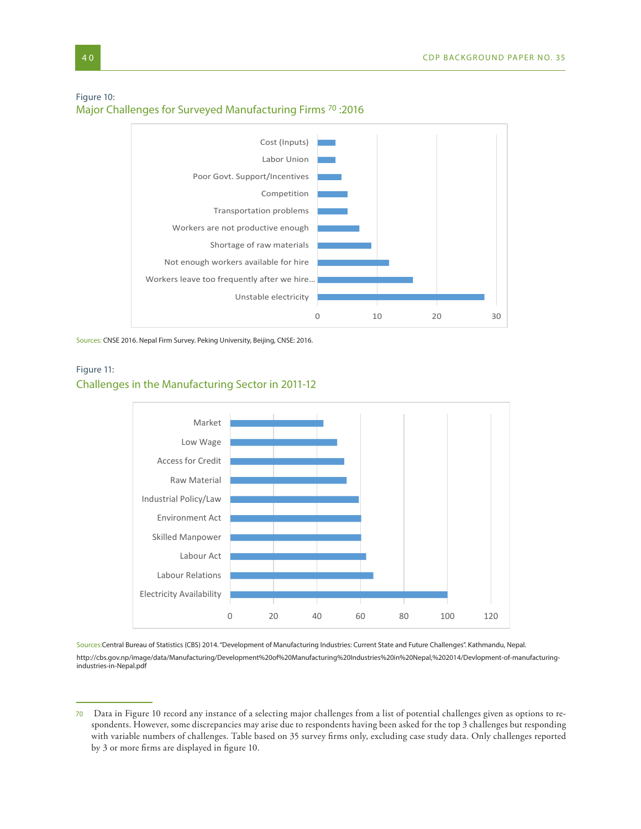#### Figure 10:

Major Challenges for Surveyed Manufacturing Firms 70 :2016



Sources: CNSE 2016. Nepal Firm Survey. Peking University, Beijing, CNSE: 2016.

## Figure 11: Challenges in the Manufacturing Sector in 2011-12



Sources:Central Bureau of Statistics (CBS) 2014. "Development of Manufacturing Industries: Current State and Future Challenges". Kathmandu, Nepal. http://cbs.gov.np/image/data/Manufacturing/Development%20of%20Manufacturing%20Industries%20in%20Nepal,%202014/Devlopment-of-manufacturingindustries-in-Nepal.pdf

<sup>70</sup> Data in Figure 10 record any instance of a selecting major challenges from a list of potential challenges given as options to respondents. However, some discrepancies may arise due to respondents having been asked for the top 3 challenges but responding with variable numbers of challenges. Table based on 35 survey firms only, excluding case study data. Only challenges reported by 3 or more firms are displayed in figure 10.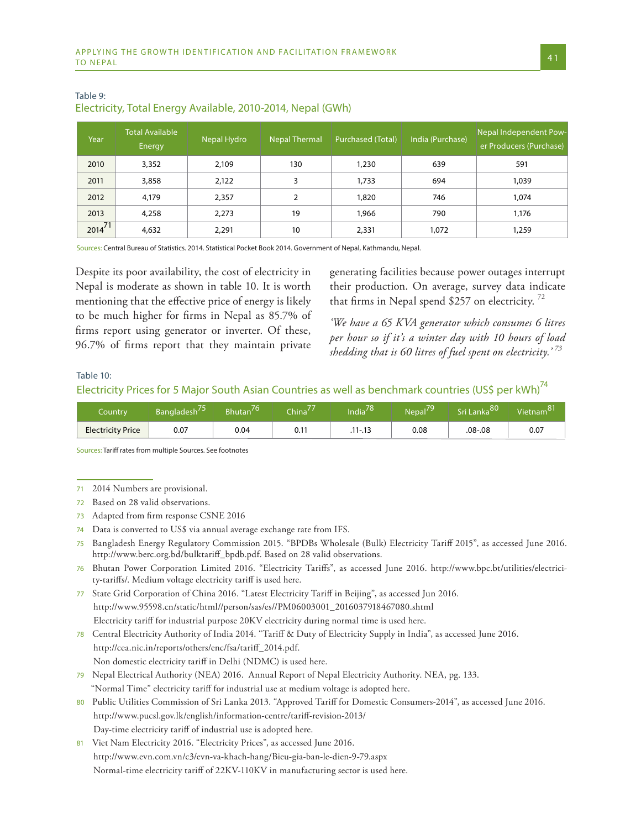| Year        | <b>Total Available</b><br>Energy | Nepal Hydro | <b>Nepal Thermal</b> | <b>Purchased (Total)</b> | India (Purchase) | Nepal Independent Pow-<br>er Producers (Purchase) |
|-------------|----------------------------------|-------------|----------------------|--------------------------|------------------|---------------------------------------------------|
| 2010        | 3,352                            | 2,109       | 130                  | 1,230                    | 639              | 591                                               |
| 2011        | 3,858                            | 2,122       | 3                    | 1,733                    | 694              | 1,039                                             |
| 2012        | 4,179                            | 2,357       |                      | 1,820                    | 746              | 1.074                                             |
| 2013        | 4,258                            | 2,273       | 19                   | 1,966                    | 790              | 1,176                                             |
| $2014^{71}$ | 4,632                            | 2,291       | 10                   | 2,331                    | 1,072            | 1,259                                             |

### Table 9: Electricity, Total Energy Available, 2010-2014, Nepal (GWh)

Sources: Central Bureau of Statistics. 2014. Statistical Pocket Book 2014. Government of Nepal, Kathmandu, Nepal.

Despite its poor availability, the cost of electricity in Nepal is moderate as shown in table 10. It is worth mentioning that the effective price of energy is likely to be much higher for firms in Nepal as 85.7% of firms report using generator or inverter. Of these, 96.7% of firms report that they maintain private

generating facilities because power outages interrupt their production. On average, survey data indicate that firms in Nepal spend \$257 on electricity.<sup>72</sup>

*'We have a 65 KVA generator which consumes 6 litres per hour so if it's a winter day with 10 hours of load shedding that is 60 litres of fuel spent on electricity.' <sup>73</sup>*

#### Table 10:

## Electricity Prices for 5 Major South Asian Countries as well as benchmark countries (US\$ per kWh)<sup>74</sup>

| Countrv                  | Bangladesh | <b>Bhutan</b> | China <sup>4</sup> | andia <sup>2</sup> | Nepal | $-anka^{80}$ | $\overline{81}$<br>Vietnam |
|--------------------------|------------|---------------|--------------------|--------------------|-------|--------------|----------------------------|
| <b>Electricity Price</b> | 0.07       | 0.04          | 0.11               | $.11 - .13$        | 0.08  | .08-.08      | 0.07                       |

Sources: Tariff rates from multiple Sources. See footnotes

74 Data is converted to US\$ via annual average exchange rate from IFS.

79 Nepal Electrical Authority (NEA) 2016. Annual Report of Nepal Electricity Authority. NEA, pg. 133. "Normal Time" electricity tariff for industrial use at medium voltage is adopted here.

Viet Nam Electricity 2016. "Electricity Prices", as accessed June 2016. http://www.evn.com.vn/c3/evn-va-khach-hang/Bieu-gia-ban-le-dien-9-79.aspx Normal-time electricity tariff of 22KV-110KV in manufacturing sector is used here.

<sup>71</sup> 2014 Numbers are provisional.

<sup>72</sup> Based on 28 valid observations.

<sup>73</sup> Adapted from firm response CSNE 2016

<sup>75</sup> Bangladesh Energy Regulatory Commission 2015. "BPDBs Wholesale (Bulk) Electricity Tariff 2015", as accessed June 2016. http://www.berc.org.bd/bulktariff\_bpdb.pdf. Based on 28 valid observations.

<sup>76</sup> Bhutan Power Corporation Limited 2016. "Electricity Tariffs", as accessed June 2016. http://www.bpc.bt/utilities/electricity-tariffs/. Medium voltage electricity tariff is used here.

<sup>77</sup> State Grid Corporation of China 2016. "Latest Electricity Tariff in Beijing", as accessed Jun 2016. http://www.95598.cn/static/html//person/sas/es//PM06003001\_2016037918467080.shtml Electricity tariff for industrial purpose 20KV electricity during normal time is used here.

<sup>78</sup> Central Electricity Authority of India 2014. "Tariff & Duty of Electricity Supply in India", as accessed June 2016. http://cea.nic.in/reports/others/enc/fsa/tariff\_2014.pdf. Non domestic electricity tariff in Delhi (NDMC) is used here.

<sup>80</sup> Public Utilities Commission of Sri Lanka 2013. "Approved Tariff for Domestic Consumers-2014", as accessed June 2016. http://www.pucsl.gov.lk/english/information-centre/tariff-revision-2013/ Day-time electricity tariff of industrial use is adopted here.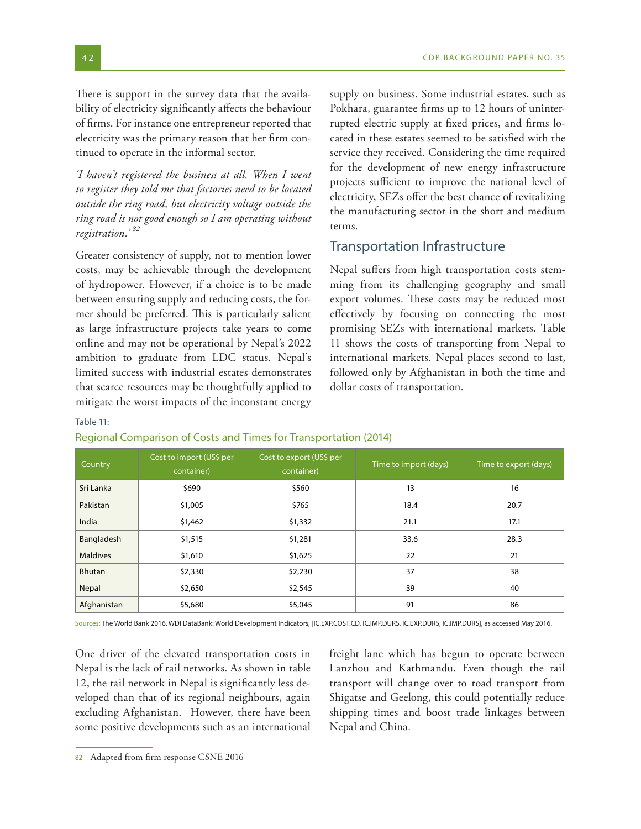There is support in the survey data that the availability of electricity significantly affects the behaviour of firms. For instance one entrepreneur reported that electricity was the primary reason that her firm continued to operate in the informal sector.

*'I haven't registered the business at all. When I went to register they told me that factories need to be located outside the ring road, but electricity voltage outside the ring road is not good enough so I am operating without registration.' <sup>82</sup>*

Greater consistency of supply, not to mention lower costs, may be achievable through the development of hydropower. However, if a choice is to be made between ensuring supply and reducing costs, the former should be preferred. This is particularly salient as large infrastructure projects take years to come online and may not be operational by Nepal's 2022 ambition to graduate from LDC status. Nepal's limited success with industrial estates demonstrates that scarce resources may be thoughtfully applied to mitigate the worst impacts of the inconstant energy

supply on business. Some industrial estates, such as Pokhara, guarantee firms up to 12 hours of uninterrupted electric supply at fixed prices, and firms located in these estates seemed to be satisfied with the service they received. Considering the time required for the development of new energy infrastructure projects sufficient to improve the national level of electricity, SEZs offer the best chance of revitalizing the manufacturing sector in the short and medium terms.

## Transportation Infrastructure

Nepal suffers from high transportation costs stemming from its challenging geography and small export volumes. These costs may be reduced most effectively by focusing on connecting the most promising SEZs with international markets. Table 11 shows the costs of transporting from Nepal to international markets. Nepal places second to last, followed only by Afghanistan in both the time and dollar costs of transportation.

#### Table 11:

#### Regional Comparison of Costs and Times for Transportation (2014)

| Country         | Cost to import (US\$ per<br>container) | Cost to export (US\$ per<br>container) | Time to import (days) | Time to export (days) |
|-----------------|----------------------------------------|----------------------------------------|-----------------------|-----------------------|
| Sri Lanka       | \$690                                  | \$560                                  | 13                    | 16                    |
| Pakistan        | \$1,005                                | \$765                                  | 18.4                  | 20.7                  |
| India           | \$1,462                                | \$1,332                                | 21.1                  | 17.1                  |
| Bangladesh      | \$1,515                                | \$1,281                                | 33.6                  | 28.3                  |
| <b>Maldives</b> | \$1,610                                | \$1,625                                | 22                    | 21                    |
| <b>Bhutan</b>   | \$2,330                                | \$2,230                                | 37                    | 38                    |
| Nepal           | \$2,650                                | \$2,545                                | 39                    | 40                    |
| Afghanistan     | \$5,680                                | \$5,045                                | 91                    | 86                    |

Sources: The World Bank 2016. WDI DataBank: World Development Indicators, [IC.EXP.COST.CD, IC.IMP.DURS, IC.EXP.DURS, IC.IMP.DURS], as accessed May 2016.

One driver of the elevated transportation costs in Nepal is the lack of rail networks. As shown in table 12, the rail network in Nepal is significantly less developed than that of its regional neighbours, again excluding Afghanistan. However, there have been some positive developments such as an international freight lane which has begun to operate between Lanzhou and Kathmandu. Even though the rail transport will change over to road transport from Shigatse and Geelong, this could potentially reduce shipping times and boost trade linkages between Nepal and China.

<sup>82</sup> Adapted from firm response CSNE 2016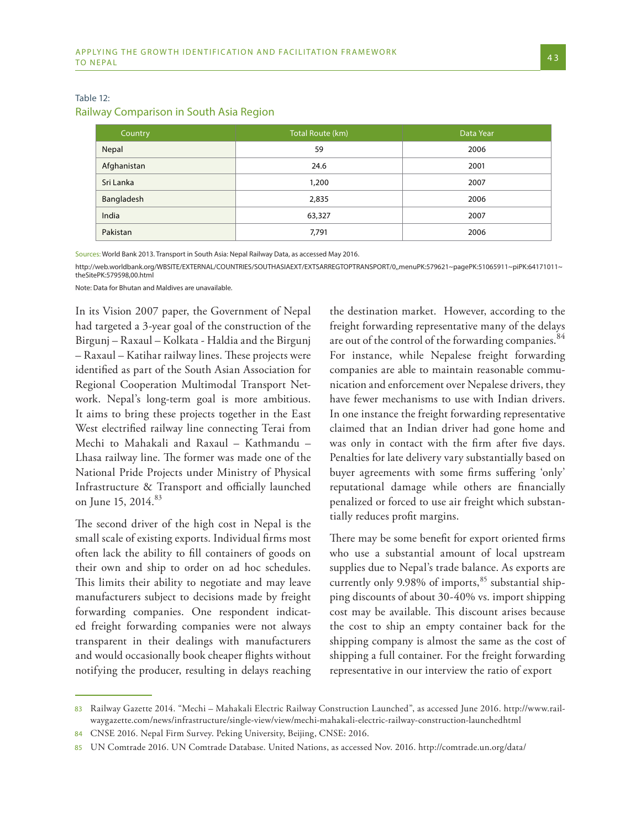| Country     | Total Route (km) | Data Year |  |
|-------------|------------------|-----------|--|
| Nepal       | 59               | 2006      |  |
| Afghanistan | 24.6             | 2001      |  |
| Sri Lanka   | 1,200            | 2007      |  |
| Bangladesh  | 2,835            | 2006      |  |
| India       | 63,327           | 2007      |  |
| Pakistan    | 7,791            | 2006      |  |

### Table 12:

#### Railway Comparison in South Asia Region

Sources: World Bank 2013. Transport in South Asia: Nepal Railway Data, as accessed May 2016.

http://web.worldbank.org/WBSITE/EXTERNAL/COUNTRIES/SOUTHASIAEXT/EXTSARREGTOPTRANSPORT/0,,menuPK:579621~pagePK:51065911~piPK:64171011~ theSitePK:579598,00.html

Note: Data for Bhutan and Maldives are unavailable.

In its Vision 2007 paper, the Government of Nepal had targeted a 3-year goal of the construction of the Birgunj – Raxaul – Kolkata - Haldia and the Birgunj – Raxaul – Katihar railway lines. These projects were identified as part of the South Asian Association for Regional Cooperation Multimodal Transport Network. Nepal's long-term goal is more ambitious. It aims to bring these projects together in the East West electrified railway line connecting Terai from Mechi to Mahakali and Raxaul – Kathmandu – Lhasa railway line. The former was made one of the National Pride Projects under Ministry of Physical Infrastructure & Transport and officially launched on June 15, 2014.<sup>83</sup>

The second driver of the high cost in Nepal is the small scale of existing exports. Individual firms most often lack the ability to fill containers of goods on their own and ship to order on ad hoc schedules. This limits their ability to negotiate and may leave manufacturers subject to decisions made by freight forwarding companies. One respondent indicated freight forwarding companies were not always transparent in their dealings with manufacturers and would occasionally book cheaper flights without notifying the producer, resulting in delays reaching the destination market. However, according to the freight forwarding representative many of the delays are out of the control of the forwarding companies.<sup>84</sup> For instance, while Nepalese freight forwarding companies are able to maintain reasonable communication and enforcement over Nepalese drivers, they have fewer mechanisms to use with Indian drivers. In one instance the freight forwarding representative claimed that an Indian driver had gone home and was only in contact with the firm after five days. Penalties for late delivery vary substantially based on buyer agreements with some firms suffering 'only' reputational damage while others are financially penalized or forced to use air freight which substantially reduces profit margins.

There may be some benefit for export oriented firms who use a substantial amount of local upstream supplies due to Nepal's trade balance. As exports are currently only 9.98% of imports,<sup>85</sup> substantial shipping discounts of about 30-40% vs. import shipping cost may be available. This discount arises because the cost to ship an empty container back for the shipping company is almost the same as the cost of shipping a full container. For the freight forwarding representative in our interview the ratio of export

<sup>83</sup> Railway Gazette 2014. "Mechi – Mahakali Electric Railway Construction Launched", as accessed June 2016. http://www.railwaygazette.com/news/infrastructure/single-view/view/mechi-mahakali-electric-railway-construction-launchedhtml

<sup>84</sup> CNSE 2016. Nepal Firm Survey. Peking University, Beijing, CNSE: 2016.

<sup>85</sup> UN Comtrade 2016. UN Comtrade Database. United Nations, as accessed Nov. 2016. http://comtrade.un.org/data/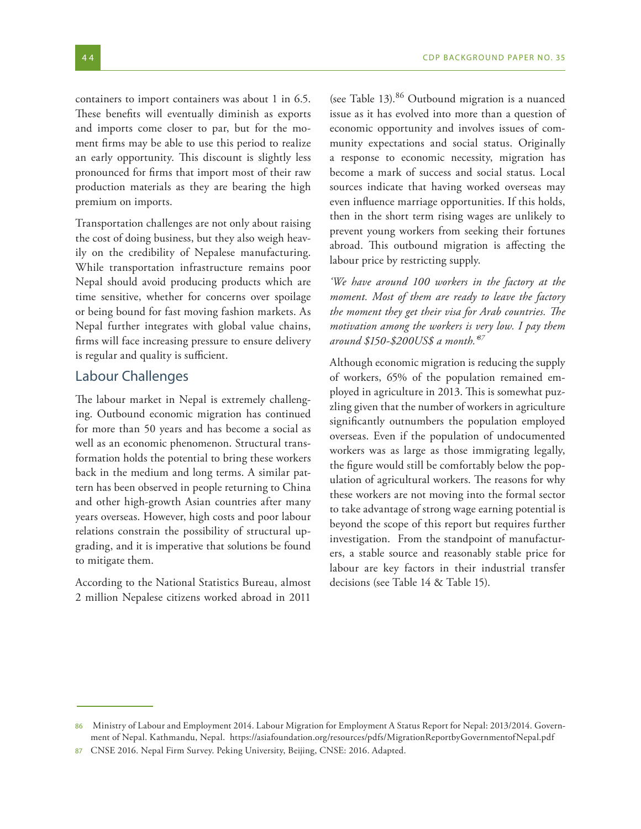containers to import containers was about 1 in 6.5. These benefits will eventually diminish as exports and imports come closer to par, but for the moment firms may be able to use this period to realize an early opportunity. This discount is slightly less pronounced for firms that import most of their raw production materials as they are bearing the high premium on imports.

Transportation challenges are not only about raising the cost of doing business, but they also weigh heavily on the credibility of Nepalese manufacturing. While transportation infrastructure remains poor Nepal should avoid producing products which are time sensitive, whether for concerns over spoilage or being bound for fast moving fashion markets. As Nepal further integrates with global value chains, firms will face increasing pressure to ensure delivery is regular and quality is sufficient.

## Labour Challenges

The labour market in Nepal is extremely challenging. Outbound economic migration has continued for more than 50 years and has become a social as well as an economic phenomenon. Structural transformation holds the potential to bring these workers back in the medium and long terms. A similar pattern has been observed in people returning to China and other high-growth Asian countries after many years overseas. However, high costs and poor labour relations constrain the possibility of structural upgrading, and it is imperative that solutions be found to mitigate them.

According to the National Statistics Bureau, almost 2 million Nepalese citizens worked abroad in 2011

(see Table 13).86 Outbound migration is a nuanced issue as it has evolved into more than a question of economic opportunity and involves issues of community expectations and social status. Originally a response to economic necessity, migration has become a mark of success and social status. Local sources indicate that having worked overseas may even influence marriage opportunities. If this holds, then in the short term rising wages are unlikely to prevent young workers from seeking their fortunes abroad. This outbound migration is affecting the labour price by restricting supply.

*'We have around 100 workers in the factory at the moment. Most of them are ready to leave the factory the moment they get their visa for Arab countries. The motivation among the workers is very low. I pay them around \$150-\$200US\$ a month.'87* 

Although economic migration is reducing the supply of workers, 65% of the population remained employed in agriculture in 2013. This is somewhat puzzling given that the number of workers in agriculture significantly outnumbers the population employed overseas. Even if the population of undocumented workers was as large as those immigrating legally, the figure would still be comfortably below the population of agricultural workers. The reasons for why these workers are not moving into the formal sector to take advantage of strong wage earning potential is beyond the scope of this report but requires further investigation. From the standpoint of manufacturers, a stable source and reasonably stable price for labour are key factors in their industrial transfer decisions (see Table 14 & Table 15).

<sup>86</sup> Ministry of Labour and Employment 2014. Labour Migration for Employment A Status Report for Nepal: 2013/2014. Government of Nepal. Kathmandu, Nepal. https://asiafoundation.org/resources/pdfs/MigrationReportbyGovernmentofNepal.pdf

<sup>87</sup> CNSE 2016. Nepal Firm Survey. Peking University, Beijing, CNSE: 2016. Adapted.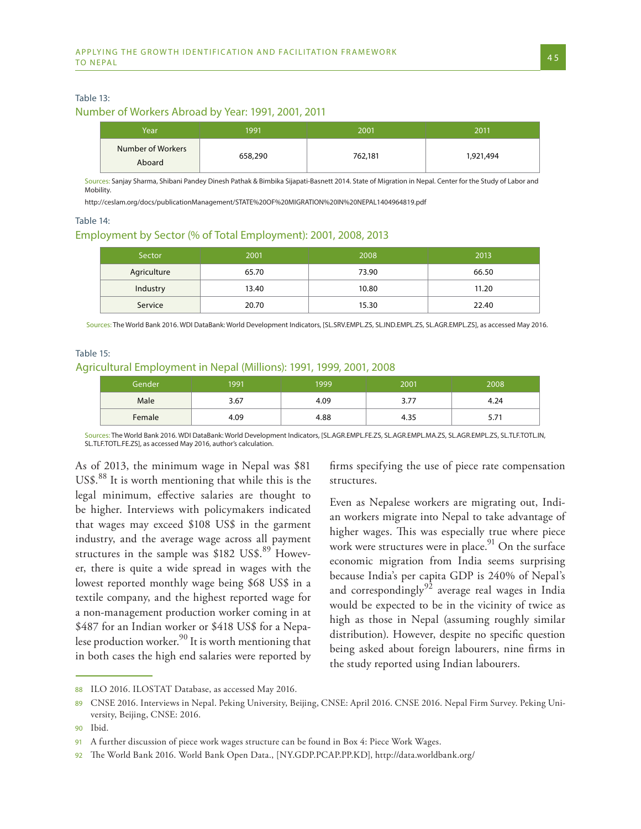#### Table 13:

#### Number of Workers Abroad by Year: 1991, 2001, 2011

| Year                        | 1991    | 2001    | 2011      |
|-----------------------------|---------|---------|-----------|
| Number of Workers<br>Aboard | 658,290 | 762,181 | 1,921,494 |

Sources: Sanjay Sharma, Shibani Pandey Dinesh Pathak & Bimbika Sijapati-Basnett 2014. State of Migration in Nepal. Center for the Study of Labor and Mobility.

http://ceslam.org/docs/publicationManagement/STATE%20OF%20MIGRATION%20IN%20NEPAL1404964819.pdf

#### Table 14:

#### Employment by Sector (% of Total Employment): 2001, 2008, 2013

| Sector      | 2001  | 2008  | 2013  |
|-------------|-------|-------|-------|
| Agriculture | 65.70 | 73.90 | 66.50 |
| Industry    | 13.40 | 10.80 | 11.20 |
| Service     | 20.70 | 15.30 | 22.40 |

Sources: The World Bank 2016. WDI DataBank: World Development Indicators, [SL.SRV.EMPL.ZS, SL.IND.EMPL.ZS, SL.AGR.EMPL.ZS], as accessed May 2016.

#### Table 15:

#### Agricultural Employment in Nepal (Millions): 1991, 1999, 2001, 2008

| Gender | 1991 | 1999 | 2001 | 2008 |
|--------|------|------|------|------|
| Male   | 3.67 | 4.09 | 3.77 | 4.24 |
| Female | 4.09 | 4.88 | 4.35 | 3.1  |

Sources: The World Bank 2016. WDI DataBank: World Development Indicators, [SL.AGR.EMPL.FE.ZS, SL.AGR.EMPL.MA.ZS, SL.AGR.EMPL.ZS, SL.TLF.TOTL.IN, SL.TLF.TOTL.FE.ZS], as accessed May 2016, author's calculation.

As of 2013, the minimum wage in Nepal was \$81 US\$.88 It is worth mentioning that while this is the legal minimum, effective salaries are thought to be higher. Interviews with policymakers indicated that wages may exceed \$108 US\$ in the garment industry, and the average wage across all payment structures in the sample was  $$182$  US\$.<sup>89</sup> However, there is quite a wide spread in wages with the lowest reported monthly wage being \$68 US\$ in a textile company, and the highest reported wage for a non-management production worker coming in at \$487 for an Indian worker or \$418 US\$ for a Nepalese production worker.<sup>90</sup> It is worth mentioning that in both cases the high end salaries were reported by

firms specifying the use of piece rate compensation structures.

Even as Nepalese workers are migrating out, Indian workers migrate into Nepal to take advantage of higher wages. This was especially true where piece work were structures were in place. $91$  On the surface economic migration from India seems surprising because India's per capita GDP is 240% of Nepal's and correspondingly<sup>92</sup> average real wages in India would be expected to be in the vicinity of twice as high as those in Nepal (assuming roughly similar distribution). However, despite no specific question being asked about foreign labourers, nine firms in the study reported using Indian labourers.

<sup>88</sup> ILO 2016. ILOSTAT Database, as accessed May 2016.

<sup>89</sup> CNSE 2016. Interviews in Nepal. Peking University, Beijing, CNSE: April 2016. CNSE 2016. Nepal Firm Survey. Peking University, Beijing, CNSE: 2016.

<sup>90</sup> Ibid.

<sup>91</sup> A further discussion of piece work wages structure can be found in Box 4: Piece Work Wages.

<sup>92</sup> The World Bank 2016. World Bank Open Data., [NY.GDP.PCAP.PP.KD], http://data.worldbank.org/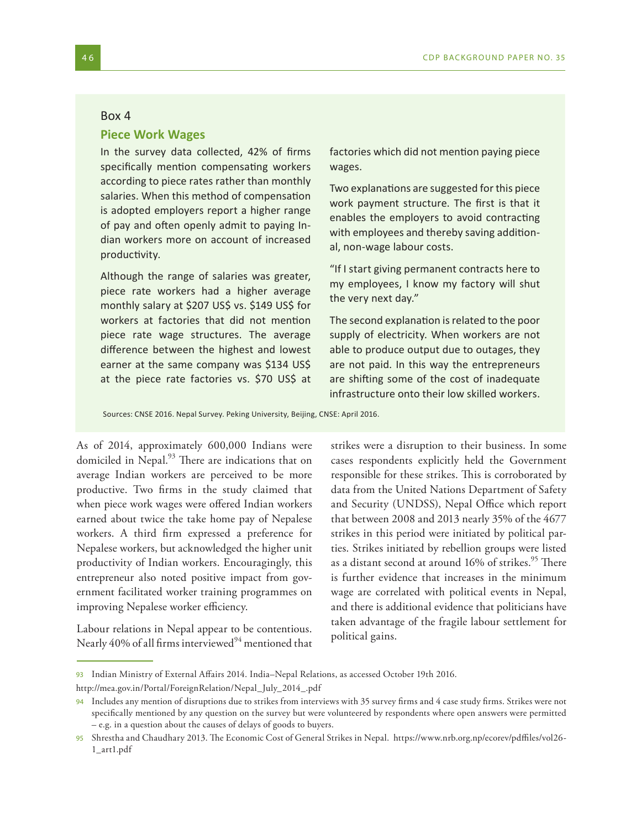#### Box 4

## **Piece Work Wages**

In the survey data collected, 42% of firms specifically mention compensating workers according to piece rates rather than monthly salaries. When this method of compensation is adopted employers report a higher range of pay and often openly admit to paying Indian workers more on account of increased productivity.

Although the range of salaries was greater, piece rate workers had a higher average monthly salary at \$207 US\$ vs. \$149 US\$ for workers at factories that did not mention piece rate wage structures. The average difference between the highest and lowest earner at the same company was \$134 US\$ at the piece rate factories vs. \$70 US\$ at

factories which did not mention paying piece wages.

Two explanations are suggested for this piece work payment structure. The first is that it enables the employers to avoid contracting with employees and thereby saving additional, non-wage labour costs.

"If I start giving permanent contracts here to my employees, I know my factory will shut the very next day."

The second explanation is related to the poor supply of electricity. When workers are not able to produce output due to outages, they are not paid. In this way the entrepreneurs are shifting some of the cost of inadequate infrastructure onto their low skilled workers.

Sources: CNSE 2016. Nepal Survey. Peking University, Beijing, CNSE: April 2016.

As of 2014, approximately 600,000 Indians were domiciled in Nepal.<sup>93</sup> There are indications that on average Indian workers are perceived to be more productive. Two firms in the study claimed that when piece work wages were offered Indian workers earned about twice the take home pay of Nepalese workers. A third firm expressed a preference for Nepalese workers, but acknowledged the higher unit productivity of Indian workers. Encouragingly, this entrepreneur also noted positive impact from government facilitated worker training programmes on improving Nepalese worker efficiency.

Labour relations in Nepal appear to be contentious. Nearly 40% of all firms interviewed $94$  mentioned that strikes were a disruption to their business. In some cases respondents explicitly held the Government responsible for these strikes. This is corroborated by data from the United Nations Department of Safety and Security (UNDSS), Nepal Office which report that between 2008 and 2013 nearly 35% of the 4677 strikes in this period were initiated by political parties. Strikes initiated by rebellion groups were listed as a distant second at around 16% of strikes.<sup>95</sup> There is further evidence that increases in the minimum wage are correlated with political events in Nepal, and there is additional evidence that politicians have taken advantage of the fragile labour settlement for political gains.

<sup>93</sup> Indian Ministry of External Affairs 2014. India–Nepal Relations, as accessed October 19th 2016.

http://mea.gov.in/Portal/ForeignRelation/Nepal\_July\_2014\_.pdf

<sup>94</sup> Includes any mention of disruptions due to strikes from interviews with 35 survey firms and 4 case study firms. Strikes were not specifically mentioned by any question on the survey but were volunteered by respondents where open answers were permitted – e.g. in a question about the causes of delays of goods to buyers.

<sup>95</sup> Shrestha and Chaudhary 2013. The Economic Cost of General Strikes in Nepal. https://www.nrb.org.np/ecorev/pdffiles/vol26- 1\_art1.pdf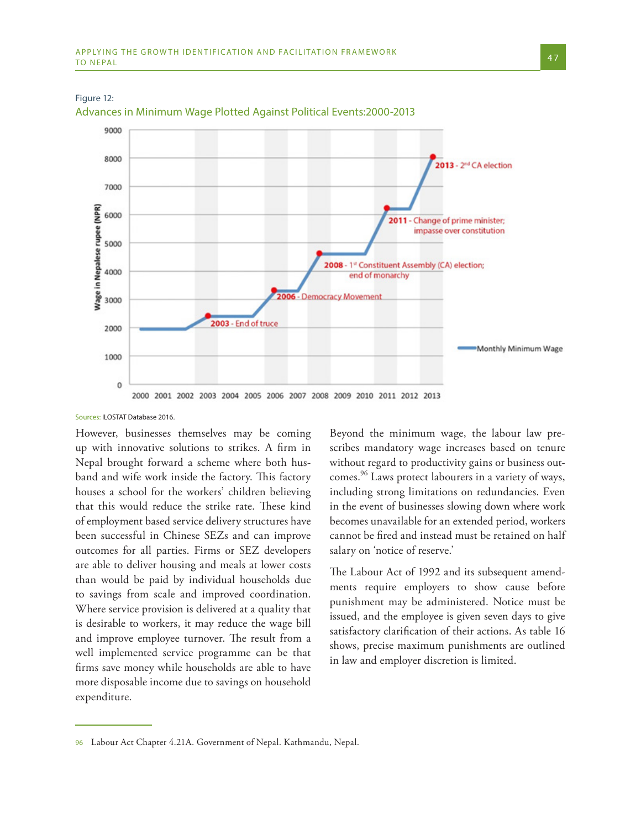

Advances in Minimum Wage Plotted Against Political Events:2000-2013

Sources: ILOSTAT Database 2016.

Figure 12:

However, businesses themselves may be coming up with innovative solutions to strikes. A firm in Nepal brought forward a scheme where both husband and wife work inside the factory. This factory houses a school for the workers' children believing that this would reduce the strike rate. These kind of employment based service delivery structures have been successful in Chinese SEZs and can improve outcomes for all parties. Firms or SEZ developers are able to deliver housing and meals at lower costs than would be paid by individual households due to savings from scale and improved coordination. Where service provision is delivered at a quality that is desirable to workers, it may reduce the wage bill and improve employee turnover. The result from a well implemented service programme can be that firms save money while households are able to have more disposable income due to savings on household expenditure.

Beyond the minimum wage, the labour law prescribes mandatory wage increases based on tenure without regard to productivity gains or business outcomes.<sup>96</sup> Laws protect labourers in a variety of ways, including strong limitations on redundancies. Even in the event of businesses slowing down where work becomes unavailable for an extended period, workers cannot be fired and instead must be retained on half salary on 'notice of reserve.'

The Labour Act of 1992 and its subsequent amendments require employers to show cause before punishment may be administered. Notice must be issued, and the employee is given seven days to give satisfactory clarification of their actions. As table 16 shows, precise maximum punishments are outlined in law and employer discretion is limited.

<sup>96</sup> Labour Act Chapter 4.21A. Government of Nepal. Kathmandu, Nepal.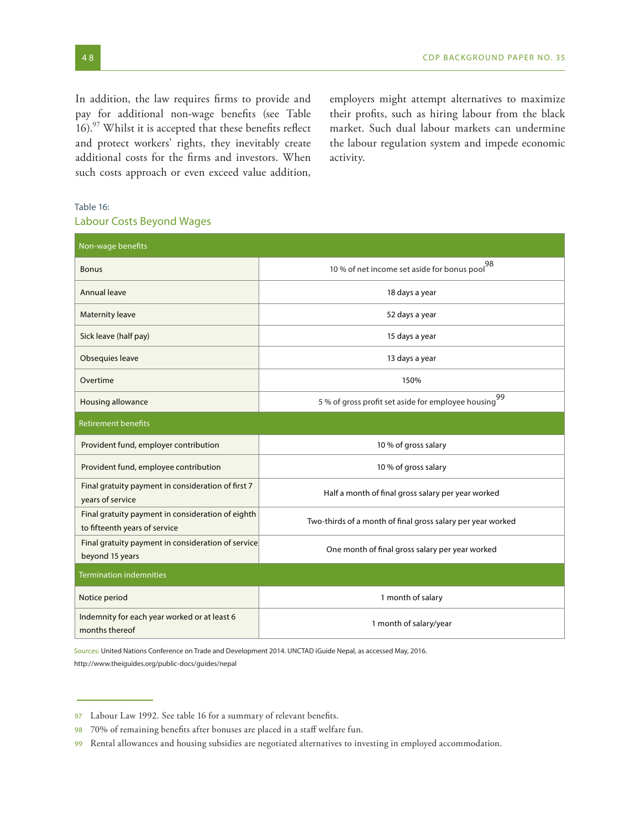In addition, the law requires firms to provide and pay for additional non-wage benefits (see Table 16).<sup>97</sup> Whilst it is accepted that these benefits reflect and protect workers' rights, they inevitably create additional costs for the firms and investors. When such costs approach or even exceed value addition, employers might attempt alternatives to maximize their profits, such as hiring labour from the black market. Such dual labour markets can undermine the labour regulation system and impede economic activity.

#### Table 16:

#### Labour Costs Beyond Wages

| Non-wage benefits                                                                  |                                                             |  |  |
|------------------------------------------------------------------------------------|-------------------------------------------------------------|--|--|
| <b>Bonus</b>                                                                       | 10 % of net income set aside for bonus pool $^{98}$         |  |  |
| Annual leave                                                                       | 18 days a year                                              |  |  |
| Maternity leave                                                                    | 52 days a year                                              |  |  |
| Sick leave (half pay)                                                              | 15 days a year                                              |  |  |
| Obsequies leave                                                                    | 13 days a year                                              |  |  |
| Overtime                                                                           | 150%                                                        |  |  |
| Housing allowance                                                                  | 99<br>5 % of gross profit set aside for employee housing    |  |  |
| Retirement benefits                                                                |                                                             |  |  |
| Provident fund, employer contribution                                              | 10 % of gross salary                                        |  |  |
| Provident fund, employee contribution                                              | 10 % of gross salary                                        |  |  |
| Final gratuity payment in consideration of first 7<br>years of service             | Half a month of final gross salary per year worked          |  |  |
| Final gratuity payment in consideration of eighth<br>to fifteenth years of service | Two-thirds of a month of final gross salary per year worked |  |  |
| Final gratuity payment in consideration of service<br>beyond 15 years              | One month of final gross salary per year worked             |  |  |
| <b>Termination indemnities</b>                                                     |                                                             |  |  |
| Notice period                                                                      | 1 month of salary                                           |  |  |
| Indemnity for each year worked or at least 6<br>months thereof                     | 1 month of salary/year                                      |  |  |

Sources: United Nations Conference on Trade and Development 2014. UNCTAD iGuide Nepal, as accessed May, 2016. http://www.theiguides.org/public-docs/guides/nepal

<sup>97</sup> Labour Law 1992. See table 16 for a summary of relevant benefits.

<sup>98</sup> 70% of remaining benefits after bonuses are placed in a staff welfare fun.

<sup>99</sup> Rental allowances and housing subsidies are negotiated alternatives to investing in employed accommodation.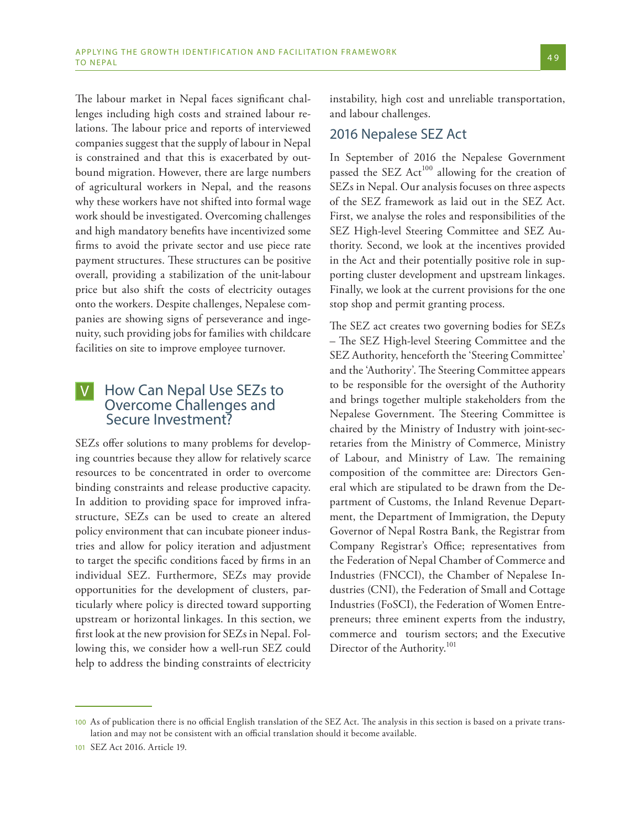The labour market in Nepal faces significant challenges including high costs and strained labour relations. The labour price and reports of interviewed companies suggest that the supply of labour in Nepal is constrained and that this is exacerbated by outbound migration. However, there are large numbers of agricultural workers in Nepal, and the reasons why these workers have not shifted into formal wage work should be investigated. Overcoming challenges and high mandatory benefits have incentivized some firms to avoid the private sector and use piece rate payment structures. These structures can be positive overall, providing a stabilization of the unit-labour price but also shift the costs of electricity outages onto the workers. Despite challenges, Nepalese companies are showing signs of perseverance and ingenuity, such providing jobs for families with childcare facilities on site to improve employee turnover.

#### How Can Nepal Use SEZs to Overcome Challenges and Secure Investment?  $\left\vert \mathsf{V}\right\vert$

SEZs offer solutions to many problems for developing countries because they allow for relatively scarce resources to be concentrated in order to overcome binding constraints and release productive capacity. In addition to providing space for improved infrastructure, SEZs can be used to create an altered policy environment that can incubate pioneer industries and allow for policy iteration and adjustment to target the specific conditions faced by firms in an individual SEZ. Furthermore, SEZs may provide opportunities for the development of clusters, particularly where policy is directed toward supporting upstream or horizontal linkages. In this section, we first look at the new provision for SEZs in Nepal. Following this, we consider how a well-run SEZ could help to address the binding constraints of electricity

instability, high cost and unreliable transportation, and labour challenges.

## 2016 Nepalese SEZ Act

In September of 2016 the Nepalese Government passed the SEZ Act<sup>100</sup> allowing for the creation of SEZs in Nepal. Our analysis focuses on three aspects of the SEZ framework as laid out in the SEZ Act. First, we analyse the roles and responsibilities of the SEZ High-level Steering Committee and SEZ Authority. Second, we look at the incentives provided in the Act and their potentially positive role in supporting cluster development and upstream linkages. Finally, we look at the current provisions for the one stop shop and permit granting process.

The SEZ act creates two governing bodies for SEZs – The SEZ High-level Steering Committee and the SEZ Authority, henceforth the 'Steering Committee' and the 'Authority'. The Steering Committee appears to be responsible for the oversight of the Authority and brings together multiple stakeholders from the Nepalese Government. The Steering Committee is chaired by the Ministry of Industry with joint-secretaries from the Ministry of Commerce, Ministry of Labour, and Ministry of Law. The remaining composition of the committee are: Directors General which are stipulated to be drawn from the Department of Customs, the Inland Revenue Department, the Department of Immigration, the Deputy Governor of Nepal Rostra Bank, the Registrar from Company Registrar's Office; representatives from the Federation of Nepal Chamber of Commerce and Industries (FNCCI), the Chamber of Nepalese Industries (CNI), the Federation of Small and Cottage Industries (FoSCI), the Federation of Women Entrepreneurs; three eminent experts from the industry, commerce and tourism sectors; and the Executive Director of the Authority.<sup>101</sup>

<sup>100</sup> As of publication there is no official English translation of the SEZ Act. The analysis in this section is based on a private translation and may not be consistent with an official translation should it become available.

<sup>101</sup> SEZ Act 2016. Article 19.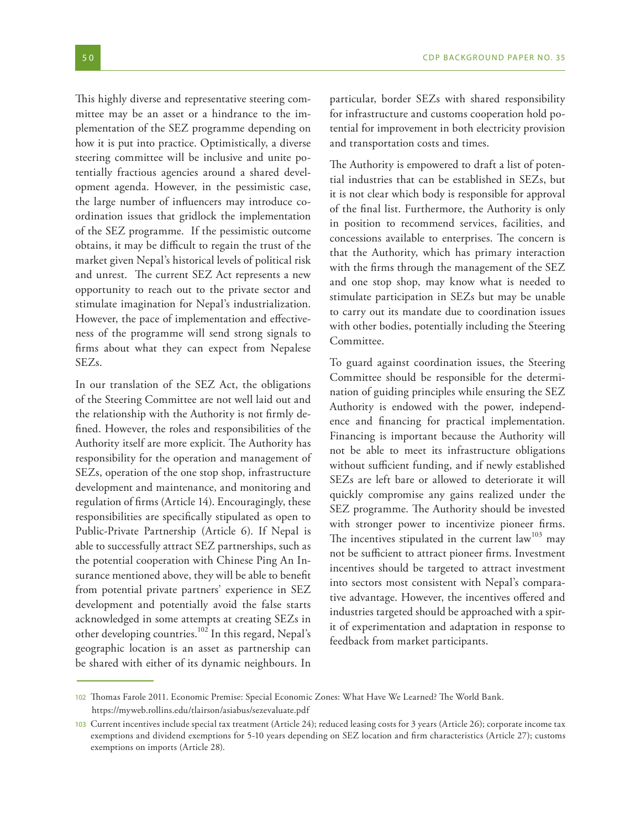This highly diverse and representative steering committee may be an asset or a hindrance to the implementation of the SEZ programme depending on how it is put into practice. Optimistically, a diverse steering committee will be inclusive and unite potentially fractious agencies around a shared development agenda. However, in the pessimistic case, the large number of influencers may introduce coordination issues that gridlock the implementation of the SEZ programme. If the pessimistic outcome obtains, it may be difficult to regain the trust of the market given Nepal's historical levels of political risk and unrest. The current SEZ Act represents a new opportunity to reach out to the private sector and stimulate imagination for Nepal's industrialization. However, the pace of implementation and effectiveness of the programme will send strong signals to firms about what they can expect from Nepalese SEZs.

In our translation of the SEZ Act, the obligations of the Steering Committee are not well laid out and the relationship with the Authority is not firmly defined. However, the roles and responsibilities of the Authority itself are more explicit. The Authority has responsibility for the operation and management of SEZs, operation of the one stop shop, infrastructure development and maintenance, and monitoring and regulation of firms (Article 14). Encouragingly, these responsibilities are specifically stipulated as open to Public-Private Partnership (Article 6). If Nepal is able to successfully attract SEZ partnerships, such as the potential cooperation with Chinese Ping An Insurance mentioned above, they will be able to benefit from potential private partners' experience in SEZ development and potentially avoid the false starts acknowledged in some attempts at creating SEZs in other developing countries.102 In this regard, Nepal's geographic location is an asset as partnership can be shared with either of its dynamic neighbours. In

particular, border SEZs with shared responsibility for infrastructure and customs cooperation hold potential for improvement in both electricity provision and transportation costs and times.

The Authority is empowered to draft a list of potential industries that can be established in SEZs, but it is not clear which body is responsible for approval of the final list. Furthermore, the Authority is only in position to recommend services, facilities, and concessions available to enterprises. The concern is that the Authority, which has primary interaction with the firms through the management of the SEZ and one stop shop, may know what is needed to stimulate participation in SEZs but may be unable to carry out its mandate due to coordination issues with other bodies, potentially including the Steering Committee.

To guard against coordination issues, the Steering Committee should be responsible for the determination of guiding principles while ensuring the SEZ Authority is endowed with the power, independence and financing for practical implementation. Financing is important because the Authority will not be able to meet its infrastructure obligations without sufficient funding, and if newly established SEZs are left bare or allowed to deteriorate it will quickly compromise any gains realized under the SEZ programme. The Authority should be invested with stronger power to incentivize pioneer firms. The incentives stipulated in the current  $law<sup>103</sup>$  may not be sufficient to attract pioneer firms. Investment incentives should be targeted to attract investment into sectors most consistent with Nepal's comparative advantage. However, the incentives offered and industries targeted should be approached with a spirit of experimentation and adaptation in response to feedback from market participants.

<sup>102</sup> Thomas Farole 2011. Economic Premise: Special Economic Zones: What Have We Learned? The World Bank. https://myweb.rollins.edu/tlairson/asiabus/sezevaluate.pdf

<sup>103</sup> Current incentives include special tax treatment (Article 24); reduced leasing costs for 3 years (Article 26); corporate income tax exemptions and dividend exemptions for 5-10 years depending on SEZ location and firm characteristics (Article 27); customs exemptions on imports (Article 28).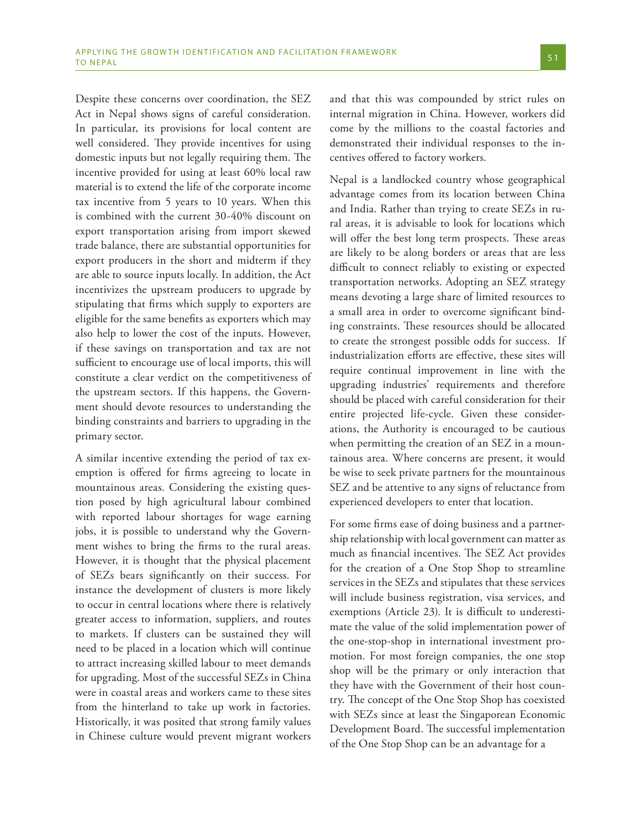Despite these concerns over coordination, the SEZ Act in Nepal shows signs of careful consideration. In particular, its provisions for local content are well considered. They provide incentives for using domestic inputs but not legally requiring them. The incentive provided for using at least 60% local raw material is to extend the life of the corporate income tax incentive from 5 years to 10 years. When this is combined with the current 30-40% discount on export transportation arising from import skewed trade balance, there are substantial opportunities for export producers in the short and midterm if they are able to source inputs locally. In addition, the Act incentivizes the upstream producers to upgrade by stipulating that firms which supply to exporters are eligible for the same benefits as exporters which may also help to lower the cost of the inputs. However, if these savings on transportation and tax are not sufficient to encourage use of local imports, this will constitute a clear verdict on the competitiveness of the upstream sectors. If this happens, the Government should devote resources to understanding the binding constraints and barriers to upgrading in the primary sector.

A similar incentive extending the period of tax exemption is offered for firms agreeing to locate in mountainous areas. Considering the existing question posed by high agricultural labour combined with reported labour shortages for wage earning jobs, it is possible to understand why the Government wishes to bring the firms to the rural areas. However, it is thought that the physical placement of SEZs bears significantly on their success. For instance the development of clusters is more likely to occur in central locations where there is relatively greater access to information, suppliers, and routes to markets. If clusters can be sustained they will need to be placed in a location which will continue to attract increasing skilled labour to meet demands for upgrading. Most of the successful SEZs in China were in coastal areas and workers came to these sites from the hinterland to take up work in factories. Historically, it was posited that strong family values in Chinese culture would prevent migrant workers

and that this was compounded by strict rules on internal migration in China. However, workers did come by the millions to the coastal factories and demonstrated their individual responses to the incentives offered to factory workers.

Nepal is a landlocked country whose geographical advantage comes from its location between China and India. Rather than trying to create SEZs in rural areas, it is advisable to look for locations which will offer the best long term prospects. These areas are likely to be along borders or areas that are less difficult to connect reliably to existing or expected transportation networks. Adopting an SEZ strategy means devoting a large share of limited resources to a small area in order to overcome significant binding constraints. These resources should be allocated to create the strongest possible odds for success. If industrialization efforts are effective, these sites will require continual improvement in line with the upgrading industries' requirements and therefore should be placed with careful consideration for their entire projected life-cycle. Given these considerations, the Authority is encouraged to be cautious when permitting the creation of an SEZ in a mountainous area. Where concerns are present, it would be wise to seek private partners for the mountainous SEZ and be attentive to any signs of reluctance from experienced developers to enter that location.

For some firms ease of doing business and a partnership relationship with local government can matter as much as financial incentives. The SEZ Act provides for the creation of a One Stop Shop to streamline services in the SEZs and stipulates that these services will include business registration, visa services, and exemptions (Article 23). It is difficult to underestimate the value of the solid implementation power of the one-stop-shop in international investment promotion. For most foreign companies, the one stop shop will be the primary or only interaction that they have with the Government of their host country. The concept of the One Stop Shop has coexisted with SEZs since at least the Singaporean Economic Development Board. The successful implementation of the One Stop Shop can be an advantage for a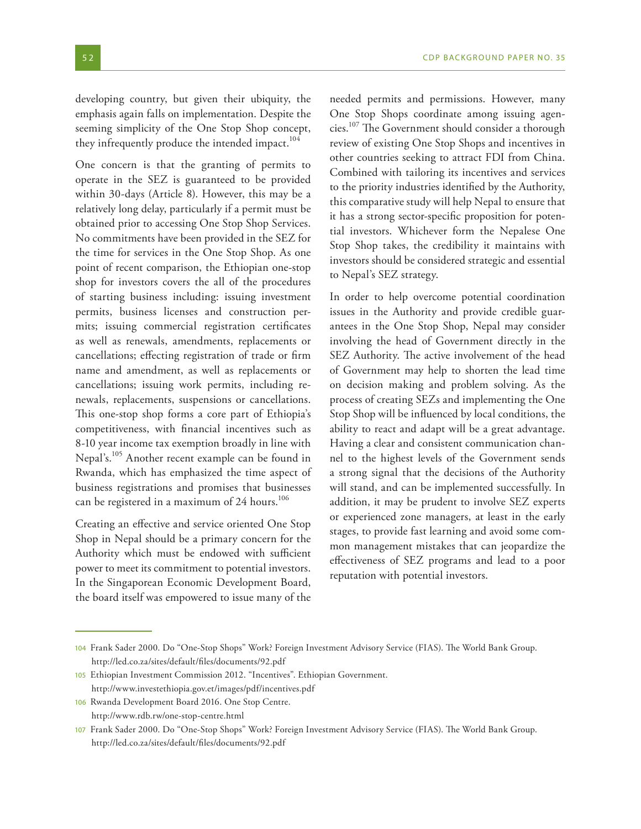developing country, but given their ubiquity, the emphasis again falls on implementation. Despite the seeming simplicity of the One Stop Shop concept, they infrequently produce the intended impact.<sup>104</sup>

One concern is that the granting of permits to operate in the SEZ is guaranteed to be provided within 30-days (Article 8). However, this may be a relatively long delay, particularly if a permit must be obtained prior to accessing One Stop Shop Services. No commitments have been provided in the SEZ for the time for services in the One Stop Shop. As one point of recent comparison, the Ethiopian one-stop shop for investors covers the all of the procedures of starting business including: issuing investment permits, business licenses and construction permits; issuing commercial registration certificates as well as renewals, amendments, replacements or cancellations; effecting registration of trade or firm name and amendment, as well as replacements or cancellations; issuing work permits, including renewals, replacements, suspensions or cancellations. This one-stop shop forms a core part of Ethiopia's competitiveness, with financial incentives such as 8-10 year income tax exemption broadly in line with Nepal's.<sup>105</sup> Another recent example can be found in Rwanda, which has emphasized the time aspect of business registrations and promises that businesses can be registered in a maximum of 24 hours.<sup>106</sup>

Creating an effective and service oriented One Stop Shop in Nepal should be a primary concern for the Authority which must be endowed with sufficient power to meet its commitment to potential investors. In the Singaporean Economic Development Board, the board itself was empowered to issue many of the

needed permits and permissions. However, many One Stop Shops coordinate among issuing agencies.107 The Government should consider a thorough review of existing One Stop Shops and incentives in other countries seeking to attract FDI from China. Combined with tailoring its incentives and services to the priority industries identified by the Authority, this comparative study will help Nepal to ensure that it has a strong sector-specific proposition for potential investors. Whichever form the Nepalese One Stop Shop takes, the credibility it maintains with investors should be considered strategic and essential to Nepal's SEZ strategy.

In order to help overcome potential coordination issues in the Authority and provide credible guarantees in the One Stop Shop, Nepal may consider involving the head of Government directly in the SEZ Authority. The active involvement of the head of Government may help to shorten the lead time on decision making and problem solving. As the process of creating SEZs and implementing the One Stop Shop will be influenced by local conditions, the ability to react and adapt will be a great advantage. Having a clear and consistent communication channel to the highest levels of the Government sends a strong signal that the decisions of the Authority will stand, and can be implemented successfully. In addition, it may be prudent to involve SEZ experts or experienced zone managers, at least in the early stages, to provide fast learning and avoid some common management mistakes that can jeopardize the effectiveness of SEZ programs and lead to a poor reputation with potential investors.

<sup>104</sup> Frank Sader 2000. Do "One-Stop Shops" Work? Foreign Investment Advisory Service (FIAS). The World Bank Group. http://led.co.za/sites/default/files/documents/92.pdf

<sup>105</sup> Ethiopian Investment Commission 2012. "Incentives". Ethiopian Government. http://www.investethiopia.gov.et/images/pdf/incentives.pdf

<sup>106</sup> Rwanda Development Board 2016. One Stop Centre. http://www.rdb.rw/one-stop-centre.html

<sup>107</sup> Frank Sader 2000. Do "One-Stop Shops" Work? Foreign Investment Advisory Service (FIAS). The World Bank Group. http://led.co.za/sites/default/files/documents/92.pdf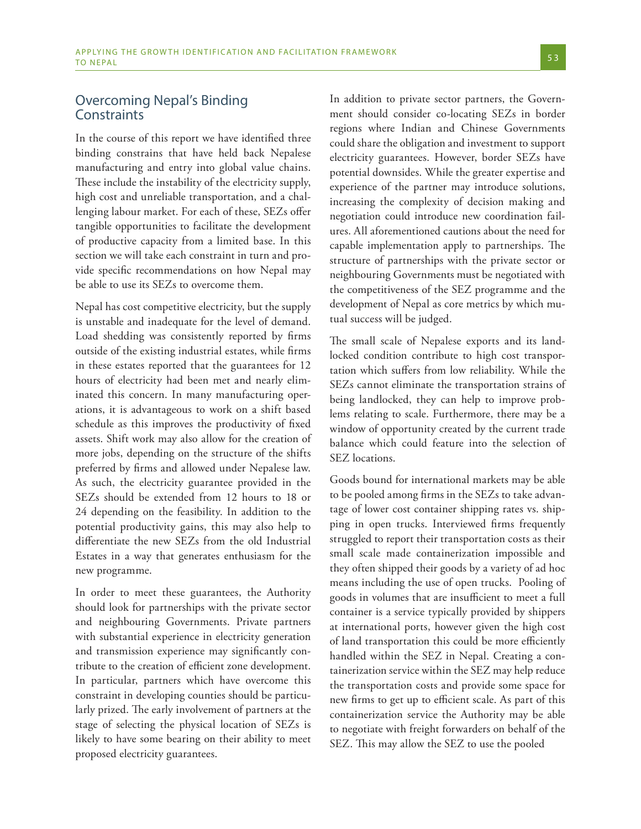## Overcoming Nepal's Binding **Constraints**

In the course of this report we have identified three binding constrains that have held back Nepalese manufacturing and entry into global value chains. These include the instability of the electricity supply, high cost and unreliable transportation, and a challenging labour market. For each of these, SEZs offer tangible opportunities to facilitate the development of productive capacity from a limited base. In this section we will take each constraint in turn and provide specific recommendations on how Nepal may be able to use its SEZs to overcome them.

Nepal has cost competitive electricity, but the supply is unstable and inadequate for the level of demand. Load shedding was consistently reported by firms outside of the existing industrial estates, while firms in these estates reported that the guarantees for 12 hours of electricity had been met and nearly eliminated this concern. In many manufacturing operations, it is advantageous to work on a shift based schedule as this improves the productivity of fixed assets. Shift work may also allow for the creation of more jobs, depending on the structure of the shifts preferred by firms and allowed under Nepalese law. As such, the electricity guarantee provided in the SEZs should be extended from 12 hours to 18 or 24 depending on the feasibility. In addition to the potential productivity gains, this may also help to differentiate the new SEZs from the old Industrial Estates in a way that generates enthusiasm for the new programme.

In order to meet these guarantees, the Authority should look for partnerships with the private sector and neighbouring Governments. Private partners with substantial experience in electricity generation and transmission experience may significantly contribute to the creation of efficient zone development. In particular, partners which have overcome this constraint in developing counties should be particularly prized. The early involvement of partners at the stage of selecting the physical location of SEZs is likely to have some bearing on their ability to meet proposed electricity guarantees.

In addition to private sector partners, the Government should consider co-locating SEZs in border regions where Indian and Chinese Governments could share the obligation and investment to support electricity guarantees. However, border SEZs have potential downsides. While the greater expertise and experience of the partner may introduce solutions, increasing the complexity of decision making and negotiation could introduce new coordination failures. All aforementioned cautions about the need for capable implementation apply to partnerships. The structure of partnerships with the private sector or neighbouring Governments must be negotiated with the competitiveness of the SEZ programme and the development of Nepal as core metrics by which mutual success will be judged.

The small scale of Nepalese exports and its landlocked condition contribute to high cost transportation which suffers from low reliability. While the SEZs cannot eliminate the transportation strains of being landlocked, they can help to improve problems relating to scale. Furthermore, there may be a window of opportunity created by the current trade balance which could feature into the selection of SEZ locations.

Goods bound for international markets may be able to be pooled among firms in the SEZs to take advantage of lower cost container shipping rates vs. shipping in open trucks. Interviewed firms frequently struggled to report their transportation costs as their small scale made containerization impossible and they often shipped their goods by a variety of ad hoc means including the use of open trucks. Pooling of goods in volumes that are insufficient to meet a full container is a service typically provided by shippers at international ports, however given the high cost of land transportation this could be more efficiently handled within the SEZ in Nepal. Creating a containerization service within the SEZ may help reduce the transportation costs and provide some space for new firms to get up to efficient scale. As part of this containerization service the Authority may be able to negotiate with freight forwarders on behalf of the SEZ. This may allow the SEZ to use the pooled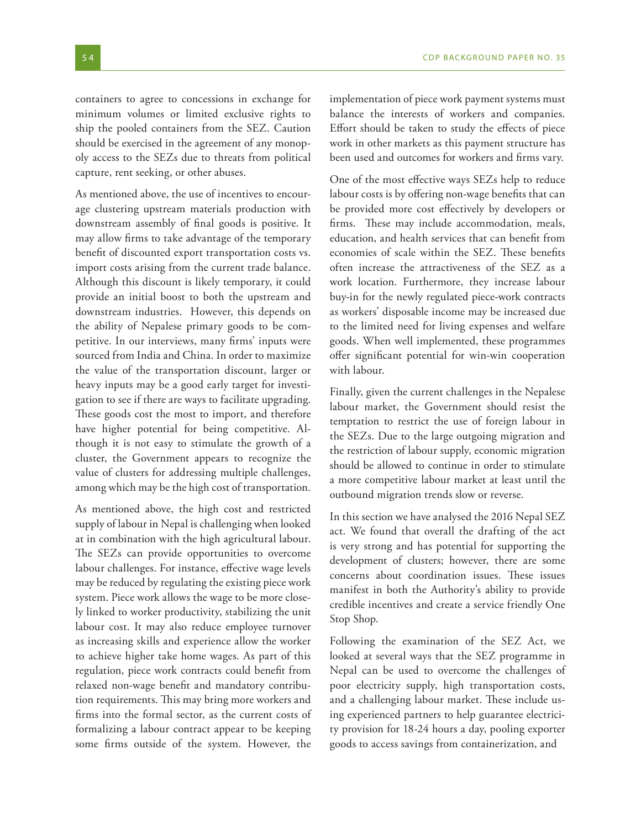containers to agree to concessions in exchange for minimum volumes or limited exclusive rights to ship the pooled containers from the SEZ. Caution should be exercised in the agreement of any monopoly access to the SEZs due to threats from political capture, rent seeking, or other abuses.

As mentioned above, the use of incentives to encourage clustering upstream materials production with downstream assembly of final goods is positive. It may allow firms to take advantage of the temporary benefit of discounted export transportation costs vs. import costs arising from the current trade balance. Although this discount is likely temporary, it could provide an initial boost to both the upstream and downstream industries. However, this depends on the ability of Nepalese primary goods to be competitive. In our interviews, many firms' inputs were sourced from India and China. In order to maximize the value of the transportation discount, larger or heavy inputs may be a good early target for investigation to see if there are ways to facilitate upgrading. These goods cost the most to import, and therefore have higher potential for being competitive. Although it is not easy to stimulate the growth of a cluster, the Government appears to recognize the value of clusters for addressing multiple challenges, among which may be the high cost of transportation.

As mentioned above, the high cost and restricted supply of labour in Nepal is challenging when looked at in combination with the high agricultural labour. The SEZs can provide opportunities to overcome labour challenges. For instance, effective wage levels may be reduced by regulating the existing piece work system. Piece work allows the wage to be more closely linked to worker productivity, stabilizing the unit labour cost. It may also reduce employee turnover as increasing skills and experience allow the worker to achieve higher take home wages. As part of this regulation, piece work contracts could benefit from relaxed non-wage benefit and mandatory contribution requirements. This may bring more workers and firms into the formal sector, as the current costs of formalizing a labour contract appear to be keeping some firms outside of the system. However, the

implementation of piece work payment systems must balance the interests of workers and companies. Effort should be taken to study the effects of piece work in other markets as this payment structure has been used and outcomes for workers and firms vary.

One of the most effective ways SEZs help to reduce labour costs is by offering non-wage benefits that can be provided more cost effectively by developers or firms. These may include accommodation, meals, education, and health services that can benefit from economies of scale within the SEZ. These benefits often increase the attractiveness of the SEZ as a work location. Furthermore, they increase labour buy-in for the newly regulated piece-work contracts as workers' disposable income may be increased due to the limited need for living expenses and welfare goods. When well implemented, these programmes offer significant potential for win-win cooperation with labour.

Finally, given the current challenges in the Nepalese labour market, the Government should resist the temptation to restrict the use of foreign labour in the SEZs. Due to the large outgoing migration and the restriction of labour supply, economic migration should be allowed to continue in order to stimulate a more competitive labour market at least until the outbound migration trends slow or reverse.

In this section we have analysed the 2016 Nepal SEZ act. We found that overall the drafting of the act is very strong and has potential for supporting the development of clusters; however, there are some concerns about coordination issues. These issues manifest in both the Authority's ability to provide credible incentives and create a service friendly One Stop Shop.

Following the examination of the SEZ Act, we looked at several ways that the SEZ programme in Nepal can be used to overcome the challenges of poor electricity supply, high transportation costs, and a challenging labour market. These include using experienced partners to help guarantee electricity provision for 18-24 hours a day, pooling exporter goods to access savings from containerization, and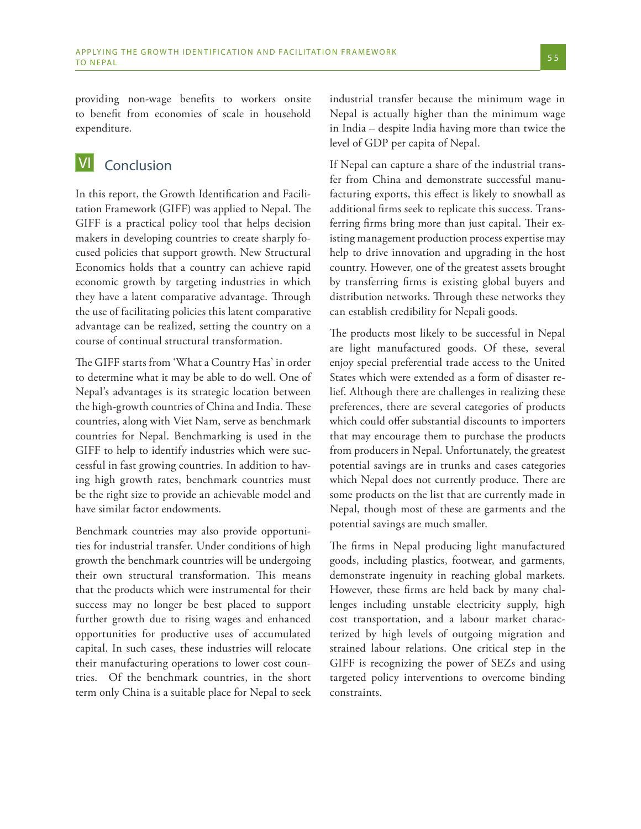providing non-wage benefits to workers onsite to benefit from economies of scale in household expenditure.

#### Conclusion VI

In this report, the Growth Identification and Facilitation Framework (GIFF) was applied to Nepal. The GIFF is a practical policy tool that helps decision makers in developing countries to create sharply focused policies that support growth. New Structural Economics holds that a country can achieve rapid economic growth by targeting industries in which they have a latent comparative advantage. Through the use of facilitating policies this latent comparative advantage can be realized, setting the country on a course of continual structural transformation.

The GIFF starts from 'What a Country Has' in order to determine what it may be able to do well. One of Nepal's advantages is its strategic location between the high-growth countries of China and India. These countries, along with Viet Nam, serve as benchmark countries for Nepal. Benchmarking is used in the GIFF to help to identify industries which were successful in fast growing countries. In addition to having high growth rates, benchmark countries must be the right size to provide an achievable model and have similar factor endowments.

Benchmark countries may also provide opportunities for industrial transfer. Under conditions of high growth the benchmark countries will be undergoing their own structural transformation. This means that the products which were instrumental for their success may no longer be best placed to support further growth due to rising wages and enhanced opportunities for productive uses of accumulated capital. In such cases, these industries will relocate their manufacturing operations to lower cost countries. Of the benchmark countries, in the short term only China is a suitable place for Nepal to seek industrial transfer because the minimum wage in Nepal is actually higher than the minimum wage in India – despite India having more than twice the level of GDP per capita of Nepal.

If Nepal can capture a share of the industrial transfer from China and demonstrate successful manufacturing exports, this effect is likely to snowball as additional firms seek to replicate this success. Transferring firms bring more than just capital. Their existing management production process expertise may help to drive innovation and upgrading in the host country. However, one of the greatest assets brought by transferring firms is existing global buyers and distribution networks. Through these networks they can establish credibility for Nepali goods.

The products most likely to be successful in Nepal are light manufactured goods. Of these, several enjoy special preferential trade access to the United States which were extended as a form of disaster relief. Although there are challenges in realizing these preferences, there are several categories of products which could offer substantial discounts to importers that may encourage them to purchase the products from producers in Nepal. Unfortunately, the greatest potential savings are in trunks and cases categories which Nepal does not currently produce. There are some products on the list that are currently made in Nepal, though most of these are garments and the potential savings are much smaller.

The firms in Nepal producing light manufactured goods, including plastics, footwear, and garments, demonstrate ingenuity in reaching global markets. However, these firms are held back by many challenges including unstable electricity supply, high cost transportation, and a labour market characterized by high levels of outgoing migration and strained labour relations. One critical step in the GIFF is recognizing the power of SEZs and using targeted policy interventions to overcome binding constraints.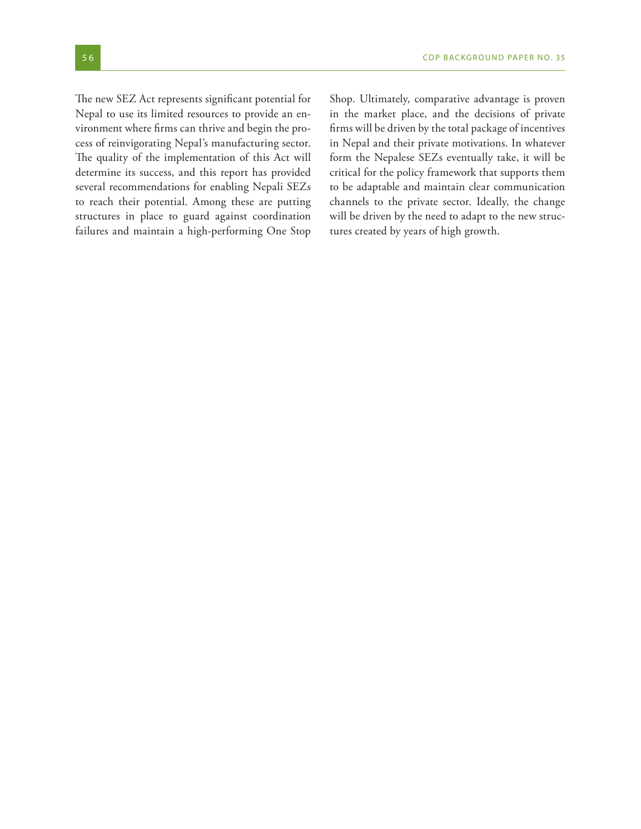The new SEZ Act represents significant potential for Nepal to use its limited resources to provide an environment where firms can thrive and begin the process of reinvigorating Nepal's manufacturing sector. The quality of the implementation of this Act will determine its success, and this report has provided several recommendations for enabling Nepali SEZs to reach their potential. Among these are putting structures in place to guard against coordination failures and maintain a high-performing One Stop Shop. Ultimately, comparative advantage is proven in the market place, and the decisions of private firms will be driven by the total package of incentives in Nepal and their private motivations. In whatever form the Nepalese SEZs eventually take, it will be critical for the policy framework that supports them to be adaptable and maintain clear communication channels to the private sector. Ideally, the change will be driven by the need to adapt to the new structures created by years of high growth.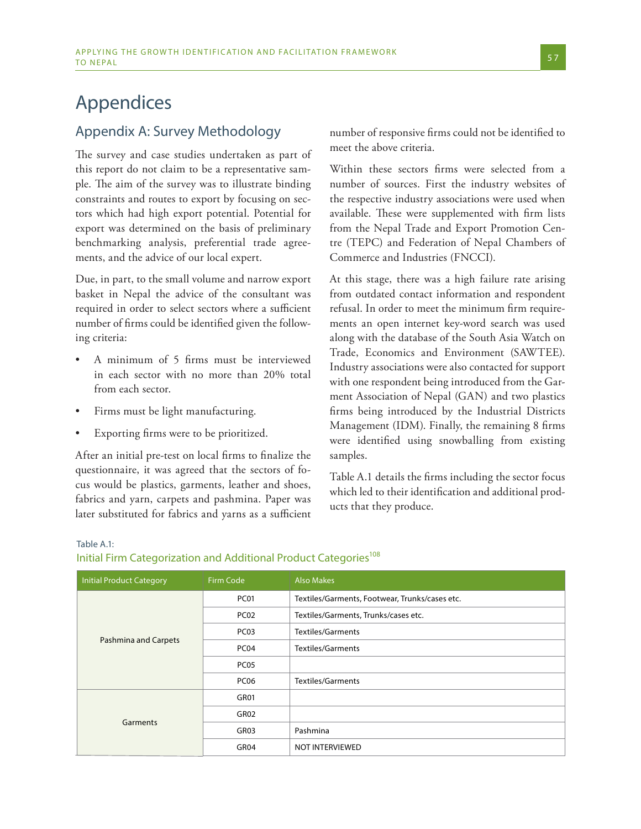# Appendices

# Appendix A: Survey Methodology

The survey and case studies undertaken as part of this report do not claim to be a representative sample. The aim of the survey was to illustrate binding constraints and routes to export by focusing on sectors which had high export potential. Potential for export was determined on the basis of preliminary benchmarking analysis, preferential trade agreements, and the advice of our local expert.

Due, in part, to the small volume and narrow export basket in Nepal the advice of the consultant was required in order to select sectors where a sufficient number of firms could be identified given the following criteria:

- A minimum of 5 firms must be interviewed in each sector with no more than 20% total from each sector.
- Firms must be light manufacturing.
- Exporting firms were to be prioritized.

After an initial pre-test on local firms to finalize the questionnaire, it was agreed that the sectors of focus would be plastics, garments, leather and shoes, fabrics and yarn, carpets and pashmina. Paper was later substituted for fabrics and yarns as a sufficient number of responsive firms could not be identified to meet the above criteria.

Within these sectors firms were selected from a number of sources. First the industry websites of the respective industry associations were used when available. These were supplemented with firm lists from the Nepal Trade and Export Promotion Centre (TEPC) and Federation of Nepal Chambers of Commerce and Industries (FNCCI).

At this stage, there was a high failure rate arising from outdated contact information and respondent refusal. In order to meet the minimum firm requirements an open internet key-word search was used along with the database of the South Asia Watch on Trade, Economics and Environment (SAWTEE). Industry associations were also contacted for support with one respondent being introduced from the Garment Association of Nepal (GAN) and two plastics firms being introduced by the Industrial Districts Management (IDM). Finally, the remaining 8 firms were identified using snowballing from existing samples.

Table A.1 details the firms including the sector focus which led to their identification and additional products that they produce.

| <b>Initial Product Category</b> | Firm Code        | <b>Also Makes</b>                              |
|---------------------------------|------------------|------------------------------------------------|
|                                 | PC01             | Textiles/Garments, Footwear, Trunks/cases etc. |
|                                 | PC <sub>02</sub> | Textiles/Garments, Trunks/cases etc.           |
|                                 | PC <sub>03</sub> | Textiles/Garments                              |
| Pashmina and Carpets            | PC <sub>04</sub> | <b>Textiles/Garments</b>                       |
|                                 | PC <sub>05</sub> |                                                |
|                                 | PC <sub>06</sub> | Textiles/Garments                              |
|                                 | GR01             |                                                |
|                                 | GR02             |                                                |
| Garments                        | GR03             | Pashmina                                       |
|                                 | GR04             | NOT INTERVIEWED                                |

### Table A.1: Initial Firm Categorization and Additional Product Categories<sup>108</sup>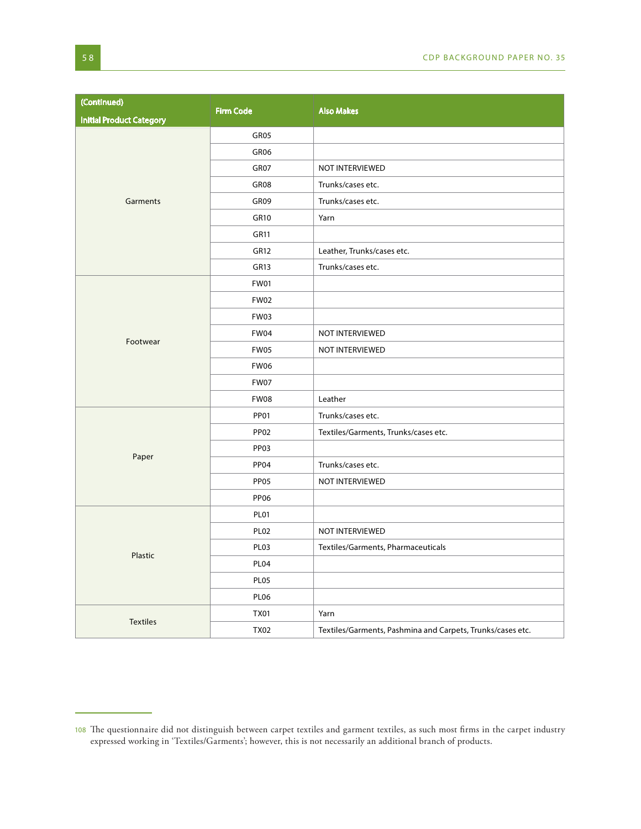| (Continued)                     | <b>Firm Code</b> | <b>Also Makes</b>                                          |
|---------------------------------|------------------|------------------------------------------------------------|
| <b>Initial Product Category</b> |                  |                                                            |
|                                 | GR05             |                                                            |
|                                 | GR06             |                                                            |
|                                 | GR07             | NOT INTERVIEWED                                            |
|                                 | GR08             | Trunks/cases etc.                                          |
| Garments                        | GR09             | Trunks/cases etc.                                          |
|                                 | GR10             | Yarn                                                       |
|                                 | <b>GR11</b>      |                                                            |
|                                 | <b>GR12</b>      | Leather, Trunks/cases etc.                                 |
|                                 | GR13             | Trunks/cases etc.                                          |
|                                 | <b>FW01</b>      |                                                            |
|                                 | <b>FW02</b>      |                                                            |
|                                 | FW03             |                                                            |
|                                 | FW04             | NOT INTERVIEWED                                            |
| Footwear                        | FW05             | NOT INTERVIEWED                                            |
|                                 | FW06             |                                                            |
|                                 | FW07             |                                                            |
|                                 | FW08             | Leather                                                    |
|                                 | <b>PP01</b>      | Trunks/cases etc.                                          |
|                                 | <b>PP02</b>      | Textiles/Garments, Trunks/cases etc.                       |
|                                 | PP <sub>03</sub> |                                                            |
| Paper                           | PP04             | Trunks/cases etc.                                          |
|                                 | PP <sub>05</sub> | NOT INTERVIEWED                                            |
|                                 | <b>PP06</b>      |                                                            |
|                                 | PL01             |                                                            |
|                                 | PL <sub>02</sub> | NOT INTERVIEWED                                            |
|                                 | PL <sub>03</sub> | Textiles/Garments, Pharmaceuticals                         |
| Plastic                         | PL <sub>04</sub> |                                                            |
|                                 | PL <sub>05</sub> |                                                            |
|                                 | PL <sub>06</sub> |                                                            |
|                                 | <b>TX01</b>      | Yarn                                                       |
| <b>Textiles</b>                 | <b>TX02</b>      | Textiles/Garments, Pashmina and Carpets, Trunks/cases etc. |

<sup>108</sup> The questionnaire did not distinguish between carpet textiles and garment textiles, as such most firms in the carpet industry expressed working in 'Textiles/Garments'; however, this is not necessarily an additional branch of products.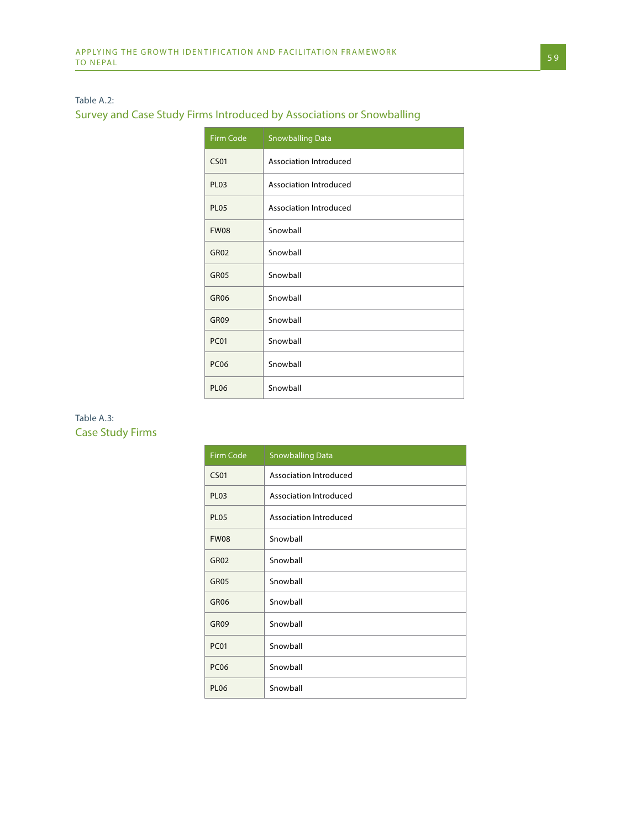#### Table A.2:

## Survey and Case Study Firms Introduced by Associations or Snowballing

| Firm Code        | <b>Snowballing Data</b> |
|------------------|-------------------------|
| CS <sub>01</sub> | Association Introduced  |
| <b>PL03</b>      | Association Introduced  |
| <b>PL05</b>      | Association Introduced  |
| <b>FW08</b>      | Snowball                |
| <b>GR02</b>      | Snowball                |
| <b>GR05</b>      | Snowball                |
| <b>GR06</b>      | Snowball                |
| GR09             | Snowball                |
| <b>PC01</b>      | Snowball                |
| <b>PC06</b>      | Snowball                |
| <b>PL06</b>      | Snowball                |

## Table A.3: Case Study Firms

| Firm Code        | <b>Snowballing Data</b> |
|------------------|-------------------------|
| <b>CS01</b>      | Association Introduced  |
| <b>PL03</b>      | Association Introduced  |
| PL <sub>05</sub> | Association Introduced  |
| <b>FW08</b>      | Snowball                |
| <b>GR02</b>      | Snowball                |
| GR <sub>05</sub> | Snowball                |
| GR <sub>06</sub> | Snowball                |
| GR09             | Snowball                |
| <b>PC01</b>      | Snowball                |
| <b>PC06</b>      | Snowball                |
| PL <sub>06</sub> | Snowball                |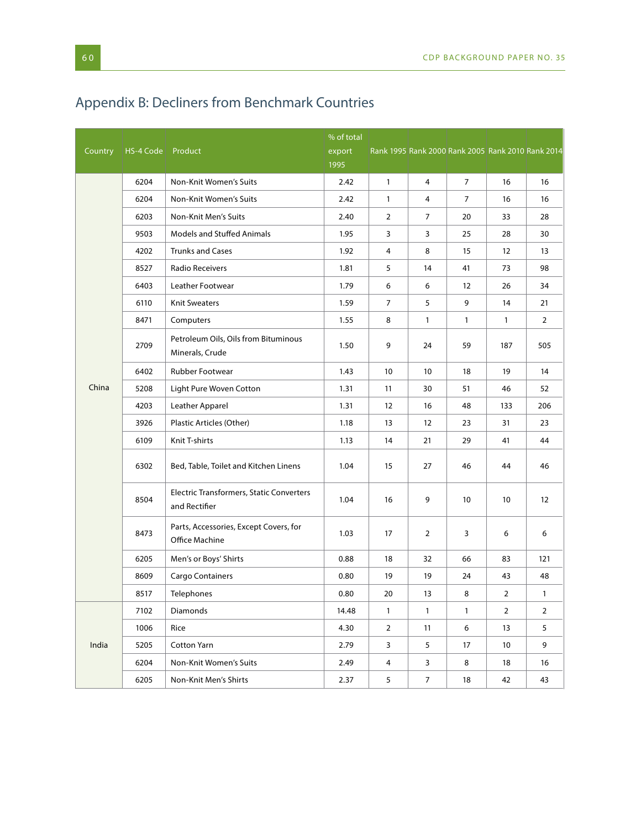# Appendix B: Decliners from Benchmark Countries

| Country | HS-4 Code | Product                                                   | % of total<br>export<br>1995 | Rank 1995 Rank 2000 Rank 2005 Rank 2010 Rank 2014 |                |                |              |                 |
|---------|-----------|-----------------------------------------------------------|------------------------------|---------------------------------------------------|----------------|----------------|--------------|-----------------|
|         | 6204      | Non-Knit Women's Suits                                    | 2.42                         | $\mathbf{1}$                                      | $\overline{4}$ | $\overline{7}$ | 16           | 16              |
|         | 6204      | Non-Knit Women's Suits                                    | 2.42                         | $\mathbf{1}$                                      | 4              | $\overline{7}$ | 16           | 16              |
|         | 6203      | Non-Knit Men's Suits                                      | 2.40                         | 2                                                 | 7              | 20             | 33           | 28              |
|         | 9503      | <b>Models and Stuffed Animals</b>                         | 1.95                         | 3                                                 | 3              | 25             | 28           | 30              |
|         | 4202      | <b>Trunks and Cases</b>                                   | 1.92                         | 4                                                 | 8              | 15             | 12           | 13              |
|         | 8527      | <b>Radio Receivers</b>                                    | 1.81                         | 5                                                 | 14             | 41             | 73           | 98              |
|         | 6403      | Leather Footwear                                          | 1.79                         | 6                                                 | 6              | 12             | 26           | 34              |
|         | 6110      | <b>Knit Sweaters</b>                                      | 1.59                         | $\overline{7}$                                    | 5              | 9              | 14           | 21              |
|         | 8471      | Computers                                                 | 1.55                         | 8                                                 | $\mathbf{1}$   | $\mathbf{1}$   | $\mathbf{1}$ | $\overline{2}$  |
|         | 2709      | Petroleum Oils, Oils from Bituminous<br>Minerals, Crude   | 1.50                         | 9                                                 | 24             | 59             | 187          | 505             |
|         | 6402      | Rubber Footwear                                           | 1.43                         | 10                                                | 10             | 18             | 19           | 14              |
| China   | 5208      | Light Pure Woven Cotton                                   | 1.31                         | 11                                                | 30             | 51             | 46           | 52              |
|         | 4203      | Leather Apparel                                           | 1.31                         | 12                                                | 16             | 48             | 133          | 206             |
|         | 3926      | Plastic Articles (Other)                                  | 1.18                         | 13                                                | 12             | 23             | 31           | 23              |
|         | 6109      | Knit T-shirts                                             | 1.13                         | 14                                                | 21             | 29             | 41           | 44              |
|         | 6302      | Bed, Table, Toilet and Kitchen Linens                     | 1.04                         | 15                                                | 27             | 46             | 44           | 46              |
|         | 8504      | Electric Transformers, Static Converters<br>and Rectifier | 1.04                         | 16                                                | 9              | 10             | 10           | 12 <sup>2</sup> |
|         | 8473      | Parts, Accessories, Except Covers, for<br>Office Machine  | 1.03                         | 17                                                | 2              | 3              | 6            | 6               |
|         | 6205      | Men's or Boys' Shirts                                     | 0.88                         | 18                                                | 32             | 66             | 83           | 121             |
|         | 8609      | Cargo Containers                                          | 0.80                         | 19                                                | 19             | 24             | 43           | 48              |
|         | 8517      | Telephones                                                | 0.80                         | 20                                                | 13             | 8              | 2            | $\mathbf{1}$    |
|         | 7102      | Diamonds                                                  | 14.48                        | $\mathbf{1}$                                      | $\mathbf{1}$   | $\mathbf{1}$   | 2            | $\overline{2}$  |
|         | 1006      | Rice                                                      | 4.30                         | $\overline{2}$                                    | 11             | 6              | 13           | 5               |
| India   | 5205      | Cotton Yarn                                               | 2.79                         | 3                                                 | 5              | 17             | 10           | 9               |
|         | 6204      | Non-Knit Women's Suits                                    | 2.49                         | 4                                                 | 3              | 8              | 18           | 16              |
|         | 6205      | Non-Knit Men's Shirts                                     | 2.37                         | 5 <sub>5</sub>                                    | $\overline{7}$ | 18             | 42           | 43              |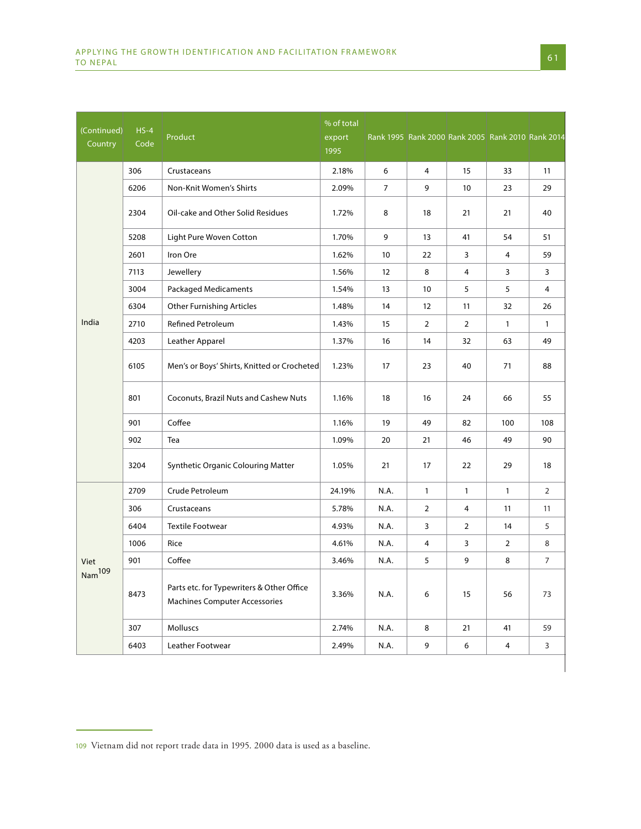| (Continued)<br>Country | $HS-4$<br>Code | Product                                                                           | % of total<br>export<br>1995 |                |                |                | Rank 1995 Rank 2000 Rank 2005 Rank 2010 Rank 2014 |                |
|------------------------|----------------|-----------------------------------------------------------------------------------|------------------------------|----------------|----------------|----------------|---------------------------------------------------|----------------|
|                        | 306            | Crustaceans                                                                       | 2.18%                        | 6              | $\overline{4}$ | 15             | 33                                                | 11             |
|                        | 6206           | Non-Knit Women's Shirts                                                           | 2.09%                        | $\overline{7}$ | 9              | 10             | 23                                                | 29             |
|                        | 2304           | Oil-cake and Other Solid Residues                                                 | 1.72%                        | 8              | 18             | 21             | 21                                                | 40             |
|                        | 5208           | Light Pure Woven Cotton                                                           | 1.70%                        | 9              | 13             | 41             | 54                                                | 51             |
|                        | 2601           | Iron Ore                                                                          | 1.62%                        | 10             | 22             | 3              | 4                                                 | 59             |
|                        | 7113           | Jewellery                                                                         | 1.56%                        | 12             | 8              | 4              | 3                                                 | 3              |
|                        | 3004           | <b>Packaged Medicaments</b>                                                       | 1.54%                        | 13             | 10             | 5              | 5                                                 | 4              |
|                        | 6304           | <b>Other Furnishing Articles</b>                                                  | 1.48%                        | 14             | 12             | 11             | 32                                                | 26             |
| India                  | 2710           | <b>Refined Petroleum</b>                                                          | 1.43%                        | 15             | $\overline{2}$ | 2              | $\mathbf{1}$                                      | $\mathbf{1}$   |
|                        | 4203           | Leather Apparel                                                                   | 1.37%                        | 16             | 14             | 32             | 63                                                | 49             |
|                        | 6105           | Men's or Boys' Shirts, Knitted or Crocheted                                       | 1.23%                        | 17             | 23             | 40             | 71                                                | 88             |
|                        | 801            | Coconuts, Brazil Nuts and Cashew Nuts                                             | 1.16%                        | 18             | 16             | 24             | 66                                                | 55             |
|                        | 901            | Coffee                                                                            | 1.16%                        | 19             | 49             | 82             | 100                                               | 108            |
|                        | 902            | Tea                                                                               | 1.09%                        | 20             | 21             | 46             | 49                                                | 90             |
|                        | 3204           | Synthetic Organic Colouring Matter                                                | 1.05%                        | 21             | 17             | 22             | 29                                                | 18             |
|                        | 2709           | Crude Petroleum                                                                   | 24.19%                       | N.A.           | $\mathbf{1}$   | $\mathbf{1}$   | $\mathbf{1}$                                      | $\overline{2}$ |
|                        | 306            | Crustaceans                                                                       | 5.78%                        | N.A.           | $\overline{2}$ | 4              | 11                                                | 11             |
|                        | 6404           | <b>Textile Footwear</b>                                                           | 4.93%                        | N.A.           | 3              | $\overline{2}$ | 14                                                | 5              |
|                        | 1006           | Rice                                                                              | 4.61%                        | N.A.           | 4              | 3              | 2                                                 | 8              |
| Viet                   | 901            | Coffee                                                                            | 3.46%                        | N.A.           | 5              | 9              | 8                                                 | $\overline{7}$ |
| Nam <sup>109</sup>     | 8473           | Parts etc. for Typewriters & Other Office<br><b>Machines Computer Accessories</b> | 3.36%                        | N.A.           | 6              | 15             | 56                                                | 73             |
|                        | 307            | Molluscs                                                                          | 2.74%                        | N.A.           | 8              | 21             | 41                                                | 59             |
|                        | 6403           | Leather Footwear                                                                  | 2.49%                        | N.A.           | 9              | 6              | $\overline{4}$                                    | $\overline{3}$ |
|                        |                |                                                                                   |                              |                |                |                |                                                   |                |

Vietnam did not report trade data in 1995. 2000 data is used as a baseline.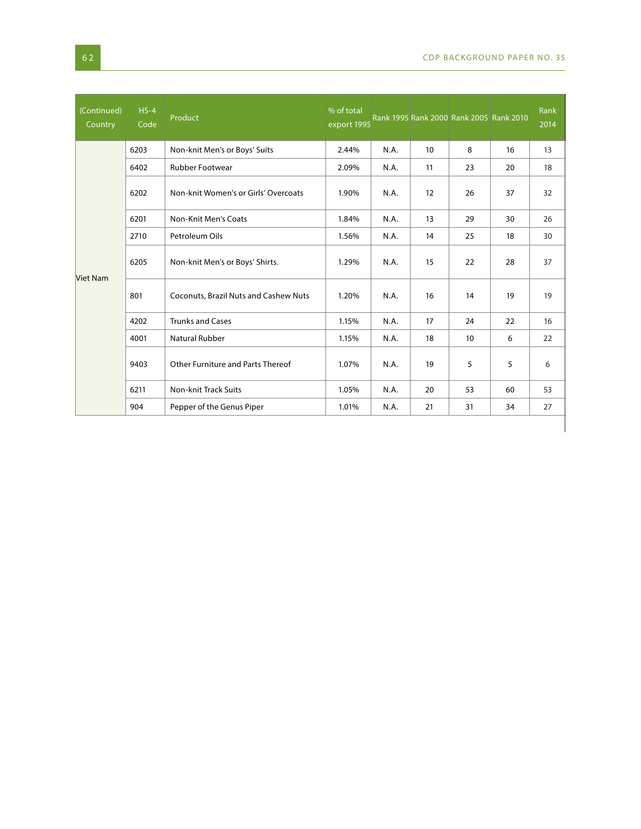$\overline{\phantom{a}}$ 

| (Continued)<br>Country | $HS-4$<br>Code | Product                               | % of total<br>export 1995 |      |                  | Rank 1995 Rank 2000 Rank 2005 Rank 2010 |    | Rank<br>2014 |
|------------------------|----------------|---------------------------------------|---------------------------|------|------------------|-----------------------------------------|----|--------------|
|                        | 6203           | Non-knit Men's or Boys' Suits         | 2.44%                     | N.A. | 10 <sup>10</sup> | 8                                       | 16 | 13           |
|                        | 6402           | <b>Rubber Footwear</b>                | 2.09%                     | N.A. | 11               | 23                                      | 20 | 18           |
|                        | 6202           | Non-knit Women's or Girls' Overcoats  | 1.90%                     | N.A. | 12               | 26                                      | 37 | 32           |
|                        | 6201           | Non-Knit Men's Coats                  | 1.84%                     | N.A. | 13               | 29                                      | 30 | 26           |
|                        | 2710           | Petroleum Oils                        | 1.56%                     | N.A. | 14               | 25                                      | 18 | 30           |
| <b>Viet Nam</b>        | 6205           | Non-knit Men's or Boys' Shirts.       | 1.29%                     | N.A. | 15               | 22                                      | 28 | 37           |
|                        | 801            | Coconuts, Brazil Nuts and Cashew Nuts | 1.20%                     | N.A. | 16               | 14                                      | 19 | 19           |
|                        | 4202           | <b>Trunks and Cases</b>               | 1.15%                     | N.A. | 17               | 24                                      | 22 | 16           |
|                        | 4001           | Natural Rubber                        | 1.15%                     | N.A. | 18               | 10                                      | 6  | 22           |
|                        | 9403           | Other Furniture and Parts Thereof     | 1.07%                     | N.A. | 19               | 5                                       | 5  | 6            |
|                        | 6211           | <b>Non-knit Track Suits</b>           | 1.05%                     | N.A. | 20               | 53                                      | 60 | 53           |
|                        | 904            | Pepper of the Genus Piper             | 1.01%                     | N.A. | 21               | 31                                      | 34 | 27           |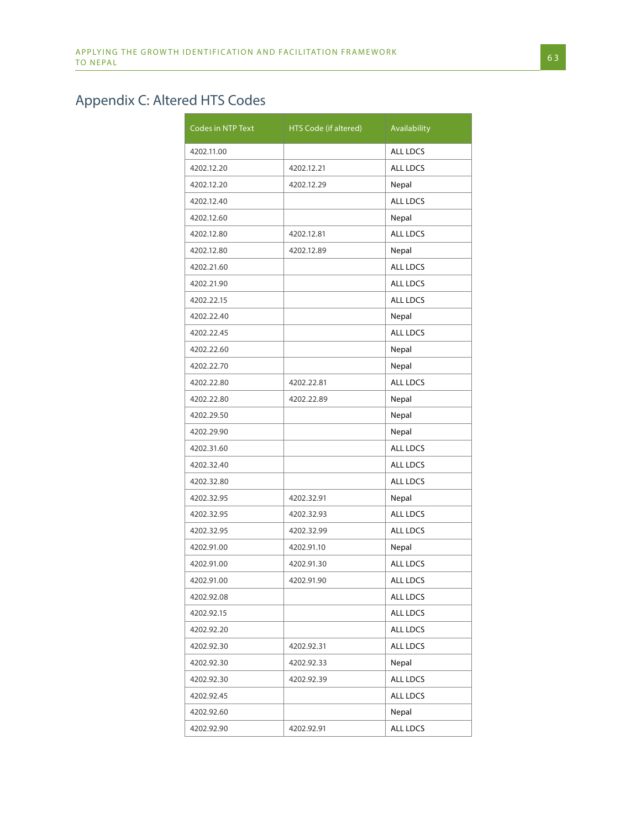# Appendix C: Altered HTS Codes

| Codes in NTP Text | HTS Code (if altered) | Availability    |
|-------------------|-----------------------|-----------------|
| 4202.11.00        |                       | <b>ALL LDCS</b> |
| 4202.12.20        | 4202.12.21            | <b>ALL LDCS</b> |
| 4202.12.20        | 4202.12.29            | Nepal           |
| 4202.12.40        |                       | ALL LDCS        |
| 4202.12.60        |                       | Nepal           |
| 4202.12.80        | 4202.12.81            | <b>ALL LDCS</b> |
| 4202.12.80        | 4202.12.89            | Nepal           |
| 4202.21.60        |                       | <b>ALL LDCS</b> |
| 4202.21.90        |                       | ALL LDCS        |
| 4202.22.15        |                       | <b>ALL LDCS</b> |
| 4202.22.40        |                       | Nepal           |
| 4202.22.45        |                       | <b>ALL LDCS</b> |
| 4202.22.60        |                       | Nepal           |
| 4202.22.70        |                       | Nepal           |
| 4202.22.80        | 4202.22.81            | ALL LDCS        |
| 4202.22.80        | 4202.22.89            | Nepal           |
| 4202.29.50        |                       | Nepal           |
| 4202.29.90        |                       | Nepal           |
| 4202.31.60        |                       | <b>ALL LDCS</b> |
| 4202.32.40        |                       | <b>ALL LDCS</b> |
| 4202.32.80        |                       | ALL LDCS        |
| 4202.32.95        | 4202.32.91            | Nepal           |
| 4202.32.95        | 4202.32.93            | <b>ALL LDCS</b> |
| 4202.32.95        | 4202.32.99            | <b>ALL LDCS</b> |
| 4202.91.00        | 4202.91.10            | Nepal           |
| 4202.91.00        | 4202.91.30            | <b>ALL LDCS</b> |
| 4202.91.00        | 4202.91.90            | ALL LDCS        |
| 4202.92.08        |                       | ALL LDCS        |
| 4202.92.15        |                       | ALL LDCS        |
| 4202.92.20        |                       | ALL LDCS        |
| 4202.92.30        | 4202.92.31            | ALL LDCS        |
| 4202.92.30        | 4202.92.33            | Nepal           |
| 4202.92.30        | 4202.92.39            | ALL LDCS        |
| 4202.92.45        |                       | ALL LDCS        |
| 4202.92.60        |                       | Nepal           |
| 4202.92.90        | 4202.92.91            | ALL LDCS        |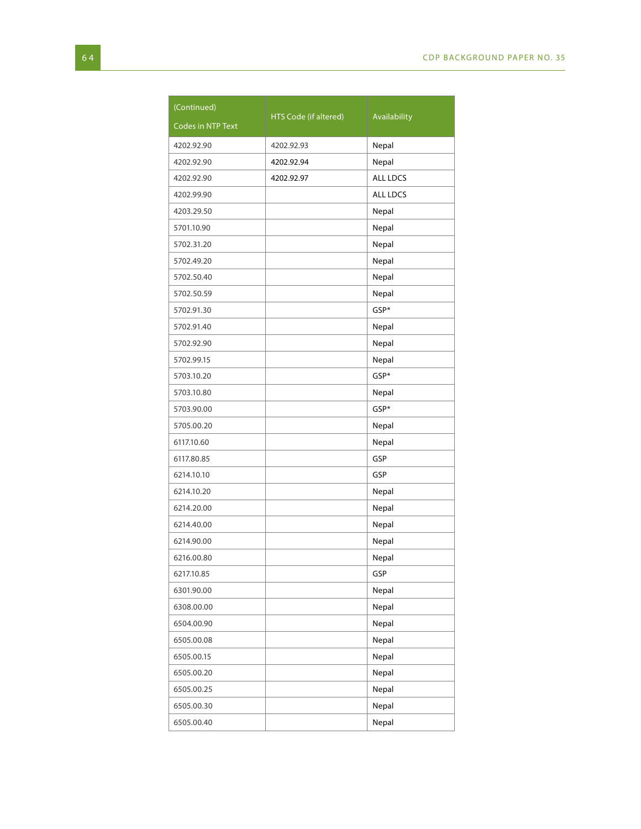| (Continued)       | HTS Code (if altered) | Availability    |
|-------------------|-----------------------|-----------------|
| Codes in NTP Text |                       |                 |
| 4202.92.90        | 4202.92.93            | Nepal           |
| 4202.92.90        | 4202.92.94            | Nepal           |
| 4202.92.90        | 4202.92.97            | <b>ALL LDCS</b> |
| 4202.99.90        |                       | <b>ALL LDCS</b> |
| 4203.29.50        |                       | Nepal           |
| 5701.10.90        |                       | Nepal           |
| 5702.31.20        |                       | Nepal           |
| 5702.49.20        |                       | Nepal           |
| 5702.50.40        |                       | Nepal           |
| 5702.50.59        |                       | Nepal           |
| 5702.91.30        |                       | GSP*            |
| 5702.91.40        |                       | Nepal           |
| 5702.92.90        |                       | Nepal           |
| 5702.99.15        |                       | Nepal           |
| 5703.10.20        |                       | GSP*            |
| 5703.10.80        |                       | Nepal           |
| 5703.90.00        |                       | GSP*            |
| 5705.00.20        |                       | Nepal           |
| 6117.10.60        |                       | Nepal           |
| 6117.80.85        |                       | GSP             |
| 6214.10.10        |                       | GSP             |
| 6214.10.20        |                       | Nepal           |
| 6214.20.00        |                       | Nepal           |
| 6214.40.00        |                       | Nepal           |
| 6214.90.00        |                       | Nepal           |
| 6216.00.80        |                       | Nepal           |
| 6217.10.85        |                       | GSP             |
| 6301.90.00        |                       | Nepal           |
| 6308.00.00        |                       | Nepal           |
| 6504.00.90        |                       | Nepal           |
| 6505.00.08        |                       | Nepal           |
| 6505.00.15        |                       | Nepal           |
| 6505.00.20        |                       | Nepal           |
| 6505.00.25        |                       | Nepal           |
| 6505.00.30        |                       | Nepal           |
| 6505.00.40        |                       | Nepal           |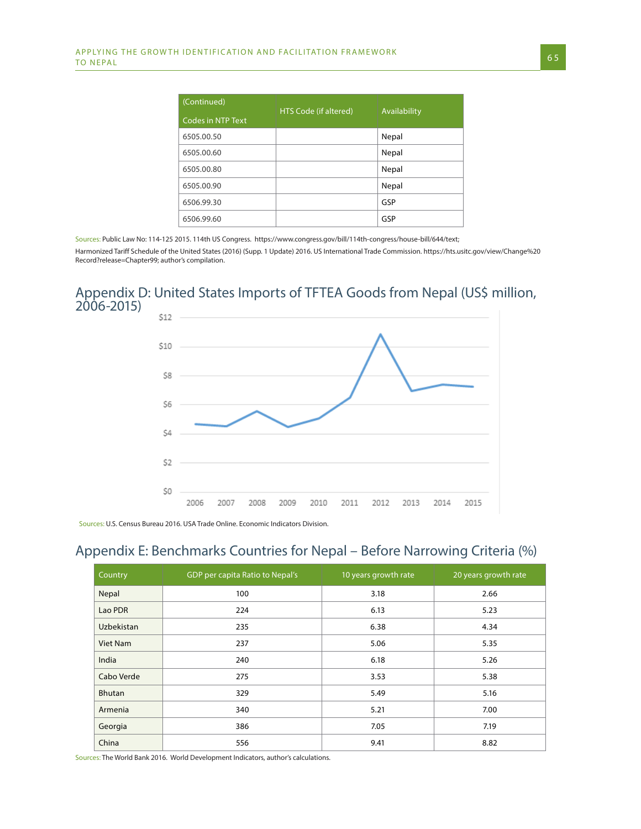| (Continued)       | HTS Code (if altered) | Availability |
|-------------------|-----------------------|--------------|
| Codes in NTP Text |                       |              |
| 6505.00.50        |                       | Nepal        |
| 6505.00.60        |                       | Nepal        |
| 6505.00.80        |                       | Nepal        |
| 6505.00.90        |                       | Nepal        |
| 6506.99.30        |                       | GSP          |
| 6506.99.60        |                       | GSP          |

Sources: Public Law No: 114-125 2015. 114th US Congress. https://www.congress.gov/bill/114th-congress/house-bill/644/text;

Harmonized Tariff Schedule of the United States (2016) (Supp. 1 Update) 2016. US International Trade Commission. https://hts.usitc.gov/view/Change%20 Record?release=Chapter99; author's compilation.

## Appendix D: United States Imports of TFTEA Goods from Nepal (US\$ million, 2006-2015)



Sources: U.S. Census Bureau 2016. USA Trade Online. Economic Indicators Division.

# Appendix E: Benchmarks Countries for Nepal – Before Narrowing Criteria (%)

| Country       | GDP per capita Ratio to Nepal's | 10 years growth rate | 20 years growth rate |
|---------------|---------------------------------|----------------------|----------------------|
| Nepal         | 100                             | 3.18                 | 2.66                 |
| Lao PDR       | 224                             | 6.13                 | 5.23                 |
| Uzbekistan    | 235                             | 6.38                 | 4.34                 |
| Viet Nam      | 237                             | 5.06                 | 5.35                 |
| India         | 240                             | 6.18                 | 5.26                 |
| Cabo Verde    | 275                             | 3.53                 | 5.38                 |
| <b>Bhutan</b> | 329                             | 5.49                 | 5.16                 |
| Armenia       | 340                             | 5.21                 | 7.00                 |
| Georgia       | 386                             | 7.05                 | 7.19                 |
| China         | 556                             | 9.41                 | 8.82                 |

Sources: The World Bank 2016. World Development Indicators, author's calculations.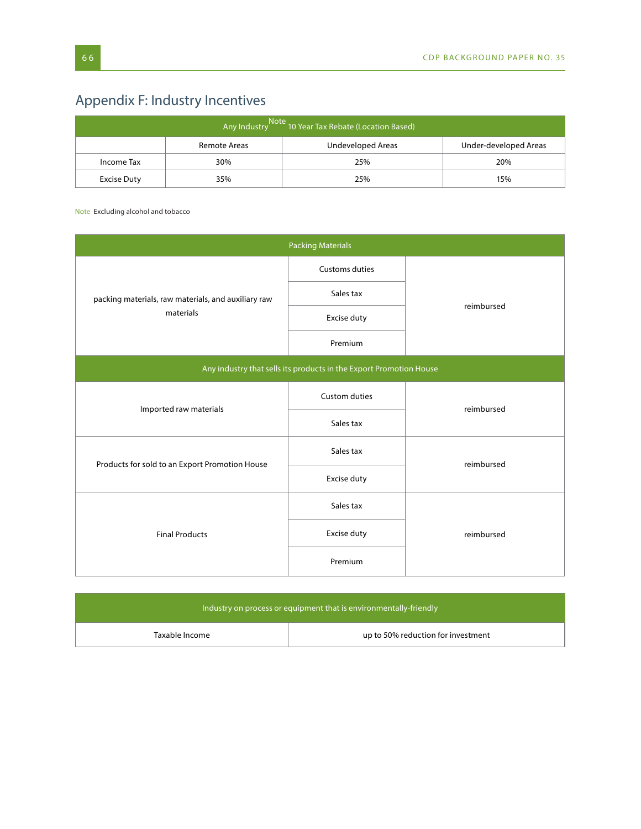# Appendix F: Industry Incentives

| <br>  Any Industry Note 10 Year Tax Rebate (Location Based) |     |     |     |  |  |
|-------------------------------------------------------------|-----|-----|-----|--|--|
| Under-developed Areas<br>Undeveloped Areas<br>Remote Areas  |     |     |     |  |  |
| Income Tax                                                  | 30% | 25% | 20% |  |  |
| 25%<br>15%<br>Excise Duty<br>35%                            |     |     |     |  |  |

Note Excluding alcohol and tobacco

| <b>Packing Materials</b>                            |                                                                    |            |  |  |
|-----------------------------------------------------|--------------------------------------------------------------------|------------|--|--|
|                                                     | Customs duties                                                     |            |  |  |
| packing materials, raw materials, and auxiliary raw | Sales tax                                                          | reimbursed |  |  |
| materials                                           | Excise duty                                                        |            |  |  |
|                                                     | Premium                                                            |            |  |  |
|                                                     | Any industry that sells its products in the Export Promotion House |            |  |  |
| Imported raw materials                              | Custom duties                                                      | reimbursed |  |  |
|                                                     | Sales tax                                                          |            |  |  |
| Products for sold to an Export Promotion House      | Sales tax                                                          | reimbursed |  |  |
|                                                     | Excise duty                                                        |            |  |  |
|                                                     | Sales tax                                                          |            |  |  |
| <b>Final Products</b>                               | Excise duty                                                        | reimbursed |  |  |
|                                                     | Premium                                                            |            |  |  |

| Industry on process or equipment that is environmentally-friendly but |                                    |  |  |
|-----------------------------------------------------------------------|------------------------------------|--|--|
| Taxable Income                                                        | up to 50% reduction for investment |  |  |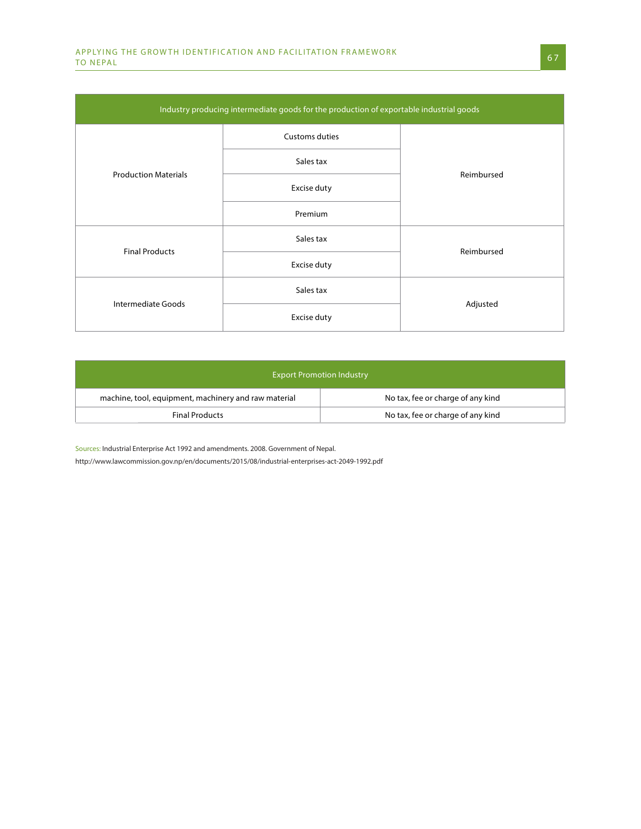| Industry producing intermediate goods for the production of exportable industrial goods |                |            |  |  |
|-----------------------------------------------------------------------------------------|----------------|------------|--|--|
|                                                                                         | Customs duties |            |  |  |
| <b>Production Materials</b>                                                             | Sales tax      | Reimbursed |  |  |
|                                                                                         | Excise duty    |            |  |  |
|                                                                                         | Premium        |            |  |  |
| <b>Final Products</b>                                                                   | Sales tax      | Reimbursed |  |  |
|                                                                                         | Excise duty    |            |  |  |
|                                                                                         | Sales tax      |            |  |  |
| Intermediate Goods                                                                      | Excise duty    | Adjusted   |  |  |

| <b>Export Promotion Industry</b>                     |                                   |  |  |
|------------------------------------------------------|-----------------------------------|--|--|
| machine, tool, equipment, machinery and raw material | No tax, fee or charge of any kind |  |  |
| <b>Final Products</b>                                | No tax, fee or charge of any kind |  |  |

Sources: Industrial Enterprise Act 1992 and amendments. 2008. Government of Nepal.

http://www.lawcommission.gov.np/en/documents/2015/08/industrial-enterprises-act-2049-1992.pdf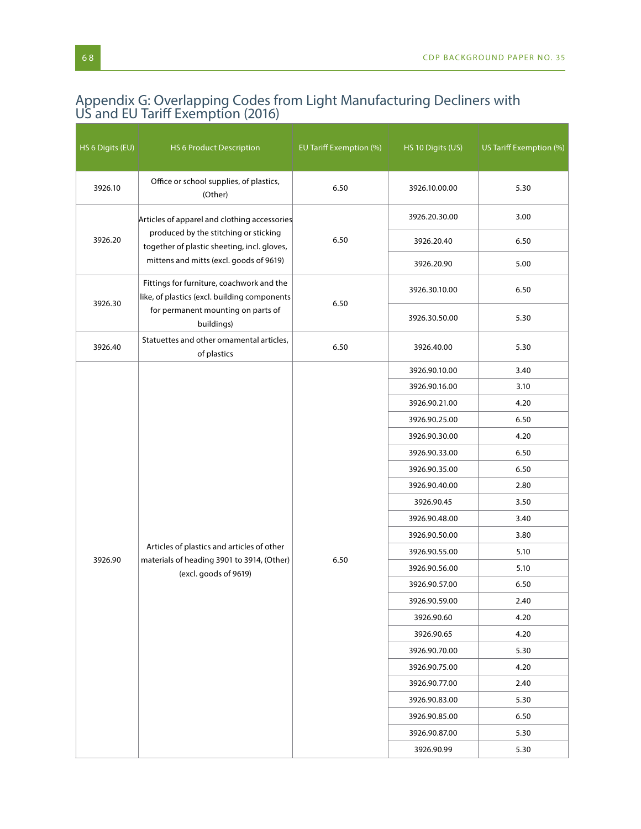## Appendix G: Overlapping Codes from Light Manufacturing Decliners with US and EU Tariff Exemption (2016)

| HS 6 Digits (EU) | <b>HS 6 Product Description</b>                                                                                   | <b>EU Tariff Exemption (%)</b> | HS 10 Digits (US) | US Tariff Exemption (%) |
|------------------|-------------------------------------------------------------------------------------------------------------------|--------------------------------|-------------------|-------------------------|
| 3926.10          | Office or school supplies, of plastics,<br>(Other)                                                                | 6.50                           | 3926.10.00.00     | 5.30                    |
|                  | Articles of apparel and clothing accessories                                                                      | 6.50                           | 3926.20.30.00     | 3.00                    |
| 3926.20          | produced by the stitching or sticking<br>together of plastic sheeting, incl. gloves,                              |                                | 3926.20.40        | 6.50                    |
|                  | mittens and mitts (excl. goods of 9619)                                                                           |                                | 3926.20.90        | 5.00                    |
| 3926.30          | Fittings for furniture, coachwork and the<br>like, of plastics (excl. building components                         | 6.50                           | 3926.30.10.00     | 6.50                    |
|                  | for permanent mounting on parts of<br>buildings)                                                                  |                                | 3926.30.50.00     | 5.30                    |
| 3926.40          | Statuettes and other ornamental articles,<br>of plastics                                                          | 6.50                           | 3926.40.00        | 5.30                    |
|                  |                                                                                                                   |                                | 3926.90.10.00     | 3.40                    |
|                  |                                                                                                                   |                                | 3926.90.16.00     | 3.10                    |
|                  |                                                                                                                   |                                | 3926.90.21.00     | 4.20                    |
|                  |                                                                                                                   |                                | 3926.90.25.00     | 6.50                    |
|                  |                                                                                                                   |                                | 3926.90.30.00     | 4.20                    |
|                  | Articles of plastics and articles of other<br>materials of heading 3901 to 3914, (Other)<br>(excl. goods of 9619) | 6.50                           | 3926.90.33.00     | 6.50                    |
|                  |                                                                                                                   |                                | 3926.90.35.00     | 6.50                    |
|                  |                                                                                                                   |                                | 3926.90.40.00     | 2.80                    |
|                  |                                                                                                                   |                                | 3926.90.45        | 3.50                    |
|                  |                                                                                                                   |                                | 3926.90.48.00     | 3.40                    |
|                  |                                                                                                                   |                                | 3926.90.50.00     | 3.80                    |
| 3926.90          |                                                                                                                   |                                | 3926.90.55.00     | 5.10                    |
|                  |                                                                                                                   |                                | 3926.90.56.00     | 5.10                    |
|                  |                                                                                                                   |                                | 3926.90.57.00     | 6.50                    |
|                  |                                                                                                                   |                                | 3926.90.59.00     | 2.40                    |
|                  |                                                                                                                   |                                | 3926.90.60        | 4.20                    |
|                  |                                                                                                                   |                                | 3926.90.65        | 4.20                    |
|                  |                                                                                                                   |                                | 3926.90.70.00     | 5.30                    |
|                  |                                                                                                                   |                                | 3926.90.75.00     | 4.20                    |
|                  |                                                                                                                   |                                | 3926.90.77.00     | 2.40                    |
|                  |                                                                                                                   |                                | 3926.90.83.00     | 5.30                    |
|                  |                                                                                                                   |                                | 3926.90.85.00     | 6.50                    |
|                  |                                                                                                                   |                                | 3926.90.87.00     | 5.30                    |
|                  |                                                                                                                   |                                | 3926.90.99        | 5.30                    |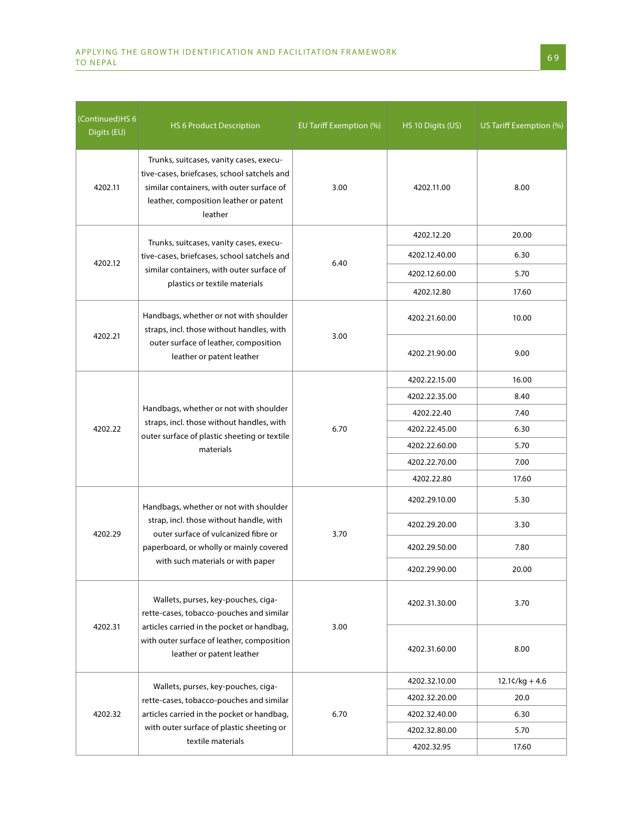| Continued)HS 6<br>Digits (EU) | HS 6 Product Description                                                                                                                                                                                  | EU Tariff Exemption (%) | HS 10 Digits (US) | US Tariff Exemption (%) |
|-------------------------------|-----------------------------------------------------------------------------------------------------------------------------------------------------------------------------------------------------------|-------------------------|-------------------|-------------------------|
| 4202.11                       | Trunks, suitcases, vanity cases, execu-<br>tive-cases, briefcases, school satchels and<br>similar containers, with outer surface of<br>leather, composition leather or patent<br>leather                  | 3.00                    | 4202.11.00        | 8.00                    |
|                               | Trunks, suitcases, vanity cases, execu-                                                                                                                                                                   | 6.40                    | 4202.12.20        | 20.00                   |
|                               | tive-cases, briefcases, school satchels and                                                                                                                                                               |                         | 4202.12.40.00     | 6.30                    |
| 4202.12                       | similar containers, with outer surface of                                                                                                                                                                 |                         | 4202.12.60.00     | 5.70                    |
|                               | plastics or textile materials                                                                                                                                                                             |                         | 4202.12.80        | 17.60                   |
|                               | Handbags, whether or not with shoulder<br>straps, incl. those without handles, with<br>outer surface of leather, composition<br>leather or patent leather                                                 |                         | 4202.21.60.00     | 10.00                   |
| 4202.21                       |                                                                                                                                                                                                           | 3.00                    | 4202.21.90.00     | 9.00                    |
|                               | Handbags, whether or not with shoulder<br>straps, incl. those without handles, with<br>outer surface of plastic sheeting or textile<br>materials                                                          | 6.70                    | 4202.22.15.00     | 16.00                   |
|                               |                                                                                                                                                                                                           |                         | 4202.22.35.00     | 8.40                    |
|                               |                                                                                                                                                                                                           |                         | 4202.22.40        | 7.40                    |
| 4202.22                       |                                                                                                                                                                                                           |                         | 4202.22.45.00     | 6.30                    |
|                               |                                                                                                                                                                                                           |                         | 4202.22.60.00     | 5.70                    |
|                               |                                                                                                                                                                                                           |                         | 4202.22.70.00     | 7.00                    |
|                               |                                                                                                                                                                                                           |                         | 4202.22.80        | 17.60                   |
|                               | Handbags, whether or not with shoulder<br>strap, incl. those without handle, with<br>outer surface of vulcanized fibre or<br>paperboard, or wholly or mainly covered<br>with such materials or with paper | 3.70                    | 4202.29.10.00     | 5.30                    |
| 4202.29                       |                                                                                                                                                                                                           |                         | 4202.29.20.00     | 3.30                    |
|                               |                                                                                                                                                                                                           |                         | 4202.29.50.00     | 7.80                    |
|                               |                                                                                                                                                                                                           |                         | 4202.29.90.00     | 20.00                   |
| 4202.31                       | Wallets, purses, key-pouches, ciga-<br>rette-cases, tobacco-pouches and similar<br>articles carried in the pocket or handbag,<br>with outer surface of leather, composition<br>leather or patent leather  | 3.00                    | 4202.31.30.00     | 3.70                    |
|                               |                                                                                                                                                                                                           |                         | 4202.31.60.00     | 8.00                    |
|                               | Wallets, purses, key-pouches, ciga-<br>rette-cases, tobacco-pouches and similar                                                                                                                           | 6.70                    | 4202.32.10.00     | $12.1\zeta/kg + 4.6$    |
|                               |                                                                                                                                                                                                           |                         | 4202.32.20.00     | 20.0                    |
| 4202.32                       | articles carried in the pocket or handbag,                                                                                                                                                                |                         | 4202.32.40.00     | 6.30                    |
|                               | with outer surface of plastic sheeting or                                                                                                                                                                 |                         | 4202.32.80.00     | 5.70                    |
|                               | textile materials                                                                                                                                                                                         |                         | 4202.32.95        | 17.60                   |